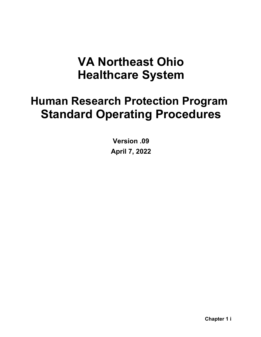# **VA Northeast Ohio Healthcare System**

# **Human Research Protection Program Standard Operating Procedures**

**Version .09 April 7, 2022**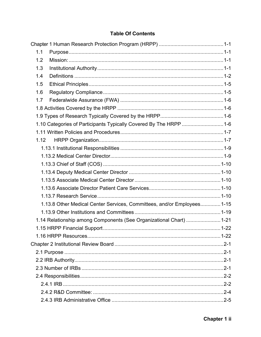## **Table Of Contents**

| 1.1  |                                                                        |  |
|------|------------------------------------------------------------------------|--|
| 1.2  |                                                                        |  |
| 1.3  |                                                                        |  |
| 1.4  |                                                                        |  |
| 1.5  |                                                                        |  |
| 1.6  |                                                                        |  |
| 1.7  |                                                                        |  |
|      |                                                                        |  |
|      |                                                                        |  |
|      | 1.10 Categories of Participants Typically Covered By The HRPP  1-6     |  |
|      |                                                                        |  |
| 1.12 |                                                                        |  |
|      |                                                                        |  |
|      |                                                                        |  |
|      |                                                                        |  |
|      |                                                                        |  |
|      |                                                                        |  |
|      |                                                                        |  |
|      |                                                                        |  |
|      | 1.13.8 Other Medical Center Services, Committees, and/or Employees1-15 |  |
|      |                                                                        |  |
|      | 1.14 Relationship among Components (See Organizational Chart)  1-21    |  |
|      |                                                                        |  |
|      |                                                                        |  |
|      |                                                                        |  |
|      |                                                                        |  |
|      |                                                                        |  |
|      |                                                                        |  |
|      |                                                                        |  |
|      |                                                                        |  |
|      |                                                                        |  |
|      |                                                                        |  |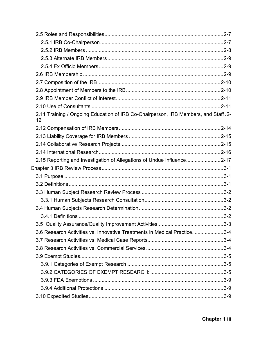| 2.11 Training / Ongoing Education of IRB Co-Chairperson, IRB Members, and Staff. 2-<br>12 |  |
|-------------------------------------------------------------------------------------------|--|
|                                                                                           |  |
|                                                                                           |  |
|                                                                                           |  |
|                                                                                           |  |
| 2.15 Reporting and Investigation of Allegations of Undue Influence2-17                    |  |
|                                                                                           |  |
|                                                                                           |  |
|                                                                                           |  |
|                                                                                           |  |
|                                                                                           |  |
|                                                                                           |  |
|                                                                                           |  |
|                                                                                           |  |
| 3.6 Research Activities vs. Innovative Treatments in Medical Practice. 3-4                |  |
|                                                                                           |  |
|                                                                                           |  |
|                                                                                           |  |
|                                                                                           |  |
|                                                                                           |  |
|                                                                                           |  |
|                                                                                           |  |
|                                                                                           |  |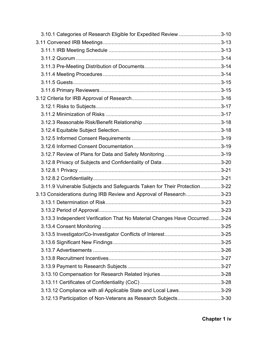| 3.10.1 Categories of Research Eligible for Expedited Review 3-10           |  |
|----------------------------------------------------------------------------|--|
|                                                                            |  |
|                                                                            |  |
|                                                                            |  |
|                                                                            |  |
|                                                                            |  |
|                                                                            |  |
|                                                                            |  |
|                                                                            |  |
|                                                                            |  |
|                                                                            |  |
|                                                                            |  |
|                                                                            |  |
|                                                                            |  |
|                                                                            |  |
|                                                                            |  |
|                                                                            |  |
|                                                                            |  |
|                                                                            |  |
| 3.11.9 Vulnerable Subjects and Safeguards Taken for Their Protection3-22   |  |
| 3.13 Considerations during IRB Review and Approval of Research3-23         |  |
|                                                                            |  |
|                                                                            |  |
| 3.13.3 Independent Verification That No Material Changes Have Occurred3-24 |  |
|                                                                            |  |
|                                                                            |  |
|                                                                            |  |
|                                                                            |  |
|                                                                            |  |
|                                                                            |  |
|                                                                            |  |
|                                                                            |  |
| 3.13.12 Compliance with all Applicable State and Local Laws3-29            |  |
| 3.12.13 Participation of Non-Veterans as Research Subjects3-30             |  |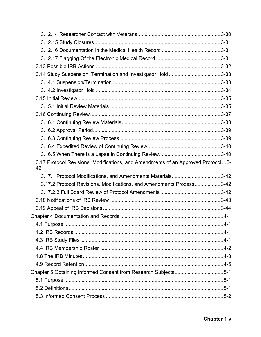| 3.17 Protocol Revisions, Modifications, and Amendments of an Approved Protocol3-<br>42 |  |
|----------------------------------------------------------------------------------------|--|
| 3.17.1 Protocol Modifications, and Amendments Materials3-42                            |  |
| 3.17.2 Protocol Revisions, Modifications, and Amendments Process3-42                   |  |
|                                                                                        |  |
|                                                                                        |  |
|                                                                                        |  |
|                                                                                        |  |
|                                                                                        |  |
|                                                                                        |  |
|                                                                                        |  |
|                                                                                        |  |
|                                                                                        |  |
|                                                                                        |  |
|                                                                                        |  |
| Chapter 5 Obtaining Informed Consent from Research Subjects5-1                         |  |
|                                                                                        |  |
|                                                                                        |  |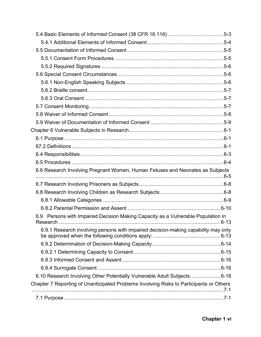| 6.6 Research Involving Pregnant Women, Human Fetuses and Neonates as Subjects           |  |
|-----------------------------------------------------------------------------------------|--|
|                                                                                         |  |
|                                                                                         |  |
|                                                                                         |  |
|                                                                                         |  |
| 6.9 Persons with Impaired Decision Making Capacity as a Vulnerable Population in        |  |
| 6.9.1 Research involving persons with impaired decision-making capability may only      |  |
|                                                                                         |  |
|                                                                                         |  |
|                                                                                         |  |
|                                                                                         |  |
|                                                                                         |  |
| 6.10 Research Involving Other Potentially Vulnerable Adult Subjects6-18                 |  |
| Chapter 7 Reporting of Unanticipated Problems Involving Risks to Participants or Others |  |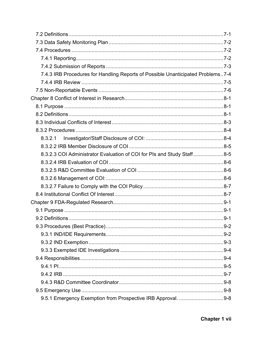| 7.4.3 IRB Procedures for Handling Reports of Possible Unanticipated Problems7-4 |  |
|---------------------------------------------------------------------------------|--|
|                                                                                 |  |
|                                                                                 |  |
|                                                                                 |  |
|                                                                                 |  |
|                                                                                 |  |
|                                                                                 |  |
|                                                                                 |  |
|                                                                                 |  |
|                                                                                 |  |
| 8.3.2.3 COI Administrator Evaluation of COI for PIs and Study Staff8-5          |  |
|                                                                                 |  |
|                                                                                 |  |
|                                                                                 |  |
|                                                                                 |  |
|                                                                                 |  |
|                                                                                 |  |
|                                                                                 |  |
|                                                                                 |  |
|                                                                                 |  |
|                                                                                 |  |
|                                                                                 |  |
|                                                                                 |  |
|                                                                                 |  |
|                                                                                 |  |
|                                                                                 |  |
|                                                                                 |  |
|                                                                                 |  |
| 9.5.1 Emergency Exemption from Prospective IRB Approval. 9-8                    |  |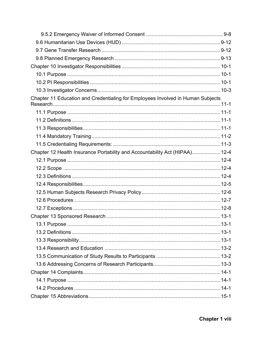| Chapter 11 Education and Credentialing for Employees Involved in Human Subjects |  |
|---------------------------------------------------------------------------------|--|
|                                                                                 |  |
|                                                                                 |  |
|                                                                                 |  |
|                                                                                 |  |
|                                                                                 |  |
|                                                                                 |  |
| Chapter 12 Health Insurance Portability and Accountability Act (HIPAA) 12-4     |  |
|                                                                                 |  |
|                                                                                 |  |
|                                                                                 |  |
|                                                                                 |  |
|                                                                                 |  |
|                                                                                 |  |
|                                                                                 |  |
|                                                                                 |  |
|                                                                                 |  |
|                                                                                 |  |
|                                                                                 |  |
|                                                                                 |  |
|                                                                                 |  |
|                                                                                 |  |
|                                                                                 |  |
|                                                                                 |  |
|                                                                                 |  |
|                                                                                 |  |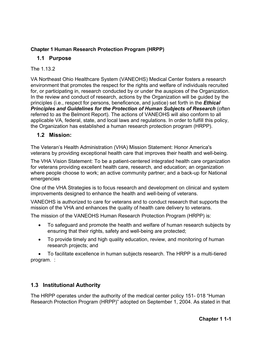## <span id="page-9-0"></span>**Chapter 1 Human Research Protection Program (HRPP)**

## <span id="page-9-1"></span>**1.1 Purpose**

## The 1 13.2

VA Northeast Ohio Healthcare System (VANEOHS) Medical Center fosters a research environment that promotes the respect for the rights and welfare of individuals recruited for, or participating in, research conducted by or under the auspices of the Organization. In the review and conduct of research, actions by the Organization will be guided by the principles (i.e., respect for persons, beneficence, and justice) set forth in the *Ethical*  **Principles and Guidelines for the Protection of Human Subjects of Research (often)** referred to as the Belmont Report). The actions of VANEOHS will also conform to all applicable VA, federal, state, and local laws and regulations. In order to fulfill this policy, the Organization has established a human research protection program (HRPP).

## <span id="page-9-2"></span>**1.2 Mission:**

The Veteran's Health Administration (VHA) Mission Statement: Honor America's veterans by providing exceptional health care that improves their health and well-being.

The VHA Vision Statement: To be a patient-centered integrated health care organization for veterans providing excellent health care, research, and education; an organization where people choose to work; an active community partner; and a back-up for National emergencies

One of the VHA Strategies is to focus research and development on clinical and system improvements designed to enhance the health and well-being of veterans.

VANEOHS is authorized to care for veterans and to conduct research that supports the mission of the VHA and enhances the quality of health care delivery to veterans.

The mission of the VANEOHS Human Research Protection Program (HRPP) is:

- To safeguard and promote the health and welfare of human research subjects by ensuring that their rights, safety and well-being are protected;
- To provide timely and high quality education, review, and monitoring of human research projects; and

• To facilitate excellence in human subjects research. The HRPP is a multi-tiered program. :

# <span id="page-9-3"></span>**1.3 Institutional Authority**

The HRPP operates under the authority of the medical center policy 151- 018 "Human Research Protection Program (HRPP)" adopted on September 1, 2004. As stated in that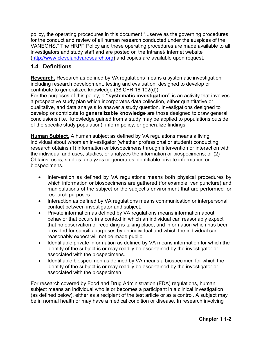policy, the operating procedures in this document "...serve as the governing procedures for the conduct and review of all human research conducted under the auspices of the VANEOHS." The HRPP Policy and these operating procedures are made available to all investigators and study staff and are posted on the Intranet/ internet website [\(http://www.clevelandvaresearch.org\)](http://www.clevelandvaresearch.org/) and copies are available upon request.

# <span id="page-10-0"></span>**1.4 Definitions**

**Research.** Research as defined by VA regulations means a systematic investigation, including research development, testing and evaluation, designed to develop or contribute to generalized knowledge (38 CFR 16.102(d)).

For the purposes of this policy, a **"systematic investigation"** is an activity that involves a prospective study plan which incorporates data collection, either quantitative or qualitative, and data analysis to answer a study question. Investigations designed to develop or contribute to **generalizable knowledge** are those designed to draw general conclusions (i.e., knowledge gained from a study may be applied to populations outside of the specific study population), inform policy, or generalize findings.

**Human Subject**. A human subject as defined by VA regulations means a living individual about whom an investigator (whether professional or student) conducting research obtains (1) information or biospecimens through intervention or interaction with the individual and uses, studies, or analyzes the information or biospecimens; or (2) Obtains, uses, studies, analyzes or generates identifiable private information or biospecimens.

- Intervention as defined by VA regulations means both physical procedures by which information or biospecimens are gathered (for example, venipuncture) and manipulations of the subject or the subject's environment that are performed for research purposes.
- Interaction as defined by VA regulations means communication or interpersonal contact between investigator and subject.
- Private information as defined by VA regulations means information about behavior that occurs in a context in which an individual can reasonably expect that no observation or recording is taking place, and information which has been provided for specific purposes by an individual and which the individual can reasonably expect will not be made public
- Identifiable private information as defined by VA means information for which the identity of the subject is or may readily be ascertained by the investigator or associated with the biospecimens.
- Identifiable biospecimen as defined by VA means a biospecimen for which the identity of the subject is or may readily be ascertained by the investigator or associated with the biospecimen

For research covered by Food and Drug Administration (FDA) regulations, human subject means an individual who is or becomes a participant in a clinical investigation (as defined below), either as a recipient of the test article or as a control. A subject may be in normal health or may have a medical condition or disease. In research involving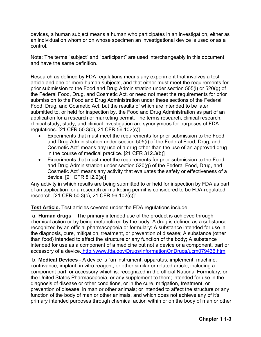devices, a human subject means a human who participates in an investigation, either as an individual on whom or on whose specimen an investigational device is used or as a control.

Note: The terms "subject" and "participant" are used interchangeably in this document and have the same definition.

Research as defined by FDA regulations means any experiment that involves a test article and one or more human subjects, and that either must meet the requirements for prior submission to the Food and Drug Administration under section 505(i) or 520(g) of the Federal Food, Drug, and Cosmetic Act, or need not meet the requirements for prior submission to the Food and Drug Administration under these sections of the Federal Food, Drug, and Cosmetic Act, but the results of which are intended to be later submitted to, or held for inspection by, the Food and Drug Administration as part of an application for a research or marketing permit. The terms research, clinical research, clinical study, study, and clinical investigation are synonymous for purposes of FDA regulations. [21 CFR 50.3(c), 21 CFR 56.102(c)]

- Experiments that must meet the requirements for prior submission to the Food and Drug Administration under section 505(i) of the Federal Food, Drug, and Cosmetic Act" means any use of a drug other than the use of an approved drug in the course of medical practice. [21 CFR 312.3(b)]
- Experiments that must meet the requirements for prior submission to the Food and Drug Administration under section 520(g) of the Federal Food, Drug, and Cosmetic Act" means any activity that evaluates the safety or effectiveness of a device. [21 CFR 812.2(a)]

Any activity in which results are being submitted to or held for inspection by FDA as part of an application for a research or marketing permit is considered to be FDA-regulated research. [21 CFR 50.3(c), 21 CFR 56.102(c)]"

**Test Article.** Test articles covered under the FDA regulations include:

a. **Human drugs** – The primary intended use of the product is achieved through chemical action or by being metabolized by the body. A drug is defined as a substance recognized by an official pharmacopoeia or formulary: A substance intended for use in the diagnosis, cure, mitigation, treatment, or prevention of disease; A substance (other than food) intended to affect the structure or any function of the body; A substance intended for use as a component of a medicine but not a device or a component, part or accessory of a device. <http://www.fda.gov/Drugs/InformationOnDrugs/ucm079436.htm>

b. **Medical Devices** - A device is "an instrument, apparatus, implement, machine, contrivance, implant, in vitro reagent, or other similar or related article, including a component part, or accessory which is: recognized in the official National Formulary, or the United States Pharmacopoeia, or any supplement to them; intended for use in the diagnosis of disease or other conditions, or in the cure, mitigation, treatment, or prevention of disease, in man or other animals; or intended to affect the structure or any function of the body of man or other animals, and which does not achieve any of it's primary intended purposes through chemical action within or on the body of man or other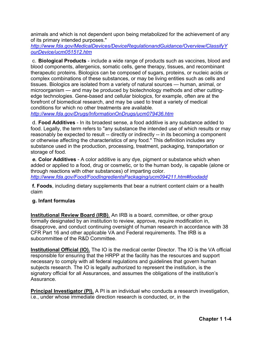animals and which is not dependent upon being metabolized for the achievement of any of its primary intended purposes."

*<http://www.fda.gov/MedicalDevices/DeviceRegulationandGuidance/Overview/ClassifyY> ourDevice/ucm051512.htm* 

c. **Biological Products** - include a wide range of products such as vaccines, blood and blood components, allergenics, somatic cells, gene therapy, tissues, and recombinant therapeutic proteins. Biologics can be composed of sugars, proteins, or nucleic acids or complex combinations of these substances, or may be living entities such as cells and tissues. Biologics are isolated from a variety of natural sources — human, animal, or microorganism — and may be produced by biotechnology methods and other cuttingedge technologies. Gene-based and cellular biologics, for example, often are at the forefront of biomedical research, and may be used to treat a variety of medical conditions for which no other treatments are available.

*<http://www.fda.gov/Drugs/InformationOnDrugs/ucm079436.htm>*

d. **Food Additives** - In its broadest sense, a food additive is any substance added to food. Legally, the term refers to "any substance the intended use of which results or may reasonably be expected to result -- directly or indirectly -- in its becoming a component or otherwise affecting the characteristics of any food." This definition includes any substance used in the production, processing, treatment, packaging, transportation or storage of food.

*e.* **Color Additives** - A color additive is any dye, pigment or substance which when added or applied to a food, drug or cosmetic, or to the human body, is capable (alone or through reactions with other substances) of imparting color. *<http://www.fda.gov/Food/FoodIngredientsPackaging/ucm094211.htm#foodadd>*

**f. Foods**, including dietary supplements that bear a nutrient content claim or a health claim

#### **g. Infant formulas**

**Institutional Review Board (IRB)**. An IRB is a board, committee, or other group formally designated by an institution to review, approve, require modification in, disapprove, and conduct continuing oversight of human research in accordance with 38 CFR Part 16 and other applicable VA and Federal requirements. The IRB is a subcommittee of the R&D Committee.

**Institutional Official (IO).** The IO is the medical center Director. The IO is the VA official responsible for ensuring that the HRPP at the facility has the resources and support necessary to comply with all federal regulations and guidelines that govern human subjects research. The IO is legally authorized to represent the institution, is the signatory official for all Assurances, and assumes the obligations of the institution's Assurance.

**Principal Investigator (PI).** A PI is an individual who conducts a research investigation, i.e., under whose immediate direction research is conducted, or, in the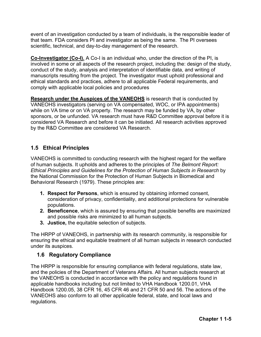event of an investigation conducted by a team of individuals, is the responsible leader of that team. FDA considers PI and investigator as being the same. The PI oversees scientific, technical, and day-to-day management of the research.

**Co-Investigator (Co-I).** A Co-I is an individual who, under the direction of the PI, is involved in some or all aspects of the research project, including the: design of the study, conduct of the study, analysis and interpretation of identifiable data, and writing of manuscripts resulting from the project. The investigator must uphold professional and ethical standards and practices, adhere to all applicable Federal requirements, and comply with applicable local policies and procedures

**Research under the Auspices of the VANEOHS** is research that is conducted by VANEOHS investigators (serving on VA compensated, WOC, or IPA appointments) while on VA time or on VA property. The research may be funded by VA, by other sponsors, or be unfunded. VA research must have R&D Committee approval before it is considered VA Research and before it can be initiated. All research activities approved by the R&D Committee are considered VA Research.

# <span id="page-13-0"></span>**1.5 Ethical Principles**

VANEOHS is committed to conducting research with the highest regard for the welfare of human subjects. It upholds and adheres to the principles of *The Belmont Report: Ethical Principles and Guidelines for the Protection of Human Subjects in Research* by the National Commission for the Protection of Human Subjects in Biomedical and Behavioral Research (1979). These principles are:

- **1. Respect for Persons**, which is ensured by obtaining informed consent, consideration of privacy, confidentiality, and additional protections for vulnerable populations.
- **2. Beneficence**, which is assured by ensuring that possible benefits are maximized and possible risks are minimized to all human subjects.
- **3. Justice,** the equitable selection of subjects.

The HRPP of VANEOHS, in partnership with its research community, is responsible for ensuring the ethical and equitable treatment of all human subjects in research conducted under its auspices.

## <span id="page-13-1"></span>**1.6 Regulatory Compliance**

The HRPP is responsible for ensuring compliance with federal regulations, state law, and the policies of the Department of Veterans Affairs. All human subjects research at the VANEOHS is conducted in accordance with the policy and regulations found in applicable handbooks including but not limited to VHA Handbook 1200.01, VHA Handbook 1200.05, 38 CFR 16, 45 CFR 46 and 21 CFR 50 and 56. The actions of the VANEOHS also conform to all other applicable federal, state, and local laws and regulations.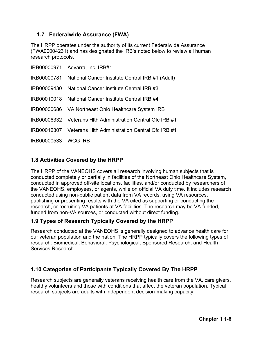# <span id="page-14-0"></span>**1.7 Federalwide Assurance (FWA)**

The HRPP operates under the authority of its current Federalwide Assurance (FWA00004231) and has designated the IRB's noted below to review all human research protocols.

|                     | IRB00000971 Advarra, Inc. IRB#1                             |
|---------------------|-------------------------------------------------------------|
| IRB00000781         | National Cancer Institute Central IRB #1 (Adult)            |
| IRB00009430         | National Cancer Institute Central IRB #3                    |
|                     | IRB00010018 National Cancer Institute Central IRB #4        |
|                     | IRB00000686 VA Northeast Ohio Healthcare System IRB         |
|                     | IRB00006332 Veterans Hith Administration Central Ofc IRB #1 |
|                     | IRB00012307 Veterans Hlth Administration Central Ofc IRB #1 |
| IRB00000533 WCG IRB |                                                             |

# <span id="page-14-1"></span>**1.8 Activities Covered by the HRPP**

The HRPP of the VANEOHS covers all research involving human subjects that is conducted completely or partially in facilities of the Northeast Ohio Healthcare System, conducted in approved off-site locations, facilities, and/or conducted by researchers of the VANEOHS, employees, or agents, while on official VA duty time. It includes research conducted using non-public patient data from VA records, using VA resources, publishing or presenting results with the VA cited as supporting or conducting the research, or recruiting VA patients at VA facilities. The research may be VA funded, funded from non-VA sources, or conducted without direct funding.

## <span id="page-14-2"></span>**1.9 Types of Research Typically Covered by the HRPP**

Research conducted at the VANEOHS is generally designed to advance health care for our veteran population and the nation. The HRPP typically covers the following types of research: Biomedical, Behavioral, Psychological, Sponsored Research, and Health Services Research.

## <span id="page-14-3"></span>**1.10 Categories of Participants Typically Covered By The HRPP**

Research subjects are generally veterans receiving health care from the VA, care givers, healthy volunteers and those with conditions that affect the veteran population. Typical research subjects are adults with independent decision-making capacity.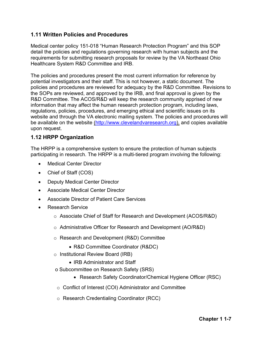## <span id="page-15-0"></span>**1.11 Written Policies and Procedures**

Medical center policy 151-018 "Human Research Protection Program" and this SOP detail the policies and regulations governing research with human subjects and the requirements for submitting research proposals for review by the VA Northeast Ohio Healthcare System R&D Committee and IRB.

The policies and procedures present the most current information for reference by potential investigators and their staff. This is not however, a static document. The policies and procedures are reviewed for adequacy by the R&D Committee. Revisions to the SOPs are reviewed, and approved by the IRB, and final approval is given by the R&D Committee. The ACOS/R&D will keep the research community apprised of new information that may affect the human research protection program, including laws, regulations, policies, procedures, and emerging ethical and scientific issues on its website and through the VA electronic mailing system. The policies and procedures will be available on the website [\(http://www.clevelandvaresearch.org\)](http://www.clevelandvaresearch.org/), and copies available upon request.

## <span id="page-15-1"></span>**1.12 HRPP Organization**

The HRPP is a comprehensive system to ensure the protection of human subjects participating in research. The HRPP is a multi-tiered program involving the following:

- **Medical Center Director**
- Chief of Staff (COS)
- Deputy Medical Center Director
- Associate Medical Center Director
- Associate Director of Patient Care Services
- Research Service
	- o Associate Chief of Staff for Research and Development (ACOS/R&D)
	- o Administrative Officer for Research and Development (AO/R&D)
	- o Research and Development (R&D) Committee
		- R&D Committee Coordinator (R&DC)
	- o Institutional Review Board (IRB)
		- IRB Administrator and Staff
	- o Subcommittee on Research Safety (SRS)
		- Research Safety Coordinator/Chemical Hygiene Officer (RSC)
	- o Conflict of Interest (COI) Administrator and Committee
	- o Research Credentialing Coordinator (RCC)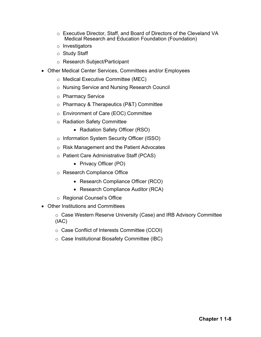- o Executive Director, Staff, and Board of Directors of the Cleveland VA Medical Research and Education Foundation (Foundation)
- o Investigators
- o Study Staff
- o Research Subject/Participant
- Other Medical Center Services, Committees and/or Employees
	- o Medical Executive Committee (MEC)
	- o Nursing Service and Nursing Research Council
	- o Pharmacy Service
	- o Pharmacy & Therapeutics (P&T) Committee
	- o Environment of Care (EOC) Committee
	- o Radiation Safety Committee
		- Radiation Safety Officer (RSO)
	- o Information System Security Officer (ISSO)
	- o Risk Management and the Patient Advocates
	- o Patient Care Administrative Staff (PCAS)
		- Privacy Officer (PO)
	- o Research Compliance Office
		- Research Compliance Officer (RCO)
		- Research Compliance Auditor (RCA)
	- o Regional Counsel's Office
- Other Institutions and Committees
	- o Case Western Reserve University (Case) and IRB Advisory Committee (IAC)
	- o Case Conflict of Interests Committee (CCOI)
	- o Case Institutional Biosafety Committee (IBC)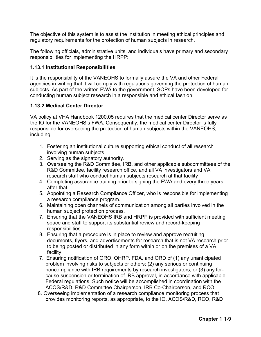The objective of this system is to assist the institution in meeting ethical principles and regulatory requirements for the protection of human subjects in research.

The following officials, administrative units, and individuals have primary and secondary responsibilities for implementing the HRPP:

#### <span id="page-17-0"></span>**1.13.1 Institutional Responsibilities**

It is the responsibility of the VANEOHS to formally assure the VA and other Federal agencies in writing that it will comply with regulations governing the protection of human subjects. As part of the written FWA to the government, SOPs have been developed for conducting human subject research in a responsible and ethical fashion.

#### <span id="page-17-1"></span>**1.13.2 Medical Center Director**

VA policy at VHA Handbook 1200.05 requires that the medical center Director serve as the IO for the VANEOHS's FWA. Consequently, the medical center Director is fully responsible for overseeing the protection of human subjects within the VANEOHS, including:

- 1. Fostering an institutional culture supporting ethical conduct of all research involving human subjects.
- 2. Serving as the signatory authority.
- 3. Overseeing the R&D Committee, IRB, and other applicable subcommittees of the R&D Committee, facility research office, and all VA investigators and VA research staff who conduct human subjects research at that facility
- 4. Completing assurance training prior to signing the FWA and every three years after that.
- 5. Appointing a Research Compliance Officer, who is responsible for implementing a research compliance program.
- 6. Maintaining open channels of communication among all parties involved in the human subject protection process.
- 7. Ensuring that the VANEOHS IRB and HRPP is provided with sufficient meeting space and staff to support its substantial review and record-keeping responsibilities.
- 8. Ensuring that a procedure is in place to review and approve recruiting documents, flyers, and advertisements for research that is not VA research prior to being posted or distributed in any form within or on the premises of a VA facility.
- 7. Ensuring notification of ORO, OHRP, FDA, and ORD of (1) any unanticipated problem involving risks to subjects or others; (2) any serious or continuing noncompliance with IRB requirements by research investigators; or (3) any forcause suspension or termination of IRB approval, in accordance with applicable Federal regulations. Such notice will be accomplished in coordination with the ACOS/R&D, R&D Committee Chairperson, IRB Co-Chairperson, and RCO.
- 8. Overseeing implementation of a research compliance monitoring process that provides monitoring reports, as appropriate, to the IO, ACOS/R&D, RCO, R&D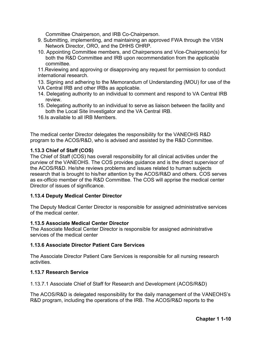Committee Chairperson, and IRB Co-Chairperson.

- 9. Submitting, implementing, and maintaining an approved FWA through the VISN Network Director, ORO, and the DHHS OHRP.
- 10. Appointing Committee members, and Chairpersons and Vice-Chairperson(s) for both the R&D Committee and IRB upon recommendation from the applicable committee.

11.Reviewing and approving or disapproving any request for permission to conduct international research.

- 13. Signing and adhering to the Memorandum of Understanding (MOU) for use of the
- VA Central IRB and other IRBs as applicable.
- 14. Delegating authority to an individual to comment and respond to VA Central IRB review.
- 15. Delegating authority to an individual to serve as liaison between the facility and both the Local Site Investigator and the VA Central IRB.
- 16.Is available to all IRB Members.

The medical center Director delegates the responsibility for the VANEOHS R&D program to the ACOS/R&D, who is advised and assisted by the R&D Committee.

## <span id="page-18-0"></span>**1.13.3 Chief of Staff (COS)**

The Chief of Staff (COS) has overall responsibility for all clinical activities under the purview of the VANEOHS. The COS provides guidance and is the direct supervisor of the ACOS/R&D. He/she reviews problems and issues related to human subjects research that is brought to his/her attention by the ACOS/R&D and others. COS serves as ex-officio member of the R&D Committee. The COS will apprise the medical center Director of issues of significance.

## <span id="page-18-1"></span>**1.13.4 Deputy Medical Center Director**

The Deputy Medical Center Director is responsible for assigned administrative services of the medical center.

## <span id="page-18-2"></span>**1.13.5 Associate Medical Center Director**

The Associate Medical Center Director is responsible for assigned administrative services of the medical center

## <span id="page-18-3"></span>**1.13.6 Associate Director Patient Care Services**

The Associate Director Patient Care Services is responsible for all nursing research activities.

## <span id="page-18-4"></span>**1.13.7 Research Service**

1.13.7.1 Associate Chief of Staff for Research and Development (ACOS/R&D)

The ACOS/R&D is delegated responsibility for the daily management of the VANEOHS's R&D program, including the operations of the IRB. The ACOS/R&D reports to the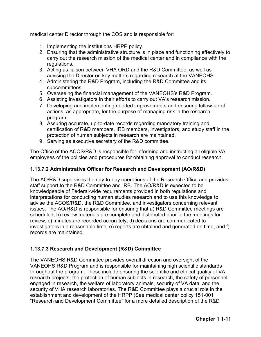medical center Director through the COS and is responsible for:

- 1. Implementing the institutions HRPP policy.
- 2. Ensuring that the administrative structure is in place and functioning effectively to carry out the research mission of the medical center and in compliance with the regulations.
- 3. Acting as liaison between VHA ORD and the R&D Committee, as well as advising the Director on key matters regarding research at the VANEOHS.
- 4. Administering the R&D Program, including the R&D Committee and its subcommittees.
- 5. Overseeing the financial management of the VANEOHS's R&D Program.
- 6. Assisting investigators in their efforts to carry out VA's research mission.
- 7. Developing and implementing needed improvements and ensuring follow-up of actions, as appropriate, for the purpose of managing risk in the research program.
- 8. Assuring accurate, up-to-date records regarding mandatory training and certification of R&D members, IRB members, investigators, and study staff in the protection of human subjects in research are maintained.
- 9. Serving as executive secretary of the R&D committee.

The Office of the ACOS/R&D is responsible for informing and instructing all eligible VA employees of the policies and procedures for obtaining approval to conduct research.

## **1.13.7.2 Administrative Officer for Research and Development (AO/R&D)**

The AO/R&D supervises the day-to-day operations of the Research Office and provides staff support to the R&D Committee and IRB. The AO/R&D is expected to be knowledgeable of Federal-wide requirements provided in both regulations and interpretations for conducting human studies research and to use this knowledge to advise the ACOS/R&D, the R&D Committee, and investigators concerning relevant issues. The AO/R&D is responsible for ensuring that a) R&D Committee meetings are scheduled, b) review materials are complete and distributed prior to the meetings for review, c) minutes are recorded accurately, d) decisions are communicated to investigators in a reasonable time, e) reports are obtained and generated on time, and f) records are maintained.

## **1.13.7.3 Research and Development (R&D) Committee**

The VANEOHS R&D Committee provides overall direction and oversight of the VANEOHS R&D Program and is responsible for maintaining high scientific standards throughout the program. These include ensuring the scientific and ethical quality of VA research projects, the protection of human subjects in research, the safety of personnel engaged in research, the welfare of laboratory animals, security of VA data, and the security of VHA research laboratories. The R&D Committee plays a crucial role in the establishment and development of the HRPP (See medical center policy 151-001 "Research and Development Committee" for a more detailed description of the R&D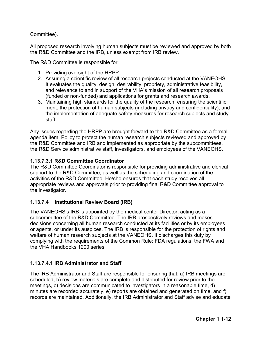Committee).

All proposed research involving human subjects must be reviewed and approved by both the R&D Committee and the IRB, unless exempt from IRB review.

The R&D Committee is responsible for:

- 1. Providing oversight of the HRPP
- 2. Assuring a scientific review of all research projects conducted at the VANEOHS. It evaluates the quality, design, desirability, propriety, administrative feasibility, and relevance to and in support of the VHA's mission of all research proposals (funded or non-funded) and applications for grants and research awards.
- 3. Maintaining high standards for the quality of the research, ensuring the scientific merit, the protection of human subjects (including privacy and confidentiality), and the implementation of adequate safety measures for research subjects and study staff.

Any issues regarding the HRPP are brought forward to the R&D Committee as a formal agenda item. Policy to protect the human research subjects reviewed and approved by the R&D Committee and IRB and implemented as appropriate by the subcommittees, the R&D Service administrative staff, investigators, and employees of the VANEOHS.

#### **1.13.7.3.1 R&D Committee Coordinator**

The R&D Committee Coordinator is responsible for providing administrative and clerical support to the R&D Committee, as well as the scheduling and coordination of the activities of the R&D Committee. He/she ensures that each study receives all appropriate reviews and approvals prior to providing final R&D Committee approval to the investigator.

## **1.13.7.4 Institutional Review Board (IRB)**

The VANEOHS's IRB is appointed by the medical center Director, acting as a subcommittee of the R&D Committee. The IRB prospectively reviews and makes decisions concerning all human research conducted at its facilities or by its employees or agents, or under its auspices. The IRB is responsible for the protection of rights and welfare of human research subjects at the VANEOHS. It discharges this duty by complying with the requirements of the Common Rule; FDA regulations; the FWA and the VHA Handbooks 1200 series.

## **1.13.7.4.1 IRB Administrator and Staff**

The IRB Administrator and Staff are responsible for ensuring that: a) IRB meetings are scheduled, b) review materials are complete and distributed for review prior to the meetings, c) decisions are communicated to investigators in a reasonable time, d) minutes are recorded accurately, e) reports are obtained and generated on time, and f) records are maintained. Additionally, the IRB Administrator and Staff advise and educate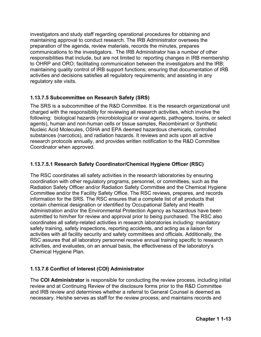investigators and study staff regarding operational procedures for obtaining and maintaining approval to conduct research. The IRB Administrator oversees the preparation of the agenda, review materials, records the minutes, prepares communications to the investigators. The IRB Administrator has a number of other responsibilities that include, but are not limited to: reporting changes in IRB membership to OHRP and ORO; facilitating communication between the investigators and the IRB; maintaining quality control of IRB support functions; ensuring that documentation of IRB activities and decisions satisfies all regulatory requirements; and assisting in any regulatory site visits.

## **1.13.7.5 Subcommittee on Research Safety (SRS)**

The SRS is a subcommittee of the R&D Committee. It is the research organizational unit charged with the responsibility for reviewing all research activities, which involve the following: biological hazards (microbiological or viral agents, pathogens, toxins, or select agents), human and non-human cells or tissue samples, Recombinant or Synthetic Nucleic Acid Molecules, OSHA and EPA deemed hazardous chemicals, controlled substances (narcotics), and radiation hazards. It reviews and acts upon all active research protocols annually, and provides written notification to the R&D Committee Coordinator when approved.

## **1.13.7.5.1 Research Safety Coordinator/Chemical Hygiene Officer (RSC)**

The RSC coordinates all safety activities in the research laboratories by ensuring coordination with other regulatory programs, personnel, or committees, such as the Radiation Safety Officer and/or Radiation Safety Committee and the Chemical Hygiene Committee and/or the Facility Safety Office. The RSC reviews, prepares, and records information for the SRS. The RSC ensures that a complete list of all products that contain chemical designation or identified by Occupational Safety and Health Administration and/or the Environmental Protection Agency as hazardous have been submitted to him/her for review and approval prior to being purchased. The RSC also coordinates all safety-related activities in research laboratories including: mandatory safety training, safety inspections, reporting accidents, and acting as a liaison for activities with all facility security and safety committees and officials. Additionally, the RSC assures that all laboratory personnel receive annual training specific to research activities, and evaluates, on an annual basis, the effectiveness of the laboratory's Chemical Hygiene Plan.

## **1.13.7.6 Conflict of Interest (COI) Administrator**

The **COI Administrator** is responsible for conducting the review process, including initial review and at Continuing Review of the disclosure forms prior to the R&D Committee and IRB review and determines whether a referral to General Counsel is deemed as necessary. He/she serves as staff for the review process; and maintains records and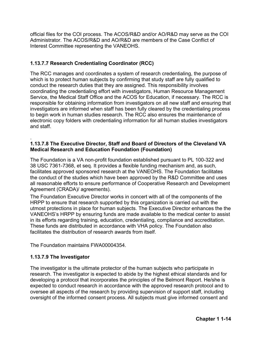official files for the COI process. The ACOS/R&D and/or AO/R&D may serve as the COI Administrator. The ACOS/R&D and AO/R&D are members of the Case Conflict of Interest Committee representing the VANEOHS.

## **1.13.7.7 Research Credentialing Coordinator (RCC)**

The RCC manages and coordinates a system of research credentialing, the purpose of which is to protect human subjects by confirming that study staff are fully qualified to conduct the research duties that they are assigned. This responsibility involves coordinating the credentialing effort with investigators, Human Resource Management Service, the Medical Staff Office and the ACOS for Education, if necessary. The RCC is responsible for obtaining information from investigators on all new staff and ensuring that investigators are informed when staff has been fully cleared by the credentialing process to begin work in human studies research. The RCC also ensures the maintenance of electronic copy folders with credentialing information for all human studies investigators and staff.

#### . **1.13.7.8 The Executive Director, Staff and Board of Directors of the Cleveland VA Medical Research and Education Foundation (Foundation)**

The Foundation is a VA non-profit foundation established pursuant to PL 100-322 and 38 USC 7361-7368, et seq. It provides a flexible funding mechanism and, as such, facilitates approved sponsored research at the VANEOHS. The Foundation facilitates the conduct of the studies which have been approved by the R&D Committee and uses all reasonable efforts to ensure performance of Cooperative Research and Development Agreement (CRADA)/ agreements).

The Foundation Executive Director works in concert with all of the components of the HRPP to ensure that research supported by this organization is carried out with the utmost protections in place for human subjects. The Executive Director enhances the the VANEOHS's HRPP by ensuring funds are made available to the medical center to assist in its efforts regarding training, education, credentialing, compliance and accreditation. These funds are distributed in accordance with VHA policy. The Foundation also facilitates the distribution of research awards from itself.

The Foundation maintains FWA00004354.

## **1.13.7.9 The Investigator**

The investigator is the ultimate protector of the human subjects who participate in research. The investigator is expected to abide by the highest ethical standards and for developing a protocol that incorporates the principles of the Belmont Report. He/she is expected to conduct research in accordance with the approved research protocol and to oversee all aspects of the research by providing supervision of support staff, including oversight of the informed consent process. All subjects must give informed consent and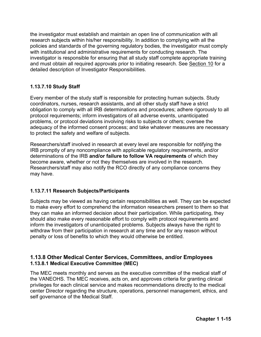the investigator must establish and maintain an open line of communication with all research subjects within his/her responsibility. In addition to complying with all the policies and standards of the governing regulatory bodies, the investigator must comply with institutional and administrative requirements for conducting research. The investigator is responsible for ensuring that all study staff complete appropriate training and must obtain all required approvals prior to initiating research. See Section 10 for a detailed description of Investigator Responsibilities.

## **1.13.7.10 Study Staff**

Every member of the study staff is responsible for protecting human subjects. Study coordinators, nurses, research assistants, and all other study staff have a strict obligation to comply with all IRB determinations and procedures; adhere rigorously to all protocol requirements; inform investigators of all adverse events, unanticipated problems, or protocol deviations involving risks to subjects or others; oversee the adequacy of the informed consent process; and take whatever measures are necessary to protect the safety and welfare of subjects.

Researchers/staff involved in research at every level are responsible for notifying the IRB promptly of any noncompliance with applicable regulatory requirements, and/or determinations of the IRB **and/or failure to follow VA requirements** of which they become aware, whether or not they themselves are involved in the research. Researchers/staff may also notify the RCO directly of any compliance concerns they may have.

## **1.13.7.11 Research Subjects/Participants**

Subjects may be viewed as having certain responsibilities as well. They can be expected to make every effort to comprehend the information researchers present to them so that they can make an informed decision about their participation. While participating, they should also make every reasonable effort to comply with protocol requirements and inform the investigators of unanticipated problems. Subjects always have the right to withdraw from their participation in research at any time and for any reason without penalty or loss of benefits to which they would otherwise be entitled.

## <span id="page-23-0"></span>**1.13.8 Other Medical Center Services, Committees, and/or Employees 1.13.8.1 Medical Executive Committee (MEC)**

The MEC meets monthly and serves as the executive committee of the medical staff of the VANEOHS. The MEC receives, acts on, and approves criteria for granting clinical privileges for each clinical service and makes recommendations directly to the medical center Director regarding the structure, operations, personnel management, ethics, and self governance of the Medical Staff.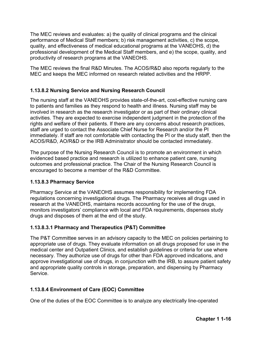The MEC reviews and evaluates: a) the quality of clinical programs and the clinical performance of Medical Staff members; b) risk management activities, c) the scope, quality, and effectiveness of medical educational programs at the VANEOHS, d) the professional development of the Medical Staff members, and e) the scope, quality, and productivity of research programs at the VANEOHS.

The MEC reviews the final R&D Minutes. The ACOS/R&D also reports regularly to the MEC and keeps the MEC informed on research related activities and the HRPP.

## **1.13.8.2 Nursing Service and Nursing Research Council**

The nursing staff at the VANEOHS provides state-of-the-art, cost-effective nursing care to patients and families as they respond to health and illness. Nursing staff may be involved in research as the research investigator or as part of their ordinary clinical activities. They are expected to exercise independent judgment in the protection of the rights and welfare of their patients. If there are any concerns about research practices, staff are urged to contact the Associate Chief Nurse for Research and/or the PI immediately. If staff are not comfortable with contacting the PI or the study staff, then the ACOS/R&D, AO/R&D or the IRB Administrator should be contacted immediately.

The purpose of the Nursing Research Council is to promote an environment in which evidenced based practice and research is utilized to enhance patient care, nursing outcomes and professional practice. The Chair of the Nursing Research Council is encouraged to become a member of the R&D Committee.

## **1.13.8.3 Pharmacy Service**

Pharmacy Service at the VANEOHS assumes responsibility for implementing FDA regulations concerning investigational drugs. The Pharmacy receives all drugs used in research at the VANEOHS, maintains records accounting for the use of the drugs, monitors investigators' compliance with local and FDA requirements, dispenses study drugs and disposes of them at the end of the study.

## **1.13.8.3.1 Pharmacy and Therapeutics (P&T) Committee**

The P&T Committee serves in an advisory capacity to the MEC on policies pertaining to appropriate use of drugs. They evaluate information on all drugs proposed for use in the medical center and Outpatient Clinics, and establish guidelines or criteria for use where necessary. They authorize use of drugs for other than FDA approved indications, and approve investigational use of drugs, in conjunction with the IRB, to assure patient safety and appropriate quality controls in storage, preparation, and dispensing by Pharmacy Service.

## **1.13.8.4 Environment of Care (EOC) Committee**

One of the duties of the EOC Committee is to analyze any electrically line-operated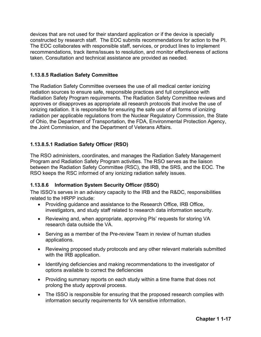devices that are not used for their standard application or if the device is specially constructed by research staff. The EOC submits recommendations for action to the PI. The EOC collaborates with responsible staff, services, or product lines to implement recommendations, track items/issues to resolution, and monitor effectiveness of actions taken. Consultation and technical assistance are provided as needed.

#### **1.13.8.5 Radiation Safety Committee**

The Radiation Safety Committee oversees the use of all medical center ionizing radiation sources to ensure safe, responsible practices and full compliance with Radiation Safety Program requirements. The Radiation Safety Committee reviews and approves or disapproves as appropriate all research protocols that involve the use of ionizing radiation. It is responsible for ensuring the safe use of all forms of ionizing radiation per applicable regulations from the Nuclear Regulatory Commission, the State of Ohio, the Department of Transportation, the FDA, Environmental Protection Agency, the Joint Commission, and the Department of Veterans Affairs.

## **1.13.8.5.1 Radiation Safety Officer (RSO)**

The RSO administers, coordinates, and manages the Radiation Safety Management Program and Radiation Safety Program activities. The RSO serves as the liaison between the Radiation Safety Committee (RSC), the IRB, the SRS, and the EOC. The RSO keeps the RSC informed of any ionizing radiation safety issues.

#### **1.13.8.6 Information System Security Officer (ISSO)**

The ISSO's serves in an advisory capacity to the IRB and the R&DC, responsibilities related to the HRPP include:

- Providing guidance and assistance to the Research Office, IRB Office, investigators, and study staff related to research data information security.
- Reviewing and, when appropriate, approving PIs' requests for storing VA research data outside the VA.
- Serving as a member of the Pre-review Team in review of human studies applications.
- Reviewing proposed study protocols and any other relevant materials submitted with the IRB application.
- Identifying deficiencies and making recommendations to the investigator of options available to correct the deficiencies
- Providing summary reports on each study within a time frame that does not prolong the study approval process.
- The ISSO is responsible for ensuring that the proposed research complies with information security requirements for VA sensitive information.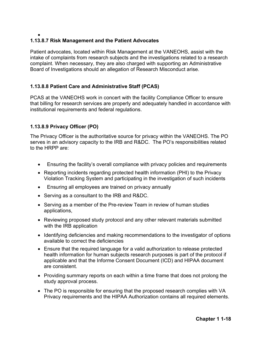#### • **1.13.8.7 Risk Management and the Patient Advocates**

Patient advocates, located within Risk Management at the VANEOHS, assist with the intake of complaints from research subjects and the investigations related to a research complaint. When necessary, they are also charged with supporting an Administrative Board of Investigations should an allegation of Research Misconduct arise.

# **1.13.8.8 Patient Care and Administrative Staff (PCAS)**

PCAS at the VANEOHS work in concert with the facility Compliance Officer to ensure that billing for research services are properly and adequately handled in accordance with institutional requirements and federal regulations.

## **1.13.8.9 Privacy Officer (PO)**

The Privacy Officer is the authoritative source for privacy within the VANEOHS. The PO serves in an advisory capacity to the IRB and R&DC. The PO's responsibilities related to the HRPP are:

- Ensuring the facility's overall compliance with privacy policies and requirements
- Reporting incidents regarding protected health information (PHI) to the Privacy Violation Tracking System and participating in the investigation of such incidents
- Ensuring all employees are trained on privacy annually
- Serving as a consultant to the IRB and R&DC.
- Serving as a member of the Pre-review Team in review of human studies applications,
- Reviewing proposed study protocol and any other relevant materials submitted with the IRB application
- Identifying deficiencies and making recommendations to the investigator of options available to correct the deficiencies
- Ensure that the required language for a valid authorization to release protected health information for human subjects research purposes is part of the protocol if applicable and that the Informe Consent Document (ICD) and HIPAA document are consistent.
- Providing summary reports on each within a time frame that does not prolong the study approval process.
- The PO is responsible for ensuring that the proposed research complies with VA Privacy requirements and the HIPAA Authorization contains all required elements.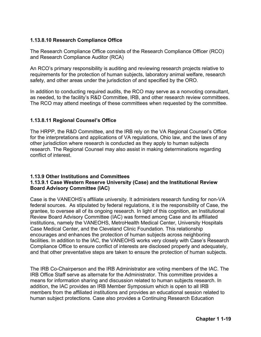## **1.13.8.10 Research Compliance Office**

The Research Compliance Office consists of the Research Compliance Officer (RCO) and Research Compliance Auditor (RCA)

An RCO's primary responsibility is auditing and reviewing research projects relative to requirements for the protection of human subjects, laboratory animal welfare, research safety, and other areas under the jurisdiction of and specified by the ORO.

In addition to conducting required audits, the RCO may serve as a nonvoting consultant, as needed, to the facility's R&D Committee, IRB, and other research review committees. The RCO may attend meetings of these committees when requested by the committee.

## **1.13.8.11 Regional Counsel's Office**

The HRPP, the R&D Committee, and the IRB rely on the VA Regional Counsel's Office for the interpretations and applications of VA regulations, Ohio law, and the laws of any other jurisdiction where research is conducted as they apply to human subjects research. The Regional Counsel may also assist in making determinations regarding conflict of interest.

#### <span id="page-27-0"></span>**1.13.9 Other Institutions and Committees 1.13.9.1 Case Western Reserve University (Case) and the Institutional Review Board Advisory Committee (IAC)**

Case is the VANEOHS's affiliate university. It administers research funding for non-VA federal sources. As stipulated by federal regulations, it is the responsibility of Case, the grantee, to oversee all of its ongoing research. In light of this cognition, an Institutional Review Board Advisory Committee (IAC) was formed among Case and its affiliated institutions, namely the VANEOHS, MetroHealth Medical Center, University Hospitals Case Medical Center, and the Cleveland Clinic Foundation. This relationship encourages and enhances the protection of human subjects across neighboring facilities. In addition to the IAC, the VANEOHS works very closely with Case's Research Compliance Office to ensure conflict of interests are disclosed properly and adequately, and that other preventative steps are taken to ensure the protection of human subjects.

The IRB Co-Chairperson and the IRB Administrator are voting members of the IAC. The IRB Office Staff serve as alternate for the Administrator. This committee provides a means for information sharing and discussion related to human subjects research. In addition, the IAC provides an IRB Member Symposium which is open to all IRB members from the affiliated institutions and provides an educational session related to human subject protections. Case also provides a Continuing Research Education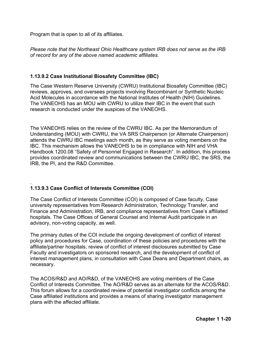Program that is open to all of its affiliates.

*Please note that the Northeast Ohio Healthcare system IRB does not serve as the IRB of record for any of the above named academic affiliates.*

## **1.13.9.2 Case Institutional Biosafety Committee (IBC)**

The Case Western Reserve University (CWRU) Institutional Biosafety Committee (IBC) reviews, approves, and oversees projects involving Recombinant or Synthetic Nucleic Acid Molecules in accordance with the National Institutes of Health (NIH) Guidelines. The VANEOHS has an MOU with CWRU to utilize their IBC in the event that such research is conducted under the auspices of the VANEOHS.

The VANEOHS relies on the review of the CWRU IBC. As per the Memorandum of Understanding (MOU) with CWRU, the VA SRS Chairperson (or Alternate Chairperson) attends the CWRU IBC meetings each month, as they serve as voting members on the IBC. This mechanism allows the VANEOHS to be in compliance with NIH and VHA Handbook 1200.08 "Safety of Personnel Engaged in Research". In addition, this process provides coordinated review and communications between the CWRU IBC, the SRS, the IRB, the PI, and the R&D Committee.

#### . **1.13.9.3 Case Conflict of Interests Committee (COI)**

The Case Conflict of Interests Committee (COI) is composed of Case faculty, Case university representatives from Research Administration, Technology Transfer, and Finance and Administration, IRB, and compliance representatives from Case's affiliated hospitals. The Case Offices of General Counsel and Internal Audit participate in an advisory, non-voting capacity, as well.

The primary duties of the COI include the ongoing development of conflict of interest policy and procedures for Case, coordination of these policies and procedures with the affiliate/partner hospitals, review of conflict of interest disclosures submitted by Case Faculty and investigators on sponsored research, and the development of conflict of interest management plans, in consultation with Case Deans and Department chairs, as necessary.

The ACOS/R&D and AO/R&D, of the VANEOHS are voting members of the Case Conflict of Interests Committee. The AO/R&D serves as an alternate for the ACOS/R&D. This forum allows for a coordinated review of potential investigator conflicts among the Case affiliated institutions and provides a means of sharing investigator management plans with the affected affiliate.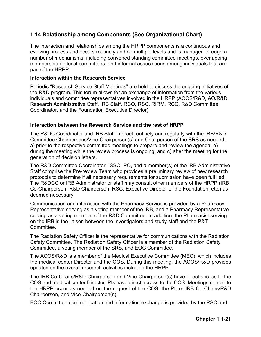# <span id="page-29-0"></span>**1.14 Relationship among Components (See Organizational Chart)**

The interaction and relationships among the HRPP components is a continuous and evolving process and occurs routinely and on multiple levels and is managed through a number of mechanisms, including convened standing committee meetings, overlapping membership on local committees, and informal associations among individuals that are part of the HRPP.

#### **Interaction within the Research Service**

Periodic "Research Service Staff Meetings" are held to discuss the ongoing initiatives of the R&D program. This forum allows for an exchange of information from the various individuals and committee representatives involved in the HRPP (ACOS/R&D, AO/R&D, Research Administrative Staff, IRB Staff, RCO, RSC, RIRM, RCC, R&D Committee Coordinator, and the Foundation Executive Director).

#### **Interaction between the Research Service and the rest of HRPP**

The R&DC Coordinator and IRB Staff interact routinely and regularly with the IRB/R&D Committee Chairpersons/Vice-Chairperson(s) and Chairperson of the SRS as needed: a) prior to the respective committee meetings to prepare and review the agenda, b) during the meeting while the review process is ongoing, and c) after the meeting for the generation of decision letters.

The R&D Committee Coordinator, ISSO, PO, and a member(s) of the IRB Administrative Staff comprise the Pre-review Team who provides a preliminary review of new research protocols to determine if all necessary requirements for submission have been fulfilled. The R&DCC or IRB Administrator or staff may consult other members of the HRPP (IRB Co-Chairperson, R&D Chairperson, RSC, Executive Director of the Foundation, etc.) as deemed necessary

Communication and interaction with the Pharmacy Service is provided by a Pharmacy Representative serving as a voting member of the IRB, and a Pharmacy Representative serving as a voting member of the R&D Committee. In addition, the Pharmacist serving on the IRB is the liaison between the investigators and study staff and the P&T Committee.

The Radiation Safety Officer is the representative for communications with the Radiation Safety Committee. The Radiation Safety Officer is a member of the Radiation Safety Committee, a voting member of the SRS, and EOC Committee.

The ACOS/R&D is a member of the Medical Executive Committee (MEC), which includes the medical center Director and the COS. During this meeting, the ACOS/R&D provides updates on the overall research activities including the HRPP.

The IRB Co-Chairs/R&D Chairperson and Vice-Chairperson(s) have direct access to the COS and medical center Director. PIs have direct access to the COS. Meetings related to the HRPP occur as needed on the request of the COS, the PI, or IRB Co-Chairs/R&D Chairperson, and Vice-Chairperson(s).

EOC Committee communication and information exchange is provided by the RSC and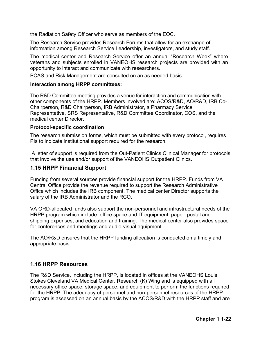the Radiation Safety Officer who serve as members of the EOC.

The Research Service provides Research Forums that allow for an exchange of information among Research Service Leadership, investigators, and study staff.

The medical center and Research Service offer an annual "Research Week" where veterans and subjects enrolled in VANEOHS research projects are provided with an opportunity to interact and communicate with researchers.

PCAS and Risk Management are consulted on an as needed basis.

#### **Interaction among HRPP committees:**

The R&D Committee meeting provides a venue for interaction and communication with other components of the HRPP. Members involved are: ACOS/R&D, AO/R&D, IRB Co-Chairperson, R&D Chairperson, IRB Administrator, a Pharmacy Service Representative, SRS Representative, R&D Committee Coordinator, COS, and the medical center Director.

#### **Protocol-specific coordination**

The research submission forms, which must be submitted with every protocol, requires PIs to indicate institutional support required for the research.

A letter of support is required from the Out-Patient Clinics Clinical Manager for protocols that involve the use and/or support of the VANEOHS Outpatient Clinics.

## <span id="page-30-0"></span>**1.15 HRPP Financial Support**

Funding from several sources provide financial support for the HRPP. Funds from VA Central Office provide the revenue required to support the Research Administrative Office which includes the IRB component. The medical center Director supports the salary of the IRB Administrator and the RCO.

VA ORD-allocated funds also support the non-personnel and infrastructural needs of the HRPP program which include: office space and IT equipment, paper, postal and shipping expenses, and education and training. The medical center also provides space for conferences and meetings and audio-visual equipment.

The AO/R&D ensures that the HRPP funding allocation is conducted on a timely and appropriate basis.

## <span id="page-30-1"></span>**1.16 HRPP Resources**

.

The R&D Service, including the HRPP, is located in offices at the VANEOHS Louis Stokes Cleveland VA Medical Center, Research (K) Wing and is equipped with all necessary office space, storage space, and equipment to perform the functions required for the HRPP. The adequacy of personnel and non-personnel resources of the HRPP program is assessed on an annual basis by the ACOS/R&D with the HRPP staff and are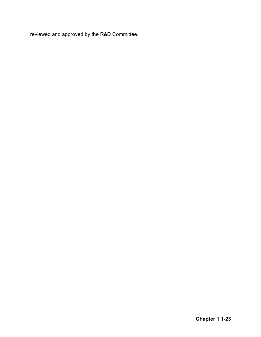reviewed and approved by the R&D Committee.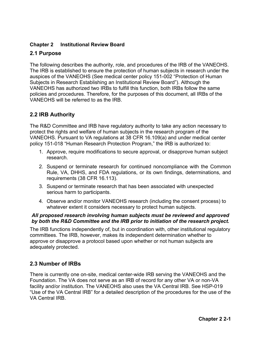## <span id="page-32-0"></span>**Chapter 2 Institutional Review Board**

## <span id="page-32-1"></span>**2.1 Purpose**

The following describes the authority, role, and procedures of the IRB of the VANEOHS. The IRB is established to ensure the protection of human subjects in research under the auspices of the VANEOHS (See medical center policy 151-002 "Protection of Human Subjects in Research Establishing an Institutional Review Board"). Although the VANEOHS has authorized two IRBs to fulfill this function, both IRBs follow the same policies and procedures. Therefore, for the purposes of this document, all IRBs of the VANEOHS will be referred to as the IRB.

# <span id="page-32-2"></span>**2.2 IRB Authority**

The R&D Committee and IRB have regulatory authority to take any action necessary to protect the rights and welfare of human subjects in the research program of the VANEOHS. Pursuant to VA regulations at 38 CFR 16.109(a) and under medical center policy 151-018 "Human Research Protection Program," the IRB is authorized to:

- 1. Approve, require modifications to secure approval, or disapprove human subject research.
- 2. Suspend or terminate research for continued noncompliance with the Common Rule, VA, DHHS, and FDA regulations, or its own findings, determinations, and requirements (38 CFR 16.113).
- 3. Suspend or terminate research that has been associated with unexpected serious harm to participants.
- 4. Observe and/or monitor VANEOHS research (including the consent process) to whatever extent it considers necessary to protect human subjects.

#### *All proposed research involving human subjects must be reviewed and approved by both the R&D Committee and the IRB prior to initiation of the research project.*

The IRB functions independently of, but in coordination with, other institutional regulatory committees. The IRB, however, makes its independent determination whether to approve or disapprove a protocol based upon whether or not human subjects are adequately protected.

## <span id="page-32-3"></span>**2.3 Number of IRBs**

There is currently one on-site, medical center-wide IRB serving the VANEOHS and the Foundation. The VA does not serve as an IRB of record for any other VA or non-VA facility and/or institution. The VANEOHS also uses the VA Central IRB. See HSP-019 "Use of the VA Central IRB" for a detailed description of the procedures for the use of the VA Central IRB.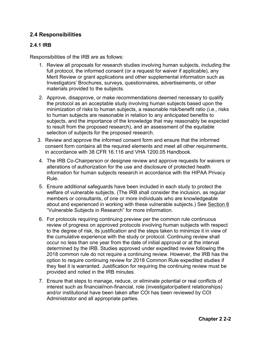# <span id="page-33-0"></span>**2.4 Responsibilities**

## <span id="page-33-1"></span>**2.4.1 IRB**

Responsibilities of the IRB are as follows:

- 1. Review all proposals for research studies involving human subjects, including the full protocol, the informed consent (or a request for waiver if applicable), any Merit Review or grant applications and other supplemental information such as Investigators' Brochures, surveys, questionnaires, advertisements, or other materials provided to the subjects.
- 2. Approve, disapprove, or make recommendations deemed necessary to qualify the protocol as an acceptable study involving human subjects based upon the minimization of risks to human subjects, a reasonable risk/benefit ratio (i.e., risks to human subjects are reasonable in relation to any anticipated benefits to subjects, and the importance of the knowledge that may reasonably be expected to result from the proposed research), and an assessment of the equitable selection of subjects for the proposed research.
- 3. Review and approve the informed consent form and ensure that the informed consent form contains all the required elements and meet all other requirements, in accordance with 38 CFR 16.116 and VHA 1200.05 Handbook.
- 4. The IRB Co-Chairperson or designee review and approve requests for waivers or alterations of authorization for the use and disclosure of protected health information for human subjects research in accordance with the HIPAA Privacy Rule.
- 5. Ensure additional safeguards have been included in each study to protect the welfare of vulnerable subjects. (The IRB shall consider the inclusion, as regular members or consultants, of one or more individuals who are knowledgeable about and experienced in working with these vulnerable subjects.) See Section 6 "Vulnerable Subjects in Research" for more information.
- 6. For protocols requiring continuing preview per the common rule continuous review of progress on approved protocols involving human subjects with respect to the degree of risk, its justification and the steps taken to minimize it in view of the cumulative experience with the study or protocol. Continuing review shall occur no less than one year from the date of initial approval or at the interval determined by the IRB. Studies approved under expedited review following the 2018 common rule do not require a continuing review. However, the IRB has the option to require continuing review for 2018 Common Rule expedited studies if they feel it is warranted. Justification for requiring the continuing review must be provided and noted in the IRB minutes.
- 7. Ensure that steps to manage, reduce, or eliminate potential or real conflicts of interest such as financial/non-financial, role (investigator/patient relationships) and/or institutional have been taken after COI has been reviewed by COI Administrator and all appropriate parties.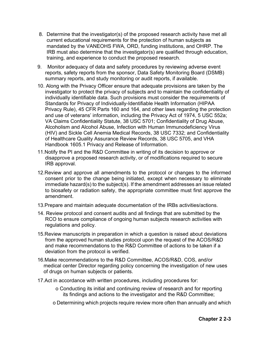- 8. Determine that the investigator(s) of the proposed research activity have met all current educational requirements for the protection of human subjects as mandated by the VANEOHS FWA, ORD, funding institutions, and OHRP. The IRB must also determine that the investigator(s) are qualified through education, training, and experience to conduct the proposed research.
- 9. Monitor adequacy of data and safety procedures by reviewing adverse event reports, safety reports from the sponsor, Data Safety Monitoring Board (DSMB) summary reports, and study monitoring or audit reports, if available.
- 10. Along with the Privacy Officer ensure that adequate provisions are taken by the investigator to protect the privacy of subjects and to maintain the confidentiality of individually identifiable data. Such provisions must consider the requirements of Standards for Privacy of Individually-Identifiable Health Information (HIPAA Privacy Rule), 45 CFR Parts 160 and 164, and other laws regarding the protection and use of veterans' information, including the Privacy Act of 1974, 5 USC 552a; VA Claims Confidentiality Statute, 38 USC 5701; Confidentiality of Drug Abuse, Alcoholism and Alcohol Abuse, Infection with Human Immunodeficiency Virus (HIV) and Sickle Cell Anemia Medical Records, 38 USC 7332; and Confidentiality of Healthcare Quality Assurance Review Records, 38 USC 5705, and VHA Handbook 1605.1 Privacy and Release of Information.
- 11.Notify the PI and the R&D Committee in writing of its decision to approve or disapprove a proposed research activity, or of modifications required to secure IRB approval.
- 12.Review and approve all amendments to the protocol or changes to the informed consent prior to the change being initiated, except when necessary to eliminate immediate hazard(s) to the subject(s). If the amendment addresses an issue related to biosafety or radiation safety, the appropriate committee must first approve the amendment.
- 13.Prepare and maintain adequate documentation of the IRBs activities/actions.
- 14. Review protocol and consent audits and all findings that are submitted by the RCO to ensure compliance of ongoing human subjects research activities with regulations and policy.
- 15.Review manuscripts in preparation in which a question is raised about deviations from the approved human studies protocol upon the request of the ACOS/R&D and make recommendations to the R&D Committee of actions to be taken if a deviation from the protocol is verified.
- 16.Make recommendations to the R&D Committee, ACOS/R&D, COS, and/or medical center Director regarding policy concerning the investigation of new uses of drugs on human subjects or patients.
- 17.Act in accordance with written procedures, including procedures for:
	- o Conducting its initial and continuing review of research and for reporting its findings and actions to the investigator and the R&D Committee;
	- o Determining which projects require review more often than annually and which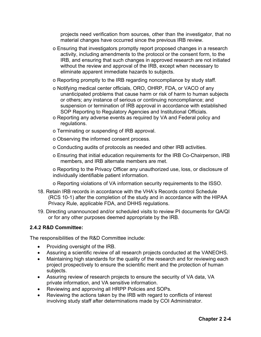projects need verification from sources, other than the investigator, that no material changes have occurred since the previous IRB review.

- o Ensuring that investigators promptly report proposed changes in a research activity, including amendments to the protocol or the consent form, to the IRB, and ensuring that such changes in approved research are not initiated without the review and approval of the IRB, except when necessary to eliminate apparent immediate hazards to subjects.
- o Reporting promptly to the IRB regarding noncompliance by study staff.
- o Notifying medical center officials, ORO, OHRP, FDA, or VACO of any unanticipated problems that cause harm or risk of harm to human subjects or others; any instance of serious or continuing noncompliance; and suspension or termination of IRB approval in accordance with established SOP Reporting to Regulatory Agencies and Institutional Officials.
- o Reporting any adverse events as required by VA and Federal policy and regulations.
- o Terminating or suspending of IRB approval.
- o Observing the informed consent process.
- o Conducting audits of protocols as needed and other IRB activities.
- o Ensuring that initial education requirements for the IRB Co-Chairperson, IRB members, and IRB alternate members are met.

o Reporting to the Privacy Officer any unauthorized use, loss, or disclosure of individually identifiable patient information.

o Reporting violations of VA information security requirements to the ISSO.

- 18. Retain IRB records in accordance with the VHA's Records control Schedule (RCS 10-1) after the completion of the study and in accordance with the HIPAA Privacy Rule, applicable FDA, and DHHS regulations.
- 19. Directing unannounced and/or scheduled visits to review PI documents for QA/QI or for any other purposes deemed appropriate by the IRB.

#### <span id="page-35-0"></span>**2.4.2 R&D Committee:**

The responsibilities of the R&D Committee include:

- Providing oversight of the IRB.
- Assuring a scientific review of all research projects conducted at the VANEOHS.
- Maintaining high standards for the quality of the research and for reviewing each project prospectively to ensure the scientific merit and the protection of human subjects.
- Assuring review of research projects to ensure the security of VA data, VA private information, and VA sensitive information.
- Reviewing and approving all HRPP Policies and SOPs.
- Reviewing the actions taken by the IRB with regard to conflicts of interest involving study staff after determinations made by COI Administrator.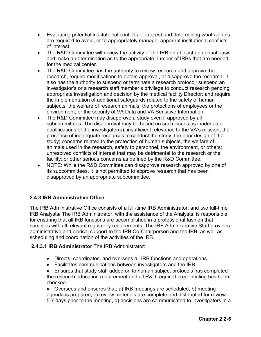- Evaluating potential institutional conflicts of interest and determining what actions are required to avoid, or to appropriately manage, apparent institutional conflicts of interest.
- The R&D Committee will review the activity of the IRB on at least an annual basis and make a determination as to the appropriate number of IRBs that are needed for the medical center.
- The R&D Committee has the authority to review research and approve the research, require modifications to obtain approval, or disapprove the research. It also has the authority to suspend or terminate a research protocol; suspend an investigator's or a research staff member's privilege to conduct research pending appropriate investigation and decision by the medical facility Director; and require the implementation of additional safeguards related to the safety of human subjects, the welfare of research animals, the protections of employees or the environment, or the security of VA Data and VA Sensitive Information.
- The R&D Committee may disapprove a study even if approved by all subcommittees. The disapproval may be based on such issues as inadequate qualifications of the investigator(s); insufficient relevance to the VA's mission; the presence of inadequate resources to conduct the study; the poor design of the study; concerns related to the protection of human subjects, the welfare of animals used in the research, safety to personnel, the environment, or others; unresolved conflicts of interest that may be detrimental to the research or the facility; or other serious concerns as defined by the R&D Committee.
- NOTE: While the R&D Committee can disapprove research approved by one of its subcommittees, it is not permitted to approve research that has been disapproved by an appropriate subcommittee.

# **2.4.3 IRB Administrative Office**

The IRB Administrative Office consists of a full-time IRB Administrator, and two full-time IRB Analysts/ The IRB Administrator, with the assistance of the Analysts, is responsible for ensuring that all IRB functions are accomplished in a professional fashion that complies with all relevant regulatory requirements. The IRB Administrative Staff provides administrative and clerical support to the IRB Co-Chairperson and the IRB, as well as scheduling and coordination of the activities of the IRB.

### **2.4.3.1 IRB Administrator** The IRB Administrator:

- Directs, coordinates, and oversees all IRB functions and operations.
- Facilitates communications between investigators and the IRB.
- Ensures that study staff added on to human subject protocols has completed the research education requirement and all R&D required credentialing has been checked.

• Oversees and ensures that: a) IRB meetings are scheduled, b) meeting agenda is prepared, c) review materials are complete and distributed for review 5-7 days prior to the meeting, d) decisions are communicated to investigators in a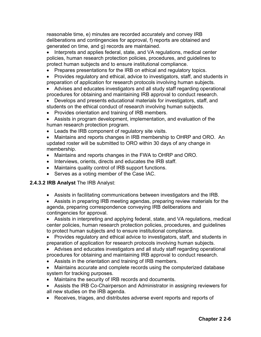reasonable time, e) minutes are recorded accurately and convey IRB deliberations and contingencies for approval, f) reports are obtained and generated on time, and g) records are maintained.

• Interprets and applies federal, state, and VA regulations, medical center policies, human research protection policies, procedures, and guidelines to protect human subjects and to ensure institutional compliance.

- Prepares presentations for the IRB on ethical and regulatory topics.
- Provides regulatory and ethical, advice to investigators, staff, and students in preparation of application for research protocols involving human subjects.
- Advises and educates investigators and all study staff regarding operational procedures for obtaining and maintaining IRB approval to conduct research.
- Develops and presents educational materials for investigators, staff, and students on the ethical conduct of research involving human subjects.
- Provides orientation and training of IRB members.
- Assists in program development, implementation, and evaluation of the human research protection program.
- Leads the IRB component of regulatory site visits.

• Maintains and reports changes in IRB membership to OHRP and ORO. An updated roster will be submitted to ORO within 30 days of any change in membership.

- Maintains and reports changes in the FWA to OHRP and ORO.
- Interviews, orients, directs and educates the IRB staff.
- Maintains quality control of IRB support functions.
- Serves as a voting member of the Case IAC.

#### **2.4.3.2 IRB Analyst** The IRB Analyst:

• Assists in facilitating communications between investigators and the IRB.

• Assists in preparing IRB meeting agendas, preparing review materials for the agenda, preparing correspondence conveying IRB deliberations and contingencies for approval.

• Assists in interpreting and applying federal, state, and VA regulations, medical center policies, human research protection policies, procedures, and guidelines to protect human subjects and to ensure institutional compliance.

• Provides regulatory and ethical advice to investigators, staff, and students in preparation of application for research protocols involving human subjects.

• Advises and educates investigators and all study staff regarding operational procedures for obtaining and maintaining IRB approval to conduct research.

- Assists in the orientation and training of IRB members.
- Maintains accurate and complete records using the computerized database system for tracking purposes.
- Maintains the security of IRB records and documents.
- Assists the IRB Co-Chairperson and Administrator in assigning reviewers for all new studies on the IRB agenda.
- Receives, triages, and distributes adverse event reports and reports of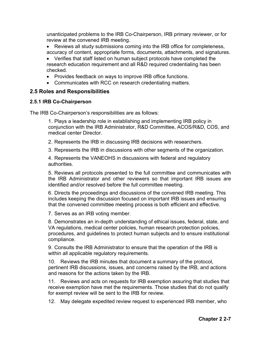unanticipated problems to the IRB Co-Chairperson, IRB primary reviewer, or for review at the convened IRB meeting.

- Reviews all study submissions coming into the IRB office for completeness, accuracy of content, appropriate forms, documents, attachments, and signatures.
- Verifies that staff listed on human subject protocols have completed the research education requirement and all R&D required credentialing has been checked.
- Provides feedback on ways to improve IRB office functions.
- Communicates with RCC on research credentialing matters.

### **2.5 Roles and Responsibilities**

#### **2.5.1 IRB Co-Chairperson**

The IRB Co-Chairperson's responsibilities are as follows:

1. Plays a leadership role in establishing and implementing IRB policy in conjunction with the IRB Administrator, R&D Committee, ACOS/R&D, COS, and medical center Director.

2. Represents the IRB in discussing IRB decisions with researchers.

3. Represents the IRB in discussions with other segments of the organization.

4. Represents the VANEOHS in discussions with federal and regulatory authorities.

5. Reviews all protocols presented to the full committee and communicates with the IRB Administrator and other reviewers so that important IRB issues are identified and/or resolved before the full committee meeting.

6. Directs the proceedings and discussions of the convened IRB meeting. This includes keeping the discussion focused on important IRB issues and ensuring that the convened committee meeting process is both efficient and effective.

7. Serves as an IRB voting member.

8. Demonstrates an in-depth understanding of ethical issues, federal, state, and VA regulations, medical center policies, human research protection policies, procedures, and guidelines to protect human subjects and to ensure institutional compliance.

9. Consults the IRB Administrator to ensure that the operation of the IRB is within all applicable regulatory requirements.

10. Reviews the IRB minutes that document a summary of the protocol, pertinent IRB discussions, issues, and concerns raised by the IRB, and actions and reasons for the actions taken by the IRB.

11. Reviews and acts on requests for IRB exemption assuring that studies that receive exemption have met the requirements. Those studies that do not qualify for exempt review will be sent to the IRB for review.

12. May delegate expedited review request to experienced IRB member, who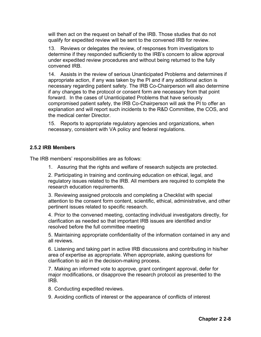will then act on the request on behalf of the IRB. Those studies that do not qualify for expedited review will be sent to the convened IRB for review.

13. Reviews or delegates the review, of responses from investigators to determine if they responded sufficiently to the IRB's concern to allow approval under expedited review procedures and without being returned to the fully convened IRB.

14. Assists in the review of serious Unanticipated Problems and determines if appropriate action, if any was taken by the PI and if any additional action is necessary regarding patient safety. The IRB Co-Chairperson will also determine if any changes to the protocol or consent form are necessary from that point forward. In the cases of Unanticipated Problems that have seriously compromised patient safety, the IRB Co-Chairperson will ask the PI to offer an explanation and will report such incidents to the R&D Committee, the COS, and the medical center Director.

15. Reports to appropriate regulatory agencies and organizations, when necessary, consistent with VA policy and federal regulations.

#### **2.5.2 IRB Members**

The IRB members' responsibilities are as follows:

1. Assuring that the rights and welfare of research subjects are protected.

2. Participating in training and continuing education on ethical, legal, and regulatory issues related to the IRB. All members are required to complete the research education requirements.

3. Reviewing assigned protocols and completing a Checklist with special attention to the consent form content, scientific, ethical, administrative, and other pertinent issues related to specific research.

4. Prior to the convened meeting, contacting individual investigators directly, for clarification as needed so that important IRB issues are identified and/or resolved before the full committee meeting

5. Maintaining appropriate confidentiality of the information contained in any and all reviews.

6. Listening and taking part in active IRB discussions and contributing in his/her area of expertise as appropriate. When appropriate, asking questions for clarification to aid in the decision-making process.

7. Making an informed vote to approve, grant contingent approval, defer for major modifications, or disapprove the research protocol as presented to the IRB.

- 8. Conducting expedited reviews.
- 9. Avoiding conflicts of interest or the appearance of conflicts of interest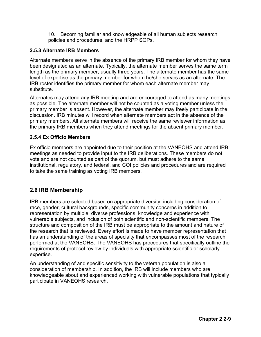10. Becoming familiar and knowledgeable of all human subjects research policies and procedures, and the HRPP SOPs.

### **2.5.3 Alternate IRB Members**

Alternate members serve in the absence of the primary IRB member for whom they have been designated as an alternate. Typically, the alternate member serves the same term length as the primary member, usually three years. The alternate member has the same level of expertise as the primary member for whom he/she serves as an alternate. The IRB roster identifies the primary member for whom each alternate member may substitute.

Alternates may attend any IRB meeting and are encouraged to attend as many meetings as possible. The alternate member will not be counted as a voting member unless the primary member is absent. However, the alternate member may freely participate in the discussion. IRB minutes will record when alternate members act in the absence of the primary members. All alternate members will receive the same reviewer information as the primary IRB members when they attend meetings for the absent primary member.

### **2.5.4 Ex Officio Members**

Ex officio members are appointed due to their position at the VANEOHS and attend IRB meetings as needed to provide input to the IRB deliberations. These members do not vote and are not counted as part of the quorum, but must adhere to the same institutional, regulatory, and federal, and COI policies and procedures and are required to take the same training as voting IRB members.

# **2.6 IRB Membership**

IRB members are selected based on appropriate diversity, including consideration of race, gender, cultural backgrounds, specific community concerns in addition to representation by multiple, diverse professions, knowledge and experience with vulnerable subjects, and inclusion of both scientific and non-scientific members. The structure and composition of the IRB must be appropriate to the amount and nature of the research that is reviewed. Every effort is made to have member representation that has an understanding of the areas of specialty that encompasses most of the research performed at the VANEOHS. The VANEOHS has procedures that specifically outline the requirements of protocol review by individuals with appropriate scientific or scholarly expertise.

An understanding of and specific sensitivity to the veteran population is also a consideration of membership. In addition, the IRB will include members who are knowledgeable about and experienced working with vulnerable populations that typically participate in VANEOHS research.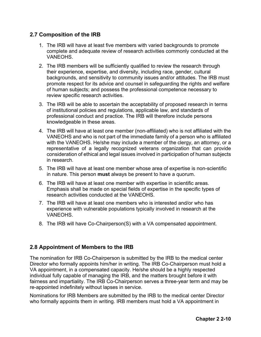# **2.7 Composition of the IRB**

- 1. The IRB will have at least five members with varied backgrounds to promote complete and adequate review of research activities commonly conducted at the **VANFOHS**
- 2. The IRB members will be sufficiently qualified to review the research through their experience, expertise, and diversity, including race, gender, cultural backgrounds, and sensitivity to community issues and/or attitudes. The IRB must promote respect for its advice and counsel in safeguarding the rights and welfare of human subjects; and possess the professional competence necessary to review specific research activities.
- 3. The IRB will be able to ascertain the acceptability of proposed research in terms of institutional policies and regulations, applicable law, and standards of professional conduct and practice. The IRB will therefore include persons knowledgeable in these areas.
- 4. The IRB will have at least one member (non-affiliated) who is not affiliated with the VANEOHS and who is not part of the immediate family of a person who is affiliated with the VANEOHS. He/she may include a member of the clergy, an attorney, or a representative of a legally recognized veterans organization that can provide consideration of ethical and legal issues involved in participation of human subjects in research.
- 5. The IRB will have at least one member whose area of expertise is non-scientific in nature. This person **must** always be present to have a quorum.
- 6. The IRB will have at least one member with expertise in scientific areas. Emphasis shall be made on special fields of expertise in the specific types of research activities conducted at the VANEOHS.
- 7. The IRB will have at least one members who is interested and/or who has experience with vulnerable populations typically involved in research at the VANEOHS.
- 8. The IRB will have Co-Chairperson(S) with a VA compensated appointment.

# **2.8 Appointment of Members to the IRB**

The nomination for IRB Co-Chairperson is submitted by the IRB to the medical center Director who formally appoints him/her in writing. The IRB Co-Chairperson must hold a VA appointment, in a compensated capacity. He/she should be a highly respected individual fully capable of managing the IRB, and the matters brought before it with fairness and impartiality. The IRB Co-Chairperson serves a three-year term and may be re-appointed indefinitely without lapses in service.

Nominations for IRB Members are submitted by the IRB to the medical center Director who formally appoints them in writing. IRB members must hold a VA appointment in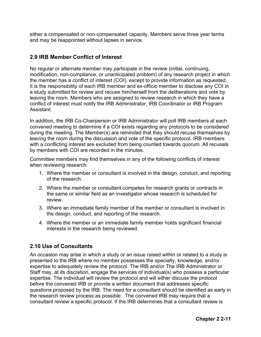either a compensated or non-compensated capacity. Members serve three year terms and may be reappointed without lapses in service.

# **2.9 IRB Member Conflict of Interest**

No regular or alternate member may participate in the review (initial, continuing, modification, non-compliance, or unanticipated problem) of any research project in which the member has a conflict of interest (COI), except to provide information as requested. It is the responsibility of each IRB member and ex-officio member to disclose any COI in a study submitted for review and recuse him/herself from the deliberations and vote by leaving the room. Members who are assigned to review research in which they have a conflict of interest must notify the IRB Administrator, IRB Coordinator or IRB Program Assistant.

In addition, the IRB Co-Chairperson or IRB Administrator will poll IRB members at each convened meeting to determine if a COI exists regarding any protocols to be considered during the meeting. The Member(s) are reminded that they should recuse themselves by leaving the room during the discussion and vote of the specific protocol. IRB members with a conflicting interest are excluded from being counted towards quorum. All recusals by members with COI are recorded in the minutes.

Committee members may find themselves in any of the following conflicts of interest when reviewing research:

- 1. Where the member or consultant is involved in the design, conduct, and reporting of the research.
- 2. Where the member or consultant competes for research grants or contracts in the same or similar field as an investigator whose research is scheduled for review.
- 3. Where an immediate family member of the member or consultant is involved in the design, conduct, and reporting of the research.
- 4. Where the member or an immediate family member holds significant financial interests in the research being reviewed.

# **2.10 Use of Consultants**

An occasion may arise in which a study or an issue raised within or related to a study is presented to the IRB where no member possesses the specialty, knowledge, and/or expertise to adequately review the protocol. The IRB and/or The IRB Administrator or Staff may, at its discretion, engage the services of individual(s) who possess a particular expertise. The individual will review the protocol and will either discuss the protocol before the convened IRB or provide a written document that addresses specific questions proposed by the IRB. The need for a consultant should be identified as early in the research review process as possible. The convened IRB may require that a consultant review a specific protocol. If the IRB determines that a consultant review is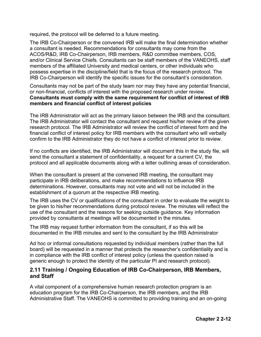required, the protocol will be deferred to a future meeting.

The IRB Co-Chairperson or the convened IRB will make the final determination whether a consultant is needed. Recommendations for consultants may come from the ACOS/R&D, IRB Co-Chairperson, IRB members, R&D committee members, COS, and/or Clinical Service Chiefs. Consultants can be staff members of the VANEOHS, staff members of the affiliated University and medical centers, or other individuals who possess expertise in the discipline/field that is the focus of the research protocol. The IRB Co-Chairperson will identify the specific issues for the consultant's consideration.

Consultants may not be part of the study team nor may they have any potential financial, or non-financial, conflicts of interest with the proposed research under review. **Consultants must comply with the same requirement for conflict of interest of IRB members and financial conflict of interest policies** 

The IRB Administrator will act as the primary liaison between the IRB and the consultant. The IRB Administrator will contact the consultant and request his/her review of the given research protocol. The IRB Administrator will review the conflict of interest form and the financial conflict of interest policy for IRB members with the consultant who will verbally confirm to the IRB Administrator they do not have a conflict of interest prior to review.

If no conflicts are identified, the IRB Administrator will document this in the study file, will send the consultant a statement of confidentiality, a request for a current CV, the protocol and all applicable documents along with a letter outlining areas of consideration.

When the consultant is present at the convened IRB meeting, the consultant may participate in IRB deliberations, and make recommendations to influence IRB determinations. However, consultants may not vote and will not be included in the establishment of a quorum at the respective IRB meeting.

The IRB uses the CV or qualifications of the consultant in order to evaluate the weight to be given to his/her recommendations during protocol review. The minutes will reflect the use of the consultant and the reasons for seeking outside guidance. Key information provided by consultants at meetings will be documented in the minutes.

The IRB may request further information from the consultant, if so this will be documented in the IRB minutes and sent to the consultant by the IRB Administrator

Ad hoc or informal consultations requested by individual members (rather than the full board) will be requested in a manner that protects the researcher's confidentiality and is in compliance with the IRB conflict of interest policy (unless the question raised is generic enough to protect the identity of the particular PI and research protocol).

### **2.11 Training / Ongoing Education of IRB Co-Chairperson, IRB Members, and Staff**

A vital component of a comprehensive human research protection program is an education program for the IRB Co-Chairperson, the IRB members, and the IRB Administrative Staff. The VANEOHS is committed to providing training and an on-going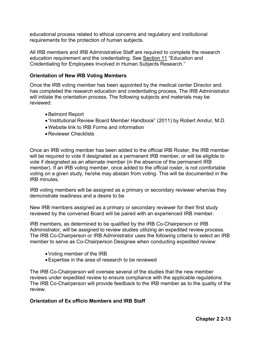educational process related to ethical concerns and regulatory and institutional requirements for the protection of human subjects.

All IRB members and IRB Administrative Staff are required to complete the research education requirement and the credentialing. See Section 11 "Education and Credentialing for Employees Involved in Human Subjects Research."

#### **Orientation of New IRB Voting Members**

Once the IRB voting member has been appointed by the medical center Director and has completed the research education and credentialing process, The IRB Administrator will initiate the orientation process. The following subjects and materials may be reviewed:

- •Belmont Report
- "Institutional Review Board Member Handbook" (2011) by Robert Amdur, M.D.
- •Website link to IRB Forms and information
- •Reviewer Checklists

Once an IRB voting member has been added to the official IRB Roster, the IRB member will be required to vote if designated as a permanent IRB member, or will be eligible to vote if designated as an alternate member (in the absence of the permanent IRB member). If an IRB voting member, once added to the official roster, is not comfortable voting on a given study, he/she may abstain from voting. This will be documented in the IRB minutes.

IRB voting members will be assigned as a primary or secondary reviewer when/as they demonstrate readiness and a desire to be

New IRB members assigned as a primary or secondary reviewer for their first study reviewed by the convened Board will be paired with an experienced IRB member.

IRB members, as determined to be qualified by the IRB Co-Chairperson or IRB Administrator, will be assigned to review studies utilizing an expedited review process. The IRB Co-Chairperson or IRB Administrator uses the following criteria to select an IRB member to serve as Co-Chairperson Designee when conducting expedited review:

- •Voting member of the IRB
- •Expertise in the area of research to be reviewed

The IRB Co-Chairperson will oversee several of the studies that the new member reviews under expedited review to ensure compliance with the applicable regulations. The IRB Co-Chairperson will provide feedback to the IRB member as to the quality of the review.

#### **Orientation of Ex officio Members and IRB Staff**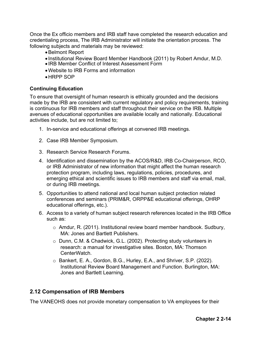Once the Ex officio members and IRB staff have completed the research education and credentialing process, The IRB Administrator will initiate the orientation process. The following subjects and materials may be reviewed:

- •Belmont Report
- Institutional Review Board Member Handbook (2011) by Robert Amdur, M.D.
- IRB Member Conflict of Interest Assessment Form
- •Website to IRB Forms and information
- •HRPP SOP

### **Continuing Education**

To ensure that oversight of human research is ethically grounded and the decisions made by the IRB are consistent with current regulatory and policy requirements, training is continuous for IRB members and staff throughout their service on the IRB. Multiple avenues of educational opportunities are available locally and nationally. Educational activities include, but are not limited to;

- 1. In-service and educational offerings at convened IRB meetings.
- 2. Case IRB Member Symposium.
- 3. Research Service Research Forums.
- 4. Identification and dissemination by the ACOS/R&D, IRB Co-Chairperson, RCO, or IRB Administrator of new information that might affect the human research protection program, including laws, regulations, policies, procedures, and emerging ethical and scientific issues to IRB members and staff via email, mail, or during IRB meetings.
- 5. Opportunities to attend national and local human subject protection related conferences and seminars (PRIM&R, ORPP&E educational offerings, OHRP educational offerings, etc.).
- 6. Access to a variety of human subject research references located in the IRB Office such as:
	- o Amdur, R. (2011). Institutional review board member handbook. Sudbury, MA: Jones and Bartlett Publishers.
	- o Dunn, C.M. & Chadwick, G.L. (2002). Protecting study volunteers in research: a manual for investigative sites. Boston, MA: Thomson CenterWatch.
	- o Bankert, E. A., Gordon, B.G., Hurley, E.A., and Shriver, S.P. (2022). Institutional Review Board Management and Function. Burlington, MA: Jones and Bartlett Learning.

### **2.12 Compensation of IRB Members**

The VANEOHS does not provide monetary compensation to VA employees for their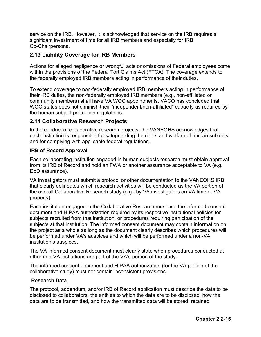service on the IRB. However, it is acknowledged that service on the IRB requires a significant investment of time for all IRB members and especially for IRB Co-Chairpersons.

# **2.13 Liability Coverage for IRB Members**

Actions for alleged negligence or wrongful acts or omissions of Federal employees come within the provisions of the Federal Tort Claims Act (FTCA). The coverage extends to the federally employed IRB members acting in performance of their duties.

To extend coverage to non-federally employed IRB members acting in performance of their IRB duties, the non-federally employed IRB members (e.g., non-affiliated or community members) shall have VA WOC appointments. VACO has concluded that WOC status does not diminish their "independent/non-affiliated" capacity as required by the human subject protection regulations.

# **2.14 Collaborative Research Projects**

In the conduct of collaborative research projects, the VANEOHS acknowledges that each institution is responsible for safeguarding the rights and welfare of human subjects and for complying with applicable federal regulations.

### **IRB of Record Approval**

Each collaborating institution engaged in human subjects research must obtain approval from its IRB of Record and hold an FWA or another assurance acceptable to VA (e.g. DoD assurance).

VA investigators must submit a protocol or other documentation to the VANEOHS IRB that clearly delineates which research activities will be conducted as the VA portion of the overall Collaborative Research study (e.g., by VA investigators on VA time or VA property).

Each institution engaged in the Collaborative Research must use the informed consent document and HIPAA authorization required by its respective institutional policies for subjects recruited from that institution, or procedures requiring participation of the subjects at that institution. The informed consent document may contain information on the project as a whole as long as the document clearly describes which procedures will be performed under VA's auspices and which will be performed under a non-VA institution's auspices.

The VA informed consent document must clearly state when procedures conducted at other non-VA institutions are part of the VA's portion of the study.

The informed consent document and HIPAA authorization (for the VA portion of the collaborative study) must not contain inconsistent provisions.

### **Research Data**

The protocol, addendum, and/or IRB of Record application must describe the data to be disclosed to collaborators, the entities to which the data are to be disclosed, how the data are to be transmitted, and how the transmitted data will be stored, retained,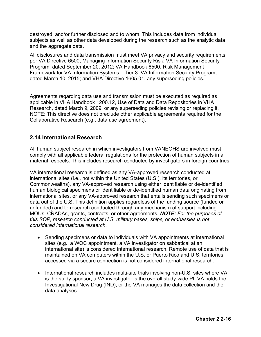destroyed, and/or further disclosed and to whom. This includes data from individual subjects as well as other data developed during the research such as the analytic data and the aggregate data.

All disclosures and data transmission must meet VA privacy and security requirements per VA Directive 6500, Managing Information Security Risk: VA Information Security Program, dated September 20, 2012; VA Handbook 6500, Risk Management Framework for VA Information Systems – Tier 3: VA Information Security Program, dated March 10, 2015; and VHA Directive 1605.01, any superseding policies.

Agreements regarding data use and transmission must be executed as required as applicable in VHA Handbook 1200.12, Use of Data and Data Repositories in VHA Research, dated March 9, 2009, or any superseding policies revising or replacing it. NOTE: This directive does not preclude other applicable agreements required for the Collaborative Research (e.g., data use agreement).

# **2.14 International Research**

All human subject research in which investigators from VANEOHS are involved must comply with all applicable federal regulations for the protection of human subjects in all material respects. This includes research conducted by investigators in foreign countries.

VA international research is defined as any VA-approved research conducted at international sites (i.e., not within the United States (U.S.), its territories, or Commonwealths), any VA-approved research using either identifiable or de-identified human biological specimens or identifiable or de-identified human data originating from international sites, or any VA-approved research that entails sending such specimens or data out of the U.S. This definition applies regardless of the funding source (funded or unfunded) and to research conducted through any mechanism of support including MOUs, CRADAs, grants, contracts, or other agreements. *NOTE: For the purposes of this SOP, research conducted at U.S. military bases, ships, or embassies is not considered international research.* 

- Sending specimens or data to individuals with VA appointments at international sites (e.g., a WOC appointment, a VA investigator on sabbatical at an international site) is considered international research. Remote use of data that is maintained on VA computers within the U.S. or Puerto Rico and U.S. territories accessed via a secure connection is not considered international research.
- International research includes multi-site trials involving non-U.S. sites where VA is the study sponsor, a VA investigator is the overall study-wide PI, VA holds the Investigational New Drug (IND), or the VA manages the data collection and the data analyses.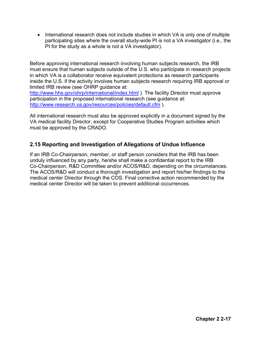• International research does not include studies in which VA is only one of multiple participating sites where the overall study-wide PI is not a VA investigator (i.e., the PI for the study as a whole is not a VA investigator).

Before approving international research involving human subjects research, the IRB must ensure that human subjects outside of the U.S. who participate in research projects in which VA is a collaborator receive equivalent protections as research participants inside the U.S. if the activity involves human subjects research requiring IRB approval or limited IRB review (see OHRP guidance at:

<http://www.hhs.gov/ohrp/international/index.html>). The facility Director must approve participation in the proposed international research (see guidance at: <http://www.research.va.gov/resources/policies/default.cfm> ).

All international research must also be approved explicitly in a document signed by the VA medical facility Director, except for Cooperative Studies Program activities which must be approved by the CRADO.

# **2.15 Reporting and Investigation of Allegations of Undue Influence**

If an IRB Co-Chairperson, member, or staff person considers that the IRB has been unduly influenced by any party, he/she shall make a confidential report to the IRB Co-Chairperson, R&D Committee and/or ACOS/R&D, depending on the circumstances. The ACOS/R&D will conduct a thorough investigation and report his/her findings to the medical center Director through the COS. Final corrective action recommended by the medical center Director will be taken to prevent additional occurrences.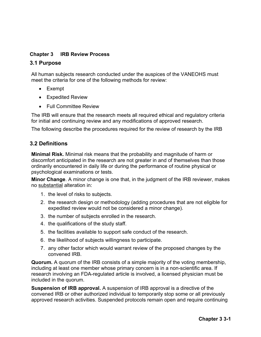# **Chapter 3 IRB Review Process**

### **3.1 Purpose**

All human subjects research conducted under the auspices of the VANEOHS must meet the criteria for one of the following methods for review:

- Exempt
- Expedited Review
- Full Committee Review

The IRB will ensure that the research meets all required ethical and regulatory criteria for initial and continuing review and any modifications of approved research.

The following describe the procedures required for the review of research by the IRB

# **3.2 Definitions**

**Minimal Risk.** Minimal risk means that the probability and magnitude of harm or discomfort anticipated in the research are not greater in and of themselves than those ordinarily encountered in daily life or during the performance of routine physical or psychological examinations or tests.

**Minor Change**. A minor change is one that, in the judgment of the IRB reviewer, makes no substantial alteration in:

- 1. the level of risks to subjects.
- 2. the research design or methodology (adding procedures that are not eligible for expedited review would not be considered a minor change).
- 3. the number of subjects enrolled in the research.
- 4. the qualifications of the study staff.
- 5. the facilities available to support safe conduct of the research.
- 6. the likelihood of subjects willingness to participate.
- 7. any other factor which would warrant review of the proposed changes by the convened IRB.

**Quorum.** A quorum of the IRB consists of a simple majority of the voting membership, including at least one member whose primary concern is in a non-scientific area. If research involving an FDA-regulated article is involved, a licensed physician must be included in the quorum.

**Suspension of IRB approval.** A suspension of IRB approval is a directive of the convened IRB or other authorized individual to temporarily stop some or all previously approved research activities. Suspended protocols remain open and require continuing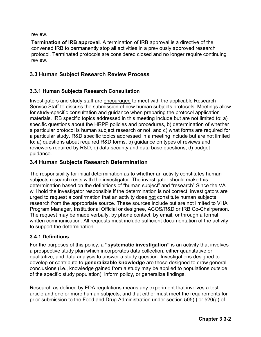review.

**Termination of IRB approval**. A termination of IRB approval is a directive of the convened IRB to permanently stop all activities in a previously approved research protocol. Terminated protocols are considered closed and no longer require continuing review.

# **3.3 Human Subject Research Review Process**

# **3.3.1 Human Subjects Research Consultation**

Investigators and study staff are encouraged to meet with the applicable Research Service Staff to discuss the submission of new human subjects protocols. Meetings allow for study-specific consultation and guidance when preparing the protocol application materials. IRB specific topics addressed in this meeting include but are not limited to: a) specific questions about the HRPP policies and procedures, b) determination of whether a particular protocol is human subject research or not, and c) what forms are required for a particular study. R&D specific topics addressed in a meeting include but are not limited to: a) questions about required R&D forms, b) guidance on types of reviews and reviewers required by R&D, c) data security and data base questions, d) budget guidance.

# **3.4 Human Subjects Research Determination**

The responsibility for initial determination as to whether an activity constitutes human subjects research rests with the investigator. The investigator should make this determination based on the definitions of "human subject" and "research" Since the VA will hold the investigator responsible if the determination is not correct, investigators are urged to request a confirmation that an activity does not constitute human subjects research from the appropriate source. These sources include but are not limited to VHA Program Manager, Institutional Official or designee, ACOS/R&D or IRB Co-Chairperson. The request may be made verbally, by phone contact, by email, or through a formal written communication. All requests must include sufficient documentation of the activity to support the determination.

# **3.4.1 Definitions**

For the purposes of this policy, a **"systematic investigation"** is an activity that involves a prospective study plan which incorporates data collection, either quantitative or qualitative, and data analysis to answer a study question. Investigations designed to develop or contribute to **generalizable knowledge** are those designed to draw general conclusions (i.e., knowledge gained from a study may be applied to populations outside of the specific study population), inform policy, or generalize findings.

Research as defined by FDA regulations means any experiment that involves a test article and one or more human subjects, and that either must meet the requirements for prior submission to the Food and Drug Administration under section 505(i) or 520(g) of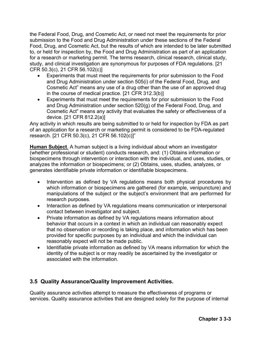the Federal Food, Drug, and Cosmetic Act, or need not meet the requirements for prior submission to the Food and Drug Administration under these sections of the Federal Food, Drug, and Cosmetic Act, but the results of which are intended to be later submitted to, or held for inspection by, the Food and Drug Administration as part of an application for a research or marketing permit. The terms research, clinical research, clinical study, study, and clinical investigation are synonymous for purposes of FDA regulations. [21 CFR 50.3(c), 21 CFR 56.102(c)]

- Experiments that must meet the requirements for prior submission to the Food and Drug Administration under section 505(i) of the Federal Food, Drug, and Cosmetic Act" means any use of a drug other than the use of an approved drug in the course of medical practice. [21 CFR 312.3(b)]
- Experiments that must meet the requirements for prior submission to the Food and Drug Administration under section 520(g) of the Federal Food, Drug, and Cosmetic Act" means any activity that evaluates the safety or effectiveness of a device. [21 CFR 812.2(a)]

Any activity in which results are being submitted to or held for inspection by FDA as part of an application for a research or marketing permit is considered to be FDA-regulated research. [21 CFR 50.3(c), 21 CFR 56.102(c)]"

**Human Subject**. A human subject is a living individual about whom an investigator (whether professional or student) conducts research, and: (1) Obtains information or biospecimens through intervention or interaction with the individual, and uses, studies, or analyzes the information or biospecimens; or (2) Obtains, uses, studies, analyzes, or generates identifiable private information or identifiable biospecimens.

- Intervention as defined by VA regulations means both physical procedures by which information or biospecimens are gathered (for example, venipuncture) and manipulations of the subject or the subject's environment that are performed for research purposes.
- Interaction as defined by VA regulations means communication or interpersonal contact between investigator and subject.
- Private information as defined by VA regulations means information about behavior that occurs in a context in which an individual can reasonably expect that no observation or recording is taking place, and information which has been provided for specific purposes by an individual and which the individual can reasonably expect will not be made public.
- Identifiable private information as defined by VA means information for which the identity of the subject is or may readily be ascertained by the investigator or associated with the information.

# **3.5 Quality Assurance/Quality Improvement Activities.**

Quality assurance activities attempt to measure the effectiveness of programs or services. Quality assurance activities that are designed solely for the purpose of internal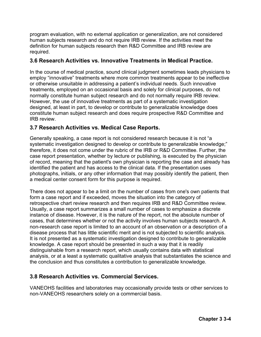program evaluation, with no external application or generalization, are not considered human subjects research and do not require IRB review. If the activities meet the definition for human subjects research then R&D Committee and IRB review are required.

### **3.6 Research Activities vs. Innovative Treatments in Medical Practice.**

In the course of medical practice, sound clinical judgment sometimes leads physicians to employ "innovative" treatments where more common treatments appear to be ineffective or otherwise unsuitable in addressing a patient's individual needs. Such innovative treatments, employed on an occasional basis and solely for clinical purposes, do not normally constitute human subject research and do not normally require IRB review. However, the use of innovative treatments as part of a systematic investigation designed, at least in part, to develop or contribute to generalizable knowledge does constitute human subject research and does require prospective R&D Committee and IRB review.

### **3.7 Research Activities vs. Medical Case Reports.**

Generally speaking, a case report is not considered research because it is not "a systematic investigation designed to develop or contribute to generalizable knowledge;" therefore, it does not come under the rubric of the IRB or R&D Committee. Further, the case report presentation, whether by lecture or publishing, is executed by the physician of record, meaning that the patient's own physician is reporting the case and already has identified the patient and has access to the clinical data. If the presentation uses photographs, initials, or any other information that may possibly identify the patient, then a medical center consent form for this purpose is required.

There does not appear to be a limit on the number of cases from one's own patients that form a case report and if exceeded, moves the situation into the category of retrospective chart review research and then requires IRB and R&D Committee review. Usually, a case report summarizes a small number of cases to emphasize a discrete instance of disease. However, it is the nature of the report, not the absolute number of cases, that determines whether or not the activity involves human subjects research. A non-research case report is limited to an account of an observation or a description of a disease process that has little scientific merit and is not subjected to scientific analysis. It is not presented as a systematic investigation designed to contribute to generalizable knowledge. A case report should be presented in such a way that it is readily distinguishable from a research report, which usually contains data with statistical analysis, or at a least a systematic qualitative analysis that substantiates the science and the conclusion and thus constitutes a contribution to generalizable knowledge.

### **3.8 Research Activities vs. Commercial Services.**

VANEOHS facilities and laboratories may occasionally provide tests or other services to non-VANEOHS researchers solely on a commercial basis.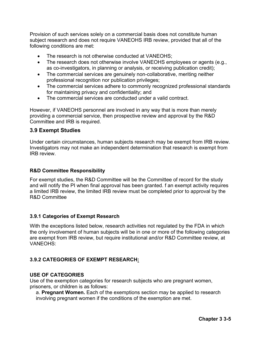Provision of such services solely on a commercial basis does not constitute human subject research and does not require VANEOHS IRB review, provided that all of the following conditions are met:

- The research is not otherwise conducted at VANEOHS:
- The research does not otherwise involve VANEOHS employees or agents (e.g., as co-investigators, in planning or analysis, or receiving publication credit);
- The commercial services are genuinely non-collaborative, meriting neither professional recognition nor publication privileges;
- The commercial services adhere to commonly recognized professional standards for maintaining privacy and confidentiality; and
- The commercial services are conducted under a valid contract.

However, if VANEOHS personnel are involved in any way that is more than merely providing a commercial service, then prospective review and approval by the R&D Committee and IRB is required.

### **3.9 Exempt Studies**

Under certain circumstances, human subjects research may be exempt from IRB review. Investigators may not make an independent determination that research is exempt from IRB review.

#### **R&D Committee Responsibility**

For exempt studies, the R&D Committee will be the Committee of record for the study and will notify the PI when final approval has been granted. f an exempt activity requires a limited IRB review, the limited IRB review must be completed prior to approval by the R&D Committee

#### **3.9.1 Categories of Exempt Research**

With the exceptions listed below, research activities not regulated by the FDA in which the only involvement of human subjects will be in one or more of the following categories are exempt from IRB review, but require institutional and/or R&D Committee review, at VANEOHS:

### **3.9.2 CATEGORIES OF EXEMPT RESEARCH:**

#### **USE OF CATEGORIES**

Use of the exemption categories for research subjects who are pregnant women, prisoners, or children is as follows:

a. **Pregnant Women.** Each of the exemptions section may be applied to research involving pregnant women if the conditions of the exemption are met.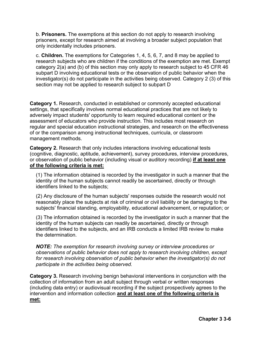b. **Prisoners.** The exemptions at this section do not apply to research involving prisoners, except for research aimed at involving a broader subject population that only incidentally includes prisoners.

c. **Children.** The exemptions for Categories 1, 4, 5, 6, 7, and 8 may be applied to research subjects who are children if the conditions of the exemption are met. Exempt category 2(a) and (b) of this section may only apply to research subject to 45 CFR 46 subpart D involving educational tests or the observation of public behavior when the investigator(s) do not participate in the activities being observed. Category 2 (3) of this section may not be applied to research subject to subpart D

**Category 1.** Research, conducted in established or commonly accepted educational settings, that specifically involves normal educational practices that are not likely to adversely impact students' opportunity to learn required educational content or the assessment of educators who provide instruction. This includes most research on regular and special education instructional strategies, and research on the effectiveness of or the comparison among instructional techniques, curricula, or classroom management methods.

**Category 2.** Research that only includes interactions involving educational tests (cognitive, diagnostic, aptitude, achievement), survey procedures, interview procedures, or observation of public behavior (including visual or auditory recording) **if at least one of the following criteria is met:** 

(1) The information obtained is recorded by the investigator in such a manner that the identity of the human subjects cannot readily be ascertained, directly or through identifiers linked to the subjects;

(2) Any disclosure of the human subjects' responses outside the research would not reasonably place the subjects at risk of criminal or civil liability or be damaging to the subjects' financial standing, employability, educational advancement, or reputation; or

(3) The information obtained is recorded by the investigator in such a manner that the identity of the human subjects can readily be ascertained, directly or through identifiers linked to the subjects, and an IRB conducts a limited IRB review to make the determination.

*NOTE: The exemption for research involving survey or interview procedures or observations of public behavior does not apply to research involving children, except for research involving observation of public behavior when the investigator(s) do not participate in the activities being observed.* 

**Category 3.** Research involving benign behavioral interventions in conjunction with the collection of information from an adult subject through verbal or written responses (including data entry) or audiovisual recording if the subject prospectively agrees to the intervention and information collection **and at least one of the following criteria is met:**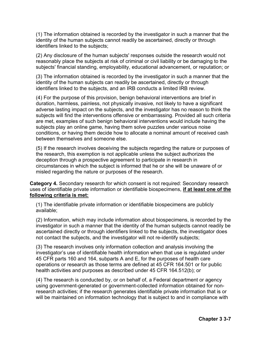(1) The information obtained is recorded by the investigator in such a manner that the identity of the human subjects cannot readily be ascertained, directly or through identifiers linked to the subjects;

(2) Any disclosure of the human subjects' responses outside the research would not reasonably place the subjects at risk of criminal or civil liability or be damaging to the subjects' financial standing, employability, educational advancement, or reputation; or

(3) The information obtained is recorded by the investigator in such a manner that the identity of the human subjects can readily be ascertained, directly or through identifiers linked to the subjects, and an IRB conducts a limited IRB review.

(4) For the purpose of this provision, benign behavioral interventions are brief in duration, harmless, painless, not physically invasive, not likely to have a significant adverse lasting impact on the subjects, and the investigator has no reason to think the subjects will find the interventions offensive or embarrassing. Provided all such criteria are met, examples of such benign behavioral interventions would include having the subjects play an online game, having them solve puzzles under various noise conditions, or having them decide how to allocate a nominal amount of received cash between themselves and someone else.

(5) If the research involves deceiving the subjects regarding the nature or purposes of the research, this exemption is not applicable unless the subject authorizes the deception through a prospective agreement to participate in research in circumstances in which the subject is informed that he or she will be unaware of or misled regarding the nature or purposes of the research.

**Category 4.** Secondary research for which consent is not required: Secondary research uses of identifiable private information or identifiable biospecimens, **if at least one of the following criteria is met:** 

(1) The identifiable private information or identifiable biospecimens are publicly available;

(2) Information, which may include information about biospecimens, is recorded by the investigator in such a manner that the identity of the human subjects cannot readily be ascertained directly or through identifiers linked to the subjects, the investigator does not contact the subjects, and the investigator will not re-identify subjects;

(3) The research involves only information collection and analysis involving the investigator's use of identifiable health information when that use is regulated under 45 CFR parts 160 and 164, subparts A and E, for the purposes of health care operations or research as those terms are defined at 45 CFR 164.501 or for public health activities and purposes as described under 45 CFR 164.512(b); or

(4) The research is conducted by, or on behalf of, a Federal department or agency using government-generated or government-collected information obtained for nonresearch activities; if the research generates identifiable private information that is or will be maintained on information technology that is subject to and in compliance with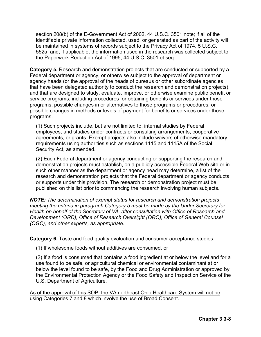section 208(b) of the E-Government Act of 2002, 44 U.S.C. 3501 note; if all of the identifiable private information collected, used, or generated as part of the activity will be maintained in systems of records subject to the Privacy Act of 1974, 5 U.S.C. 552a; and, if applicable, the information used in the research was collected subject to the Paperwork Reduction Act of 1995, 44 U.S.C. 3501 et seq.

**Category 5.** Research and demonstration projects that are conducted or supported by a Federal department or agency, or otherwise subject to the approval of department or agency heads (or the approval of the heads of bureaus or other subordinate agencies that have been delegated authority to conduct the research and demonstration projects), and that are designed to study, evaluate, improve, or otherwise examine public benefit or service programs, including procedures for obtaining benefits or services under those programs, possible changes in or alternatives to those programs or procedures, or possible changes in methods or levels of payment for benefits or services under those programs.

(1) Such projects include, but are not limited to, internal studies by Federal employees, and studies under contracts or consulting arrangements, cooperative agreements, or grants. Exempt projects also include waivers of otherwise mandatory requirements using authorities such as sections 1115 and 1115A of the Social Security Act, as amended.

(2) Each Federal department or agency conducting or supporting the research and demonstration projects must establish, on a publicly accessible Federal Web site or in such other manner as the department or agency head may determine, a list of the research and demonstration projects that the Federal department or agency conducts or supports under this provision. The research or demonstration project must be published on this list prior to commencing the research involving human subjects.

*NOTE: The determination of exempt status for research and demonstration projects meeting the criteria in paragraph Category 5 must be made by the Under Secretary for Health on behalf of the Secretary of VA, after consultation with Office of Research and Development (ORD), Office of Research Oversight (ORO), Office of General Counsel (OGC), and other experts, as appropriate.*

**Category 6.** Taste and food quality evaluation and consumer acceptance studies:

(1) If wholesome foods without additives are consumed, or

(2) If a food is consumed that contains a food ingredient at or below the level and for a use found to be safe, or agricultural chemical or environmental contaminant at or below the level found to be safe, by the Food and Drug Administration or approved by the Environmental Protection Agency or the Food Safety and Inspection Service of the U.S. Department of Agriculture.

As of the approval of this SOP, the VA northeast Ohio Healthcare System will not be using Categories 7 and 8 which involve the use of Broad Consent.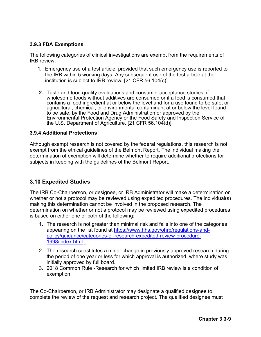### **3.9.3 FDA Exemptions**

The following categories of clinical investigations are exempt from the requirements of IRB review:

- **1.** Emergency use of a test article, provided that such emergency use is reported to the IRB within 5 working days. Any subsequent use of the test article at the institution is subject to IRB review. [21 CFR 56.104(c)]
- **2.** Taste and food quality evaluations and consumer acceptance studies, if wholesome foods without additives are consumed or if a food is consumed that contains a food ingredient at or below the level and for a use found to be safe, or agricultural, chemical, or environmental contaminant at or below the level found to be safe, by the Food and Drug Administration or approved by the Environmental Protection Agency or the Food Safety and Inspection Service of the U.S. Department of Agriculture. [21 CFR 56.104(d)]

### **3.9.4 Additional Protections**

Although exempt research is not covered by the federal regulations, this research is not exempt from the ethical guidelines of the Belmont Report. The individual making the determination of exemption will determine whether to require additional protections for subjects in keeping with the guidelines of the Belmont Report.

### **3.10 Expedited Studies**

The IRB Co-Chairperson, or designee, or IRB Administrator will make a determination on whether or not a protocol may be reviewed using expedited procedures. The individual(s) making this determination cannot be involved in the proposed research. The determination on whether or not a protocol may be reviewed using expedited procedures is based on either one or both of the following:

- 1. The research is not greater than minimal risk and falls into one of the categories appearing on the list found at [https://www.hhs.gov/ohrp/regulations-and](https://www.hhs.gov/ohrp/regulations-and-policy/guidance/categories-of-research-expedited-review-procedure-1998/index.html)[policy/guidance/categories-of-research-expedited-review-procedure-](https://www.hhs.gov/ohrp/regulations-and-policy/guidance/categories-of-research-expedited-review-procedure-1998/index.html)[1998/index.html](https://www.hhs.gov/ohrp/regulations-and-policy/guidance/categories-of-research-expedited-review-procedure-1998/index.html) .
- 2. The research constitutes a minor change in previously approved research during the period of one year or less for which approval is authorized, where study was initially approved by full board.
- 3. 2018 Common Rule -Research for which limited IRB review is a condition of exemption.

The Co-Chairperson, or IRB Administrator may designate a qualified designee to complete the review of the request and research project. The qualified designee must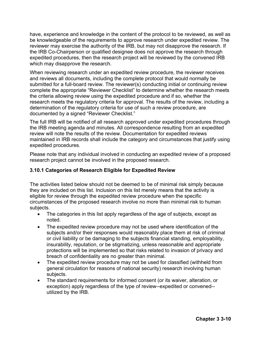have, experience and knowledge in the content of the protocol to be reviewed, as well as be knowledgeable of the requirements to approve research under expedited review. The reviewer may exercise the authority of the IRB, but may not disapprove the research. If the IRB Co-Chairperson or qualified designee does not approve the research through expedited procedures, then the research project will be reviewed by the convened IRB which may disapprove the research.

When reviewing research under an expedited review procedure, the reviewer receives and reviews all documents, including the complete protocol that would normally be submitted for a full-board review. The reviewer(s) conducting initial or continuing review complete the appropriate "Reviewer Checklist" to determine whether the research meets the criteria allowing review using the expedited procedure and if so, whether the research meets the regulatory criteria for approval. The results of the review, including a determination of the regulatory criteria for use of such a review procedure, are documented by a signed "Reviewer Checklist."

The full IRB will be notified of all research approved under expedited procedures through the IRB meeting agenda and minutes. All correspondence resulting from an expedited review will note the results of the review. Documentation for expedited reviews maintained in IRB records shall include the category and circumstances that justify using expedited procedures.

Please note that any individual involved in conducting an expedited review of a proposed research project cannot be involved in the proposed research.

### **3.10.1 Categories of Research Eligible for Expedited Review**

The activities listed below should not be deemed to be of minimal risk simply because they are included on this list. Inclusion on this list merely means that the activity is eligible for review through the expedited review procedure when the specific circumstances of the proposed research involve no more than minimal risk to human subjects.

- The categories in this list apply regardless of the age of subjects, except as noted.
- The expedited review procedure may not be used where identification of the subjects and/or their responses would reasonably place them at risk of criminal or civil liability or be damaging to the subjects financial standing, employability, insurability, reputation, or be stigmatizing, unless reasonable and appropriate protections will be implemented so that risks related to invasion of privacy and breach of confidentiality are no greater than minimal.
- The expedited review procedure may not be used for classified (withheld from general circulation for reasons of national security) research involving human subjects.
- The standard requirements for informed consent (or its waiver, alteration, or exception) apply regardless of the type of review--expedited or convened- utilized by the IRB.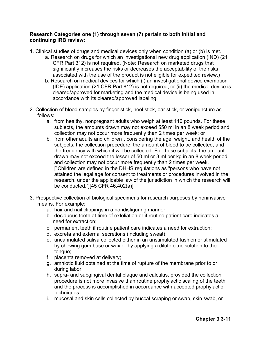#### **Research Categories one (1) through seven (7) pertain to both initial and continuing IRB review:**

- 1. Clinical studies of drugs and medical devices only when condition (a) or (b) is met.
	- a. Research on drugs for which an investigational new drug application (IND) (21 CFR Part 312) is not required. (Note: Research on marketed drugs that significantly increases the risks or decreases the acceptability of the risks associated with the use of the product is not eligible for expedited review.)
	- b. Research on medical devices for which (i) an investigational device exemption (IDE) application (21 CFR Part 812) is not required; or (ii) the medical device is cleared/approved for marketing and the medical device is being used in accordance with its cleared/approved labeling.
- 2. Collection of blood samples by finger stick, heel stick, ear stick, or venipuncture as follows:
	- a. from healthy, nonpregnant adults who weigh at least 110 pounds. For these subjects, the amounts drawn may not exceed 550 ml in an 8 week period and collection may not occur more frequently than 2 times per week; or
	- b. from other adults and children<sup>1</sup>, considering the age, weight, and health of the subjects, the collection procedure, the amount of blood to be collected, and the frequency with which it will be collected. For these subjects, the amount drawn may not exceed the lesser of 50 ml or 3 ml per kg in an 8 week period and collection may not occur more frequently than 2 times per week. [ 1Children are defined in the DHHS regulations as "persons who have not attained the legal age for consent to treatments or procedures involved in the research, under the applicable law of the jurisdiction in which the research will be conducted."][45 CFR 46.402(a)]
- 3. Prospective collection of biological specimens for research purposes by noninvasive means. For example:
	- a. hair and nail clippings in a nondisfiguring manner;
	- b. deciduous teeth at time of exfoliation or if routine patient care indicates a need for extraction;
	- c. permanent teeth if routine patient care indicates a need for extraction;
	- d. excreta and external secretions (including sweat);
	- e. uncannulated saliva collected either in an unstimulated fashion or stimulated by chewing gum base or wax or by applying a dilute citric solution to the tongue;
	- f. placenta removed at delivery;
	- g. amniotic fluid obtained at the time of rupture of the membrane prior to or during labor;
	- h. supra- and subgingival dental plaque and calculus, provided the collection procedure is not more invasive than routine prophylactic scaling of the teeth and the process is accomplished in accordance with accepted prophylactic techniques;
	- i. mucosal and skin cells collected by buccal scraping or swab, skin swab, or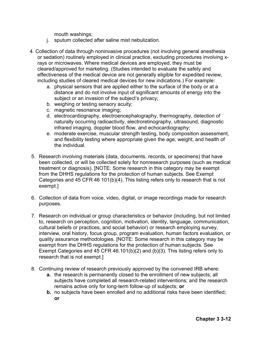mouth washings;

- j. sputum collected after saline mist nebulization.
- 4. Collection of data through noninvasive procedures (not involving general anesthesia or sedation) routinely employed in clinical practice, excluding procedures involving xrays or microwaves. Where medical devices are employed, they must be cleared/approved for marketing. (Studies intended to evaluate the safety and effectiveness of the medical device are not generally eligible for expedited review, including studies of cleared medical devices for new indications.) For example:
	- a. physical sensors that are applied either to the surface of the body or at a distance and do not involve input of significant amounts of energy into the subject or an invasion of the subject's privacy;
	- b. weighing or testing sensory acuity;
	- c. magnetic resonance imaging;
	- d. electrocardiography, electroencephalography, thermography, detection of naturally occurring radioactivity, electroretinography, ultrasound, diagnostic infrared imaging, doppler blood flow, and echocardiography;
	- e. moderate exercise, muscular strength testing, body composition assessment, and flexibility testing where appropriate given the age, weight, and health of the individual.
- 5. Research involving materials (data, documents, records, or specimens) that have been collected, or will be collected solely for nonresearch purposes (such as medical treatment or diagnosis). [NOTE: Some research in this category may be exempt from the DHHS regulations for the protection of human subjects. See Exempt Categories and 45 CFR 46 101(b)(4). This listing refers only to research that is not exempt.]
- 6. Collection of data from voice, video, digital, or image recordings made for research purposes.
- 7. Research on individual or group characteristics or behavior (including, but not limited to, research on perception, cognition, motivation, identity, language, communication, cultural beliefs or practices, and social behavior) or research employing survey, interview, oral history, focus group, program evaluation, human factors evaluation, or quality assurance methodologies. [NOTE: Some research in this category may be exempt from the DHHS regulations for the protection of human subjects. See Exempt Categories and 45 CFR 46.101(b)(2) and (b)(3). This listing refers only to research that is not exempt.]
- 8. Continuing review of research previously approved by the convened IRB where:
	- **a.** the research is permanently closed to the enrollment of new subjects; all subjects have completed all research-related interventions; and the research remains active only for long-term follow-up of subjects; **or**
	- **b.** no subjects have been enrolled and no additional risks have been identified; **or**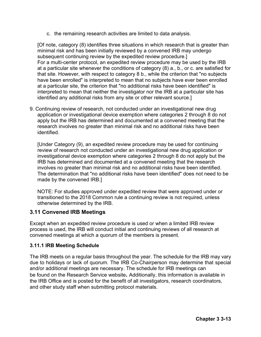c. the remaining research activities are limited to data analysis.

[Of note, category (8) identifies three situations in which research that is greater than minimal risk and has been initially reviewed by a convened IRB may undergo subsequent continuing review by the expedited review procedure.] For a multi-center protocol, an expedited review procedure may be used by the IRB at a particular site whenever the conditions of category (8) a., b., or c. are satisfied for that site. However, with respect to category 8 b., while the criterion that "no subjects have been enrolled" is interpreted to mean that no subjects have ever been enrolled at a particular site, the criterion that "no additional risks have been identified" is interpreted to mean that neither the investigator nor the IRB at a particular site has identified any additional risks from any site or other relevant source.]

9. Continuing review of research, not conducted under an investigational new drug application or investigational device exemption where categories 2 through 8 do not apply but the IRB has determined and documented at a convened meeting that the research involves no greater than minimal risk and no additional risks have been identified.

[Under Category (9), an expedited review procedure may be used for continuing review of research not conducted under an investigational new drug application or investigational device exemption where categories 2 through 8 do not apply but the IRB has determined and documented at a convened meeting that the research involves no greater than minimal risk and no additional risks have been identified. The determination that "no additional risks have been identified" does not need to be made by the convened IRB.]

NOTE: For studies approved under expedited review that were approved under or transitioned to the 2018 Common rule a continuing review is not required, unless otherwise determined by the IRB.

# **3.11 Convened IRB Meetings**

Except when an expedited review procedure is used or when a limited IRB review process is used, the IRB will conduct initial and continuing reviews of all research at convened meetings at which a quorum of the members is present.

### **3.11.1 IRB Meeting Schedule**

The IRB meets on a regular basis throughout the year. The schedule for the IRB may vary due to holidays or lack of quorum. The IRB Co-Chairperson may determine that special and/or additional meetings are necessary. The schedule for IRB meetings can be found on the Research Service website**.** Additionally, this information is available in the IRB Office and is posted for the benefit of all investigators, research coordinators, and other study staff when submitting protocol materials.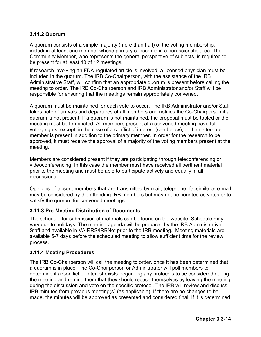### **3.11.2 Quorum**

A quorum consists of a simple majority (more than half) of the voting membership, including at least one member whose primary concern is in a non-scientific area. The Community Member, who represents the general perspective of subjects, is required to be present for at least 10 of 12 meetings.

If research involving an FDA-regulated article is involved, a licensed physician must be included in the quorum. The IRB Co-Chairperson, with the assistance of the IRB Administrative Staff, will confirm that an appropriate quorum is present before calling the meeting to order. The IRB Co-Chairperson and IRB Administrator and/or Staff will be responsible for ensuring that the meetings remain appropriately convened.

A quorum must be maintained for each vote to occur. The IRB Administrator and/or Staff takes note of arrivals and departures of all members and notifies the Co-Chairperson if a quorum is not present. If a quorum is not maintained, the proposal must be tabled or the meeting must be terminated. All members present at a convened meeting have full voting rights, except, in the case of a conflict of interest (see below), or if an alternate member is present in addition to the primary member. In order for the research to be approved, it must receive the approval of a majority of the voting members present at the meeting.

Members are considered present if they are participating through teleconferencing or videoconferencing. In this case the member must have received all pertinent material prior to the meeting and must be able to participate actively and equally in all discussions.

Opinions of absent members that are transmitted by mail, telephone, facsimile or e-mail may be considered by the attending IRB members but may not be counted as votes or to satisfy the quorum for convened meetings.

#### **3.11.3 Pre-Meeting Distribution of Documents**

The schedule for submission of materials can be found on the website. Schedule may vary due to holidays. The meeting agenda will be prepared by the IRB Administrative Staff and available in VAIRRS/IRBNet prior to the IRB meeting. Meeting materials are available 5-7 days before the scheduled meeting to allow sufficient time for the review process.

#### **3.11.4 Meeting Procedures**

The IRB Co-Chairperson will call the meeting to order, once it has been determined that a quorum is in place. The Co-Chairperson or Administrator will poll members to determine if a Conflict of Interest exists. regarding any protocols to be considered during the meeting and remind them that they should recuse themselves by leaving the meeting during the discussion and vote on the specific protocol. The IRB will review and discuss IRB minutes from previous meeting(s) (as applicable). If there are no changes to be made, the minutes will be approved as presented and considered final. If it is determined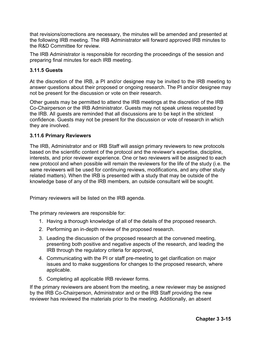that revisions/corrections are necessary, the minutes will be amended and presented at the following IRB meeting. The IRB Administrator will forward approved IRB minutes to the R&D Committee for review.

The IRB Administrator is responsible for recording the proceedings of the session and preparing final minutes for each IRB meeting.

### **3.11.5 Guests**

At the discretion of the IRB, a PI and/or designee may be invited to the IRB meeting to answer questions about their proposed or ongoing research. The PI and/or designee may not be present for the discussion or vote on their research.

Other guests may be permitted to attend the IRB meetings at the discretion of the IRB Co-Chairperson or the IRB Administrator. Guests may not speak unless requested by the IRB. All guests are reminded that all discussions are to be kept in the strictest confidence. Guests may not be present for the discussion or vote of research in which they are involved.

### **3.11.6 Primary Reviewers**

The IRB, Administrator and or IRB Staff will assign primary reviewers to new protocols based on the scientific content of the protocol and the reviewer's expertise, discipline, interests, and prior reviewer experience. One or two reviewers will be assigned to each new protocol and when possible will remain the reviewers for the life of the study (i.e. the same reviewers will be used for continuing reviews, modifications, and any other study related matters). When the IRB is presented with a study that may be outside of the knowledge base of any of the IRB members, an outside consultant will be sought.

Primary reviewers will be listed on the IRB agenda.

The primary reviewers are responsible for:

- 1. Having a thorough knowledge of all of the details of the proposed research.
- 2. Performing an in-depth review of the proposed research.
- 3. Leading the discussion of the proposed research at the convened meeting, presenting both positive and negative aspects of the research, and leading the IRB through the regulatory criteria for approval.
- 4. Communicating with the PI or staff pre-meeting to get clarification on major issues and to make suggestions for changes to the proposed research, where applicable.
- 5. Completing all applicable IRB reviewer forms.

If the primary reviewers are absent from the meeting, a new reviewer may be assigned by the IRB Co-Chairperson, Administrator and or the IRB Staff providing the new reviewer has reviewed the materials prior to the meeting. Additionally, an absent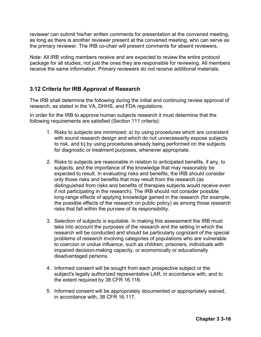reviewer can submit his/her written comments for presentation at the convened meeting, as long as there is another reviewer present at the convened meeting, who can serve as the primary reviewer. The IRB co-chair will present comments for absent reviewers.

Note: All IRB voting members receive and are expected to review the entire protocol package for all studies, not just the ones they are responsible for reviewing. All members receive the same information. Primary reviewers do not receive additional materials.

# **3.12 Criteria for IRB Approval of Research**

The IRB shall determine the following during the initial and continuing review approval of research, as stated in the VA, DHHS, and FDA regulations.

In order for the IRB to approve human subjects research it must determine that the following requirements are satisfied (Section 111 criteria):

- 1. Risks to subjects are minimized: a) by using procedures which are consistent with sound research design and which do not unnecessarily expose subjects to risk, and b) by using procedures already being performed on the subjects for diagnostic or treatment purposes, whenever appropriate.
- 2. Risks to subjects are reasonable in relation to anticipated benefits, if any, to subjects, and the importance of the knowledge that may reasonably be expected to result. In evaluating risks and benefits, the IRB should consider only those risks and benefits that may result from the research (as distinguished from risks and benefits of therapies subjects would receive even if not participating in the research). The IRB should not consider possible long-range effects of applying knowledge gained in the research (for example, the possible effects of the research on public policy) as among those research risks that fall within the purview of its responsibility.
- 3. Selection of subjects is equitable. In making this assessment the IRB must take into account the purposes of the research and the setting in which the research will be conducted and should be particularly cognizant of the special problems of research involving categories of populations who are vulnerable to coercion or undue influence, such as children, prisoners, individuals with impaired decision-making capacity, or economically or educationally disadvantaged persons.
- 4. Informed consent will be sought from each prospective subject or the subject's legally authorized representative LAR, in accordance with, and to the extent required by 38 CFR 16.116.
- 5. Informed consent will be appropriately documented or appropriately waived, in accordance with, 38 CFR 16.117.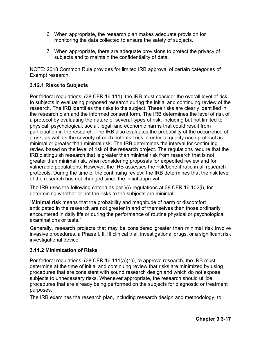- 6. When appropriate, the research plan makes adequate provision for monitoring the data collected to ensure the safety of subjects.
- 7. When appropriate, there are adequate provisions to protect the privacy of subjects and to maintain the confidentiality of data.

NOTE: 2018 Common Rule provides for limited IRB approval of certain categories of Exempt research.

### **3.12.1 Risks to Subjects**

Per federal regulations, (38 CFR 16.111), the IRB must consider the overall level of risk to subjects in evaluating proposed research during the initial and continuing review of the research. The IRB identifies the risks to the subject. These risks are clearly identified in the research plan and the informed consent form. The IRB determines the level of risk of a protocol by evaluating the nature of several types of risk, including but not limited to physical, psychological, social, legal, and economic harms that could result from participation in the research. The IRB also evaluates the probability of the occurrence of a risk, as well as the severity of each potential risk in order to qualify each protocol as minimal or greater than minimal risk. The IRB determines the interval for continuing review based on the level of risk of the research project. The regulations require that the IRB distinguish research that is greater than minimal risk from research that is not greater than minimal risk, when considering proposals for expedited review and for vulnerable populations. However, the IRB assesses the risk/benefit ratio in all research protocols. During the time of the continuing review, the IRB determines that the risk level of the research has not changed since the initial approval.

The IRB uses the following criteria as per VA regulations at 38 CFR 16.102(i), for determining whether or not the risks to the subjects are minimal:

"**Minimal risk** means that the probability and magnitude of harm or discomfort anticipated in the research are not greater in and of themselves than those ordinarily encountered in daily life or during the performance of routine physical or psychological examinations or tests."

Generally, research projects that may be considered greater than minimal risk involve invasive procedures, a Phase I, II, III clinical trial, investigational drugs, or a significant risk investigational device.

### **3.11.2 Minimization of Risks**

Per federal regulations, (38 CFR 16.111(a)(1)), to approve research, the IRB must determine at the time of initial and continuing review that risks are minimized by using procedures that are consistent with sound research design and which do not expose subjects to unnecessary risks. Whenever appropriate, the research should utilize procedures that are already being performed on the subjects for diagnostic or treatment purposes.

The IRB examines the research plan, including research design and methodology, to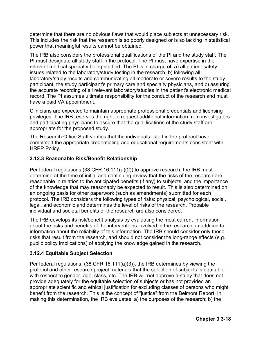determine that there are no obvious flaws that would place subjects at unnecessary risk. This includes the risk that the research is so poorly designed or is so lacking in statistical power that meaningful results cannot be obtained.

The IRB also considers the professional qualifications of the PI and the study staff. The PI must designate all study staff in the protocol. The PI must have expertise in the relevant medical specialty being studied. The PI is in charge of: a) all patient safety issues related to the laboratory/study testing in the research, b) following all laboratory/study results and communicating all moderate or severe results to the study participant, the study participant's primary care and specialty physicians, and c) assuring the accurate recording of all relevant laboratory/studies in the patient's electronic medical record. The PI assumes ultimate responsibility for the conduct of the research and must have a paid VA appointment.

Clinicians are expected to maintain appropriate professional credentials and licensing privileges. The IRB reserves the right to request additional information from investigators and participating physicians to assure that the qualifications of the study staff are appropriate for the proposed study.

The Research Office Staff verifies that the individuals listed in the protocol have completed the appropriate credentialing and educational requirements consistent with HRPP Policy.

### **3.12.3 Reasonable Risk/Benefit Relationship**

Per federal regulations (38 CFR 16.111(a)(2)) to approve research, the IRB must determine at the time of initial and continuing review that the risks of the research are reasonable in relation to the anticipated benefits (if any) to subjects, and the importance of the knowledge that may reasonably be expected to result. This is also determined on an ongoing basis for other paperwork (such as amendments) submitted for each protocol. The IRB considers the following types of risks: physical, psychological, social, legal, and economic and determines the level of risks of the research. Probable individual and societal benefits of the research are also considered.

The IRB develops its risk/benefit analysis by evaluating the most current information about the risks and benefits of the interventions involved in the research, in addition to information about the reliability of this information. The IRB should consider only those risks that result from the research, and should not consider the long-range effects (e.g., public policy implications) of applying the knowledge gained in the research.

### **3.12.4 Equitable Subject Selection**

Per federal regulations, (38 CFR 16.111(a)(3)), the IRB determines by viewing the protocol and other research project materials that the selection of subjects is equitable with respect to gender, age, class, etc. The IRB will not approve a study that does not provide adequately for the equitable selection of subjects or has not provided an appropriate scientific and ethical justification for excluding classes of persons who might benefit from the research. This is the concept of "justice" from the Belmont Report. In making this determination, the IRB evaluates: a) the purposes of the research; b) the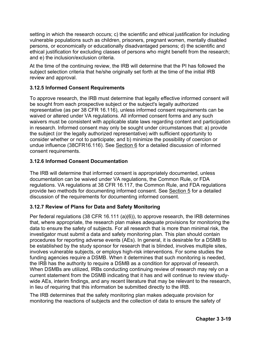setting in which the research occurs; c) the scientific and ethical justification for including vulnerable populations such as children, prisoners, pregnant women, mentally disabled persons, or economically or educationally disadvantaged persons; d) the scientific and ethical justification for excluding classes of persons who might benefit from the research; and e) the inclusion/exclusion criteria.

At the time of the continuing review, the IRB will determine that the PI has followed the subject selection criteria that he/she originally set forth at the time of the initial IRB review and approval.

### **3.12.5 Informed Consent Requirements**

To approve research, the IRB must determine that legally effective informed consent will be sought from each prospective subject or the subject's legally authorized representative (as per 38 CFR 16.116), unless informed consent requirements can be waived or altered under VA regulations. All informed consent forms and any such waivers must be consistent with applicable state laws regarding content and participation in research. Informed consent may only be sought under circumstances that: a) provide the subject (or the legally authorized representative) with sufficient opportunity to consider whether or not to participate; and b) minimize the possibility of coercion or undue influence (38CFR16.116). See Section 6 for a detailed discussion of informed consent requirements.

### **3.12.6 Informed Consent Documentation**

The IRB will determine that informed consent is appropriately documented, unless documentation can be waived under VA regulations, the Common Rule, or FDA regulations. VA regulations at 38 CFR 16.117, the Common Rule, and FDA regulations provide two methods for documenting informed consent. See Section 5 for a detailed discussion of the requirements for documenting informed consent.

# **3.12.7 Review of Plans for Data and Safety Monitoring**

Per federal regulations (38 CFR 16.111 (a)(6)), to approve research, the IRB determines that, where appropriate, the research plan makes adequate provisions for monitoring the data to ensure the safety of subjects. For all research that is more than minimal risk, the investigator must submit a data and safety monitoring plan. This plan should contain procedures for reporting adverse events (AEs). In general, it is desirable for a DSMB to be established by the study sponsor for research that is blinded, involves multiple sites, involves vulnerable subjects, or employs high-risk interventions. For some studies the funding agencies require a DSMB. When it determines that such monitoring is needed, the IRB has the authority to require a DSMB as a condition for approval of research. When DSMBs are utilized, IRBs conducting continuing review of research may rely on a current statement from the DSMB indicating that it has and will continue to review studywide AEs, interim findings, and any recent literature that may be relevant to the research, in lieu of requiring that this information be submitted directly to the IRB.

The IRB determines that the safety monitoring plan makes adequate provision for monitoring the reactions of subjects and the collection of data to ensure the safety of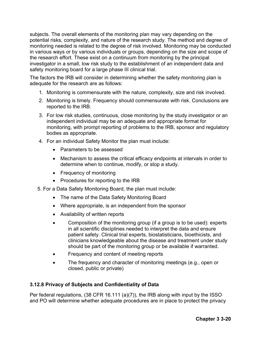subjects. The overall elements of the monitoring plan may vary depending on the potential risks, complexity, and nature of the research study. The method and degree of monitoring needed is related to the degree of risk involved. Monitoring may be conducted in various ways or by various individuals or groups, depending on the size and scope of the research effort. These exist on a continuum from monitoring by the principal investigator in a small, low risk study to the establishment of an independent data and safety monitoring board for a large phase III clinical trial.

The factors the IRB will consider in determining whether the safety monitoring plan is adequate for the research are as follows:

- 1. Monitoring is commensurate with the nature, complexity, size and risk involved.
- 2. Monitoring is timely. Frequency should commensurate with risk. Conclusions are reported to the IRB.
- 3. For low risk studies, continuous, close monitoring by the study investigator or an independent individual may be an adequate and appropriate format for monitoring, with prompt reporting of problems to the IRB, sponsor and regulatory bodies as appropriate.
- 4. For an individual Safety Monitor the plan must include:
	- Parameters to be assessed
	- Mechanism to assess the critical efficacy endpoints at intervals in order to determine when to continue, modify, or stop a study.
	- Frequency of monitoring
	- Procedures for reporting to the IRB
- 5. For a Data Safety Monitoring Board, the plan must include:
	- The name of the Data Safety Monitoring Board
	- Where appropriate, is an independent from the sponsor
	- Availability of written reports
	- Composition of the monitoring group (if a group is to be used): experts in all scientific disciplines needed to interpret the data and ensure patient safety. Clinical trial experts, biostatisticians, bioethicists, and clinicians knowledgeable about the disease and treatment under study should be part of the monitoring group or be available if warranted.
	- Frequency and content of meeting reports
	- The frequency and character of monitoring meetings (e.g., open or closed, public or private)

### **3.12.8 Privacy of Subjects and Confidentiality of Data**

Per federal regulations, (38 CFR 16.111 (a)(7)), the IRB along with input by the ISSO and PO will determine whether adequate procedures are in place to protect the privacy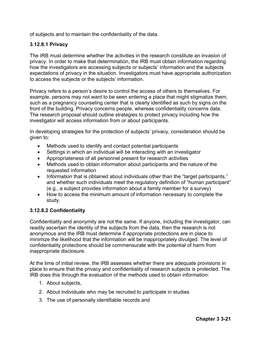of subjects and to maintain the confidentiality of the data.

### **3.12.8.1 Privacy**

The IRB must determine whether the activities in the research constitute an invasion of privacy. In order to make that determination, the IRB must obtain information regarding how the investigators are accessing subjects or subjects' information and the subjects expectations of privacy in the situation. Investigators must have appropriate authorization to access the subjects or the subjects' information.

Privacy refers to a person's desire to control the access of others to themselves. For example, persons may not want to be seen entering a place that might stigmatize them, such as a pregnancy counseling center that is clearly identified as such by signs on the front of the building. Privacy concerns people, whereas confidentiality concerns data. The research proposal should outline strategies to protect privacy including how the investigator will access information from or about participants.

In developing strategies for the protection of subjects' privacy, consideration should be given to:

- Methods used to identify and contact potential participants
- Settings in which an individual will be interacting with an investigator
- Appropriateness of all personnel present for research activities
- Methods used to obtain information about participants and the nature of the requested information
- Information that is obtained about individuals other than the "target participants," and whether such individuals meet the regulatory definition of "human participant" (e.g., a subject provides information about a family member for a survey)
- How to access the minimum amount of information necessary to complete the study.

#### **3.12.8.2 Confidentiality**

Confidentiality and anonymity are not the same. If anyone, including the investigator, can readily ascertain the identity of the subjects from the data, then the research is not anonymous and the IRB must determine if appropriate protections are in place to minimize the likelihood that the information will be inappropriately divulged. The level of confidentiality protections should be commensurate with the potential of harm from inappropriate disclosure.

At the time of initial review, the IRB assesses whether there are adequate provisions in place to ensure that the privacy and confidentiality of research subjects is protected. The IRB does this through the evaluation of the methods used to obtain information:

- 1. About subjects,
- 2. About individuals who may be recruited to participate in studies
- 3. The use of personally identifiable records and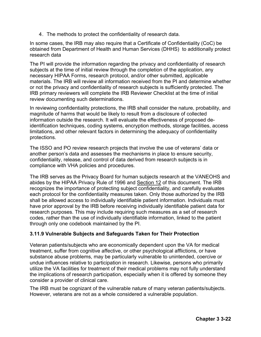4. The methods to protect the confidentiality of research data.

In some cases, the IRB may also require that a Certificate of Confidentiality (CoC) be obtained from Department of Health and Human Services (DHHS) to additionally protect research data

The PI will provide the information regarding the privacy and confidentiality of research subjects at the time of initial review through the completion of the application, any necessary HIPAA Forms, research protocol, and/or other submitted, applicable materials. The IRB will review all information received from the PI and determine whether or not the privacy and confidentiality of research subjects is sufficiently protected. The IRB primary reviewers will complete the IRB Reviewer Checklist at the time of initial review documenting such determinations.

In reviewing confidentiality protections, the IRB shall consider the nature, probability, and magnitude of harms that would be likely to result from a disclosure of collected information outside the research. It will evaluate the effectiveness of proposed deidentification techniques, coding systems, encryption methods, storage facilities, access limitations, and other relevant factors in determining the adequacy of confidentiality protections.

The ISSO and PO review research projects that involve the use of veterans' data or another person's data and assesses the mechanisms in place to ensure security, confidentiality, release, and control of data derived from research subjects is in compliance with VHA policies and procedures.

The IRB serves as the Privacy Board for human subjects research at the VANEOHS and abides by the HIPAA Privacy Rule of 1996 and Section 12 of this document. The IRB recognizes the importance of protecting subject confidentiality, and carefully evaluates each protocol for the confidentiality measures taken. Only those authorized by the IRB shall be allowed access to individually identifiable patient information. Individuals must have prior approval by the IRB before receiving individually identifiable patient data for research purposes. This may include requiring such measures as a set of research codes, rather than the use of individually identifiable information, linked to the patient through only one codebook maintained by the PI.

### **3.11.9 Vulnerable Subjects and Safeguards Taken for Their Protection**

Veteran patients/subjects who are economically dependent upon the VA for medical treatment, suffer from cognitive affective, or other psychological afflictions, or have substance abuse problems, may be particularly vulnerable to unintended, coercive or undue influences relative to participation in research. Likewise, persons who primarily utilize the VA facilities for treatment of their medical problems may not fully understand the implications of research participation, especially when it is offered by someone they consider a provider of clinical care.

The IRB must be cognizant of the vulnerable nature of many veteran patients/subjects. However, veterans are not as a whole considered a vulnerable population.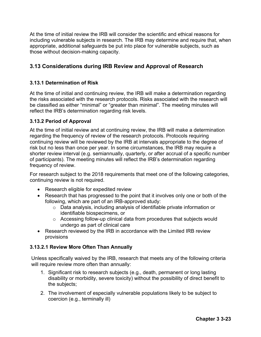At the time of initial review the IRB will consider the scientific and ethical reasons for including vulnerable subjects in research. The IRB may determine and require that, when appropriate, additional safeguards be put into place for vulnerable subjects, such as those without decision-making capacity.

# **3.13 Considerations during IRB Review and Approval of Research**

#### **3.13.1 Determination of Risk**

At the time of initial and continuing review, the IRB will make a determination regarding the risks associated with the research protocols. Risks associated with the research will be classified as either "minimal" or "greater than minimal". The meeting minutes will reflect the IRB's determination regarding risk levels.

### **3.13.2 Period of Approval**

At the time of initial review and at continuing review, the IRB will make a determination regarding the frequency of review of the research protocols. Protocols requiring continuing review will be reviewed by the IRB at intervals appropriate to the degree of risk but no less than once per year. In some circumstances, the IRB may require a shorter review interval (e.g. semiannually, quarterly, or after accrual of a specific number of participants). The meeting minutes will reflect the IRB's determination regarding frequency of review.

For research subject to the 2018 requirements that meet one of the following categories, continuing review is not required.

- Research eligible for expedited review
- Research that has progressed to the point that it involves only one or both of the following, which are part of an IRB-approved study:
	- o Data analysis, including analysis of identifiable private information or identifiable biospecimens, or
	- o Accessing follow-up clinical data from procedures that subjects would undergo as part of clinical care
- Research reviewed by the IRB in accordance with the Limited IRB review provisions

#### **3.13.2.1 Review More Often Than Annually**

Unless specifically waived by the IRB, research that meets any of the following criteria will require review more often than annually:

- 1. Significant risk to research subjects (e.g., death, permanent or long lasting disability or morbidity, severe toxicity) without the possibility of direct benefit to the subjects;
- 2. The involvement of especially vulnerable populations likely to be subject to coercion (e.g., terminally ill)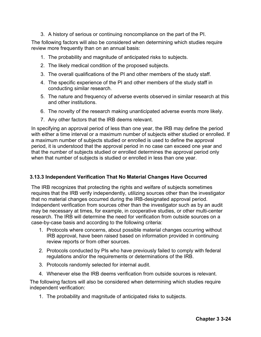3. A history of serious or continuing noncompliance on the part of the PI.

The following factors will also be considered when determining which studies require review more frequently than on an annual basis:

- 1. The probability and magnitude of anticipated risks to subjects.
- 2. The likely medical condition of the proposed subjects.
- 3. The overall qualifications of the PI and other members of the study staff.
- 4. The specific experience of the PI and other members of the study staff in conducting similar research.
- 5. The nature and frequency of adverse events observed in similar research at this and other institutions.
- 6. The novelty of the research making unanticipated adverse events more likely.
- 7. Any other factors that the IRB deems relevant.

In specifying an approval period of less than one year, the IRB may define the period with either a time interval or a maximum number of subjects either studied or enrolled. If a maximum number of subjects studied or enrolled is used to define the approval period, it is understood that the approval period in no case can exceed one year and that the number of subjects studied or enrolled determines the approval period only when that number of subjects is studied or enrolled in less than one year.

## **3.13.3 Independent Verification That No Material Changes Have Occurred**

The IRB recognizes that protecting the rights and welfare of subjects sometimes requires that the IRB verify independently, utilizing sources other than the investigator that no material changes occurred during the IRB-designated approval period. Independent verification from sources other than the investigator such as by an audit may be necessary at times, for example, in cooperative studies, or other multi-center research. The IRB will determine the need for verification from outside sources on a case-by-case basis and according to the following criteria:

- 1. Protocols where concerns, about possible material changes occurring without IRB approval, have been raised based on information provided in continuing review reports or from other sources.
- 2. Protocols conducted by PIs who have previously failed to comply with federal regulations and/or the requirements or determinations of the IRB.
- 3. Protocols randomly selected for internal audit.
- 4. Whenever else the IRB deems verification from outside sources is relevant.

The following factors will also be considered when determining which studies require independent verification:

1. The probability and magnitude of anticipated risks to subjects.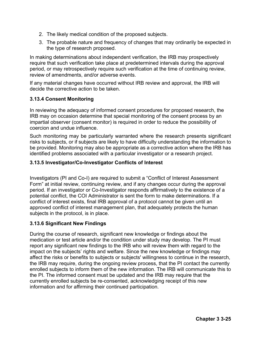- 2. The likely medical condition of the proposed subjects.
- 3. The probable nature and frequency of changes that may ordinarily be expected in the type of research proposed.

In making determinations about independent verification, the IRB may prospectively require that such verification take place at predetermined intervals during the approval period, or may retrospectively require such verification at the time of continuing review, review of amendments, and/or adverse events.

If any material changes have occurred without IRB review and approval, the IRB will decide the corrective action to be taken.

### **3.13.4 Consent Monitoring**

In reviewing the adequacy of informed consent procedures for proposed research, the IRB may on occasion determine that special monitoring of the consent process by an impartial observer (consent monitor) is required in order to reduce the possibility of coercion and undue influence.

Such monitoring may be particularly warranted where the research presents significant risks to subjects, or if subjects are likely to have difficulty understanding the information to be provided. Monitoring may also be appropriate as a corrective action where the IRB has identified problems associated with a particular investigator or a research project.

#### **3.13.5 Investigator/Co-Investigator Conflicts of Interest**

Investigators (PI and Co-I) are required to submit a "Conflict of Interest Assessment Form" at initial review, continuing review, and if any changes occur during the approval period. If an investigator or Co-Investigator responds affirmatively to the existence of a potential conflict, the COI Administrator is sent the form to make determinations. If a conflict of interest exists, final IRB approval of a protocol cannot be given until an approved conflict of interest management plan, that adequately protects the human subjects in the protocol, is in place.

#### **3.13.6 Significant New Findings**

During the course of research, significant new knowledge or findings about the medication or test article and/or the condition under study may develop. The PI must report any significant new findings to the IRB who will review them with regard to the impact on the subjects' rights and welfare. Since the new knowledge or findings may affect the risks or benefits to subjects or subjects' willingness to continue in the research, the IRB may require, during the ongoing review process, that the PI contact the currently enrolled subjects to inform them of the new information. The IRB will communicate this to the PI. The informed consent must be updated and the IRB may require that the currently enrolled subjects be re-consented, acknowledging receipt of this new information and for affirming their continued participation.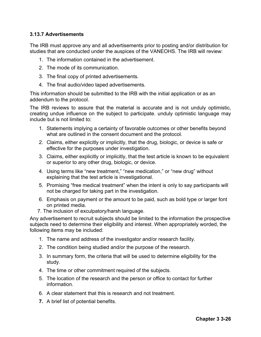## **3.13.7 Advertisements**

The IRB must approve any and all advertisements prior to posting and/or distribution for studies that are conducted under the auspices of the VANEOHS. The IRB will review:

- 1. The information contained in the advertisement.
- 2. The mode of its communication.
- 3. The final copy of printed advertisements.
- 4. The final audio/video taped advertisements.

This information should be submitted to the IRB with the initial application or as an addendum to the protocol.

The IRB reviews to assure that the material is accurate and is not unduly optimistic, creating undue influence on the subject to participate. unduly optimistic language may include but is not limited to:

- 1. Statements implying a certainty of favorable outcomes or other benefits beyond what are outlined in the consent document and the protocol.
- 2. Claims, either explicitly or implicitly, that the drug, biologic, or device is safe or effective for the purposes under investigation.
- 3. Claims, either explicitly or implicitly, that the test article is known to be equivalent or superior to any other drug, biologic, or device.
- 4. Using terms like "new treatment," "new medication," or "new drug" without explaining that the test article is investigational.
- 5. Promising "free medical treatment" when the intent is only to say participants will not be charged for taking part in the investigation.
- 6. Emphasis on payment or the amount to be paid, such as bold type or larger font on printed media.
- 7. The inclusion of exculpatory/harsh language.

Any advertisement to recruit subjects should be limited to the information the prospective subjects need to determine their eligibility and interest. When appropriately worded, the following items may be included:

- 1. The name and address of the investigator and/or research facility.
- 2. The condition being studied and/or the purpose of the research.
- 3. In summary form, the criteria that will be used to determine eligibility for the study.
- 4. The time or other commitment required of the subjects.
- 5. The location of the research and the person or office to contact for further information.
- 6. A clear statement that this is research and not treatment.
- **7.** A brief list of potential benefits.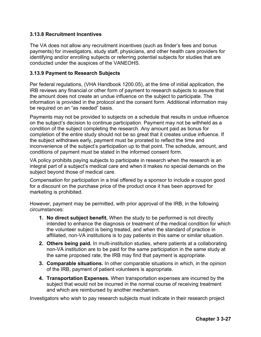### **3.13.8 Recruitment Incentives**

The VA does not allow any recruitment incentives (such as finder's fees and bonus payments) for investigators, study staff, physicians, and other health care providers for identifying and/or enrolling subjects or referring potential subjects for studies that are conducted under the auspices of the VANEOHS.

#### **3.13.9 Payment to Research Subjects**

Per federal regulations, (VHA Handbook 1200.05), at the time of initial application, the IRB reviews any financial or other form of payment to research subjects to assure that the amount does not create an undue influence on the subject to participate. The information is provided in the protocol and the consent form. Additional information may be required on an "as needed" basis.

Payments may not be provided to subjects on a schedule that results in undue influence on the subject's decision to continue participation. Payment may not be withheld as a condition of the subject completing the research. Any amount paid as bonus for completion of the entire study should not be so great that it creates undue influence. If the subject withdraws early, payment must be prorated to reflect the time and inconvenience of the subject's participation up to that point. The schedule, amount, and conditions of payment must be stated in the informed consent form.

VA policy prohibits paying subjects to participate in research when the research is an integral part of a subject's medical care and when it makes no special demands on the subject beyond those of medical care.

Compensation for participation in a trial offered by a sponsor to include a coupon good for a discount on the purchase price of the product once it has been approved for marketing is prohibited.

However, payment may be permitted, with prior approval of the IRB, in the following circumstances:

- **1. No direct subject benefit.** When the study to be performed is not directly intended to enhance the diagnosis or treatment of the medical condition for which the volunteer subject is being treated, and when the standard of practice in affiliated, non-VA institutions is to pay patients in this same or similar situation.
- **2. Others being paid.** In multi-institution studies, where patients at a collaborating non-VA institution are to be paid for the same participation in the same study at the same proposed rate, the IRB may find that payment is appropriate.
- **3. Comparable situations.** In other comparable situations in which, in the opinion of the IRB, payment of patient volunteers is appropriate.
- **4. Transportation Expenses.** When transportation expenses are incurred by the subject that would not be incurred in the normal course of receiving treatment and which are reimbursed by another mechanism.

Investigators who wish to pay research subjects must indicate in their research project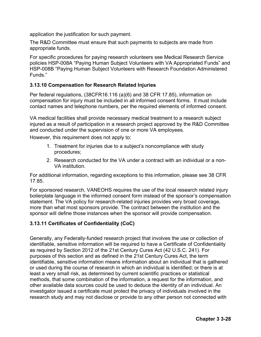application the justification for such payment.

The R&D Committee must ensure that such payments to subjects are made from appropriate funds.

For specific procedures for paying research volunteers see Medical Research Service policies HSP-008A "Paying Human Subject Volunteers with VA Appropriated Funds" and HSP-008B "Paying Human Subject Volunteers with Research Foundation Administered Funds."

## **3.13.10 Compensation for Research Related Injuries**

Per federal regulations, (38CFR16.116 (a)(6) and 38 CFR 17.85), information on compensation for injury must be included in all informed consent forms. It must include contact names and telephone numbers, per the required elements of informed consent.

VA medical facilities shall provide necessary medical treatment to a research subject injured as a result of participation in a research project approved by the R&D Committee and conducted under the supervision of one or more VA employees.

However, this requirement does not apply to:

- 1. Treatment for injuries due to a subject's noncompliance with study procedures;
- 2. Research conducted for the VA under a contract with an individual or a non-VA institution.

For additional information, regarding exceptions to this information, please see 38 CFR 17.85.

For sponsored research, VANEOHS requires the use of the local research related injury boilerplate language in the informed consent form instead of the sponsor's compensation statement. The VA policy for research-related injuries provides very broad coverage, more than what most sponsors provide. The contract between the institution and the sponsor will define those instances when the sponsor will provide compensation.

## **3.13.11 Certificates of Confidentiality (CoC)**

Generally, any Federally-funded research project that involves the use or collection of identifiable, sensitive information will be required to have a Certificate of Confidentiality as required by Section 2012 of the 21st Century Cures Act (42 U.S.C. 241). For purposes of this section and as defined in the 21st Century Cures Act, the term identifiable, sensitive information means information about an individual that is gathered or used during the course of research in which an individual is identified; or there is at least a very small risk, as determined by current scientific practices or statistical methods, that some combination of the information, a request for the information, and other available data sources could be used to deduce the identity of an individual. An investigator issued a certificate must protect the privacy of individuals involved in the research study and may not disclose or provide to any other person not connected with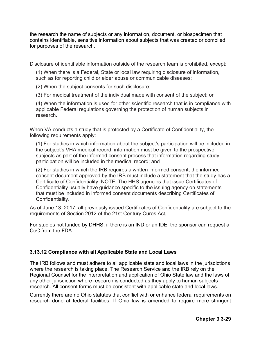the research the name of subjects or any information, document, or biospecimen that contains identifiable, sensitive information about subjects that was created or compiled for purposes of the research.

Disclosure of identifiable information outside of the research team is prohibited, except:

(1) When there is a Federal, State or local law requiring disclosure of information, such as for reporting child or elder abuse or communicable diseases;

(2) When the subject consents for such disclosure;

(3) For medical treatment of the individual made with consent of the subject; or

(4) When the information is used for other scientific research that is in compliance with applicable Federal regulations governing the protection of human subjects in research.

When VA conducts a study that is protected by a Certificate of Confidentiality, the following requirements apply:

(1) For studies in which information about the subject's participation will be included in the subject's VHA medical record, information must be given to the prospective subjects as part of the informed consent process that information regarding study participation will be included in the medical record; and

(2) For studies in which the IRB requires a written informed consent, the informed consent document approved by the IRB must include a statement that the study has a Certificate of Confidentiality. NOTE: The HHS agencies that issue Certificates of Confidentiality usually have guidance specific to the issuing agency on statements that must be included in informed consent documents describing Certificates of Confidentiality.

As of June 13, 2017, all previously issued Certificates of Confidentiality are subject to the requirements of Section 2012 of the 21st Century Cures Act,

For studies not funded by DHHS, if there is an IND or an IDE, the sponsor can request a CoC from the FDA.

#### **3.13.12 Compliance with all Applicable State and Local Laws**

The IRB follows and must adhere to all applicable state and local laws in the jurisdictions where the research is taking place. The Research Service and the IRB rely on the Regional Counsel for the interpretation and application of Ohio State law and the laws of any other jurisdiction where research is conducted as they apply to human subjects research. All consent forms must be consistent with applicable state and local laws.

Currently there are no Ohio statutes that conflict with or enhance federal requirements on research done at federal facilities. If Ohio law is amended to require more stringent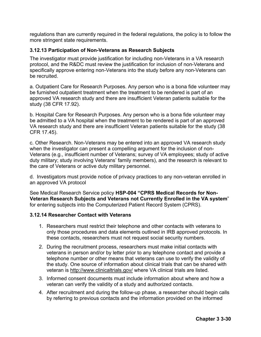regulations than are currently required in the federal regulations, the policy is to follow the more stringent state requirements.

#### **3.12.13 Participation of Non-Veterans as Research Subjects**

The investigator must provide justification for including non-Veterans in a VA research protocol, and the R&DC must review the justification for inclusion of non-Veterans and specifically approve entering non-Veterans into the study before any non-Veterans can be recruited.

a. Outpatient Care for Research Purposes. Any person who is a bona fide volunteer may be furnished outpatient treatment when the treatment to be rendered is part of an approved VA research study and there are insufficient Veteran patients suitable for the study (38 CFR 17.92).

b. Hospital Care for Research Purposes. Any person who is a bona fide volunteer may be admitted to a VA hospital when the treatment to be rendered is part of an approved VA research study and there are insufficient Veteran patients suitable for the study (38 CFR 17.45).

c. Other Research. Non-Veterans may be entered into an approved VA research study when the investigator can present a compelling argument for the inclusion of non-Veterans (e.g., insufficient number of Veterans; survey of VA employees; study of active duty military; study involving Veterans' family members), and the research is relevant to the care of Veterans or active duty military personnel.

d. Investigators must provide notice of privacy practices to any non-veteran enrolled in an approved VA protocol

See Medical Research Service policy **HSP-004 "CPRS Medical Records for Non-Veteran Research Subjects and Veterans not Currently Enrolled in the VA system**" for entering subjects into the Computerized Patient Record System (CPRS).

#### **3.12.14 Researcher Contact with Veterans**

- 1. Researchers must restrict their telephone and other contacts with veterans to only those procedures and data elements outlined in IRB approved protocols. In these contacts, researchers must not request social security numbers.
- 2. During the recruitment process, researchers must make initial contacts with veterans in person and/or by letter prior to any telephone contact and provide a telephone number or other means that veterans can use to verify the validity of the study. One source of information about clinical trials that can be shared with veteran is http://www.clinicaltrials.gov/ where VA clinical trials are listed.
- 3. Informed consent documents must include information about where and how a veteran can verify the validity of a study and authorized contacts.
- 4. After recruitment and during the follow-up phase, a researcher should begin calls by referring to previous contacts and the information provided on the informed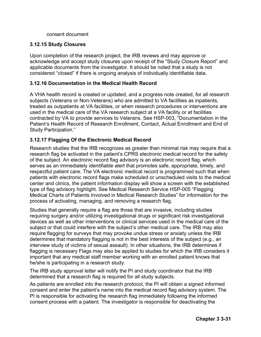consent document

### **3.12.15 Study Closures**

Upon completion of the research project, the IRB reviews and may approve or acknowledge and accept study closures upon receipt of the "Study Closure Report" and applicable documents from the investigator. It should be noted that a study is not considered "closed" if there is ongoing analysis of individually identifiable data.

### **3.12.16 Documentation in the Medical Health Record**

A VHA health record is created or updated, and a progress note created, for all research subjects (Veterans or Non-Veterans) who are admitted to VA facilities as inpatients, treated as outpatients at VA facilities, or when research procedures or interventions are used in the medical care of the VA research subject at a VA facility or at facilities contracted by VA to provide services to Veterans. See HSP-003, "Documentation in the Patient's Health Record of Research Enrollment, Contact, Actual Enrollment and End of Study Participation."

## **3.12.17 Flagging Of the Electronic Medical Record**

Research studies that the IRB recognizes as greater than minimal risk may require that a research flag be activated in the patient's CPRS electronic medical record for the safety of the subject. An electronic record flag advisory is an electronic record flag, which serves as an immediately identifiable alert that promotes safe, appropriate, timely, and respectful patient care. The VA electronic medical record is programmed such that when patients with electronic record flags make scheduled or unscheduled visits to the medical center and clinics, the patient information display will show a screen with the established type of flag advisory highlight. See Medical Research Service HSP-005 "Flagging Medical Charts of Patients Involved in Medical Research Studies" for information for the process of activating, managing, and removing a research flag.

Studies that generally require a flag are those that are invasive, including studies requiring surgery and/or utilizing investigational drugs or significant risk investigational devices as well as other interventions or clinical services used in the medical care of the subject or that could interfere with the subject's other medical care. The IRB may also require flagging for surveys that may provoke undue stress or anxiety unless the IRB determines that mandatory flagging is not in the best interests of the subject (e.g., an interview study of victims of sexual assault). In other situations, the IRB determines if flagging is necessary Flags may also be applied to studies for which the IRB considers it important that any medical staff member working with an enrolled patient knows that he/she is participating in a research study.

The IRB study approval letter will notify the PI and study coordinator that the IRB determined that a research flag is required for all study subjects.

As patients are enrolled into the research protocol, the PI will obtain a signed informed consent and enter the patient's name into the medical record flag advisory system. The PI is responsible for activating the research flag immediately following the informed consent process with a patient. The investigator is responsible for deactivating the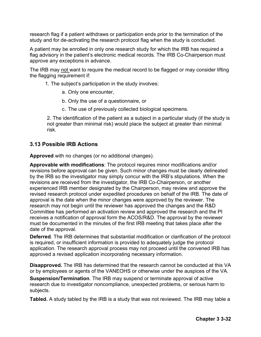research flag if a patient withdraws or participation ends prior to the termination of the study and for de-activating the research protocol flag when the study is concluded.

A patient may be enrolled in only one research study for which the IRB has required a flag advisory in the patient's electronic medical records. The IRB Co-Chairperson must approve any exceptions in advance.

The IRB may not want to require the medical record to be flagged or may consider lifting the flagging requirement if:

1. The subject's participation in the study involves:

- a. Only one encounter,
- b. Only the use of a questionnaire, or
- c. The use of previously collected biological specimens.

2. The identification of the patient as a subject in a particular study (if the study is not greater than minimal risk) would place the subject at greater than minimal risk.

## **3.13 Possible IRB Actions**

**Approved** with no changes (or no additional changes).

**Approvable with modifications**: The protocol requires minor modifications and/or revisions before approval can be given. Such minor changes must be clearly delineated by the IRB so the investigator may simply concur with the IRB's stipulations. When the revisions are received from the investigator, the IRB Co-Chairperson, or another experienced IRB member designated by the Chairperson, may review and approve the revised research protocol under expedited procedures on behalf of the IRB. The date of approval is the date when the minor changes were approved by the reviewer. The research may not begin until the reviewer has approved the changes and the R&D Committee has performed an activation review and approved the research and the PI receives a notification of approval form the ACOS/R&D. The approval by the reviewer must be documented in the minutes of the first IRB meeting that takes place after the date of the approval.

**Deferred**. The IRB determines that substantial modification or clarification of the protocol is required, or insufficient information is provided to adequately judge the protocol application. The research approval process may not proceed until the convened IRB has approved a revised application incorporating necessary information.

**Disapproved.** The IRB has determined that the research cannot be conducted at this VA or by employees or agents of the VANEOHS or otherwise under the auspices of the VA.

**Suspension/Termination**. The IRB may suspend or terminate approval of active research due to investigator noncompliance, unexpected problems, or serious harm to subjects.

**Tabled.** A study tabled by the IRB is a study that was not reviewed. The IRB may table a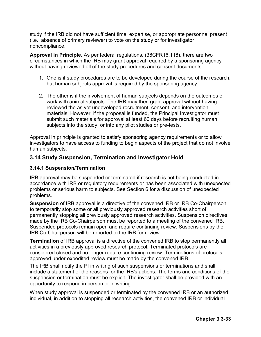study if the IRB did not have sufficient time, expertise, or appropriate personnel present (i.e., absence of primary reviewer) to vote on the study or for investigator noncompliance.

**Approval in Principle.** As per federal regulations, (38CFR16.118), there are two circumstances in which the IRB may grant approval required by a sponsoring agency without having reviewed all of the study procedures and consent documents.

- 1. One is if study procedures are to be developed during the course of the research, but human subjects approval is required by the sponsoring agency.
- 2. The other is if the involvement of human subjects depends on the outcomes of work with animal subjects. The IRB may then grant approval without having reviewed the as yet undeveloped recruitment, consent, and intervention materials. However, if the proposal is funded, the Principal Investigator must submit such materials for approval at least 60 days before recruiting human subjects into the study, or into any pilot studies or pre-tests.

Approval in principle is granted to satisfy sponsoring agency requirements or to allow investigators to have access to funding to begin aspects of the project that do not involve human subjects.

## **3.14 Study Suspension, Termination and Investigator Hold**

### **3.14.1 Suspension/Termination**

IRB approval may be suspended or terminated if research is not being conducted in accordance with IRB or regulatory requirements or has been associated with unexpected problems or serious harm to subjects. See Section 6 for a discussion of unexpected problems.

**Suspension** of IRB approval is a directive of the convened IRB or IRB Co-Chairperson to temporarily stop some or all previously approved research activities short of permanently stopping all previously approved research activities. Suspension directives made by the IRB Co-Chairperson must be reported to a meeting of the convened IRB. Suspended protocols remain open and require continuing review. Suspensions by the IRB Co-Chairperson will be reported to the IRB for review.

**Termination** of IRB approval is a directive of the convened IRB to stop permanently all activities in a previously approved research protocol. Terminated protocols are considered closed and no longer require continuing review. Terminations of protocols approved under expedited review must be made by the convened IRB.

The IRB shall notify the PI in writing of such suspensions or terminations and shall include a statement of the reasons for the IRB's actions. The terms and conditions of the suspension or termination must be explicit. The investigator shall be provided with an opportunity to respond in person or in writing.

When study approval is suspended or terminated by the convened IRB or an authorized individual, in addition to stopping all research activities, the convened IRB or individual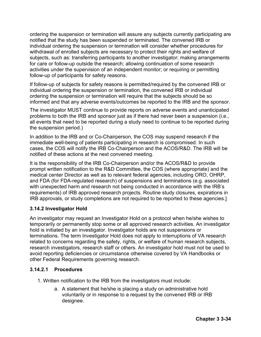ordering the suspension or termination will assure any subjects currently participating are notified that the study has been suspended or terminated. The convened IRB or individual ordering the suspension or termination will consider whether procedures for withdrawal of enrolled subjects are necessary to protect their rights and welfare of subjects, such as: transferring participants to another investigator; making arrangements for care or follow-up outside the research; allowing continuation of some research activities under the supervision of an independent monitor; or requiring or permitting follow-up of participants for safety reasons.

If follow-up of subjects for safety reasons is permitted/required by the convened IRB or individual ordering the suspension or termination, the convened IRB or individual ordering the suspension or termination will require that the subjects should be so informed and that any adverse events/outcomes be reported to the IRB and the sponsor.

The investigator MUST continue to provide reports on adverse events and unanticipated problems to both the IRB and sponsor just as if there had never been a suspension (i.e., all events that need to be reported during a study need to continue to be reported during the suspension period.)

In addition to the IRB and or Co-Chairperson, the COS may suspend research if the immediate well-being of patients participating in research is compromised. In such cases, the COS will notify the IRB Co-Chairperson and the ACOS/R&D. The IRB will be notified of these actions at the next convened meeting.

It is the responsibility of the IRB Co-Chairperson and/or the ACOS/R&D to provide prompt written notification to the R&D Committee, the COS (where appropriate) and the medical center Director as well as to relevant federal agencies, including ORO, OHRP, and FDA (for FDA-regulated research) of suspensions and terminations (e.g. associated with unexpected harm and research not being conducted in accordance with the IRB's requirements) of IRB approved research projects. Routine study closures, expirations in IRB approvals, or study completions are not required to be reported to these agencies.]

## **3.14.2 Investigator Hold**

An investigator may request an Investigator Hold on a protocol when he/she wishes to temporarily or permanently stop some or all approved research activities. An investigator hold is initiated by an investigator. Investigator holds are not suspensions or terminations. The term Investigator Hold does not apply to interruptions of VA research related to concerns regarding the safety, rights, or welfare of human research subjects, research investigators, research staff or others. An investigator hold must not be used to avoid reporting deficiencies or circumstance otherwise covered by VA Handbooks or other Federal Requirements governing research.

#### **3.14.2.1 Procedures**

- 1. Written notification to the IRB from the investigators must include:
	- a. A statement that he/she is placing a study on administrative hold voluntarily or in response to a request by the convened IRB or IRB designee.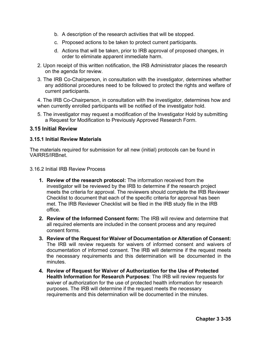- b. A description of the research activities that will be stopped.
- c. Proposed actions to be taken to protect current participants.
- d. Actions that will be taken, prior to IRB approval of proposed changes, in order to eliminate apparent immediate harm.
- 2. Upon receipt of this written notification, the IRB Administrator places the research on the agenda for review.
- 3. The IRB Co-Chairperson, in consultation with the investigator, determines whether any additional procedures need to be followed to protect the rights and welfare of current participants.

4. The IRB Co-Chairperson, in consultation with the investigator, determines how and when currently enrolled participants will be notified of the investigator hold.

5. The investigator may request a modification of the Investigator Hold by submitting a Request for Modification to Previously Approved Research Form.

## **3.15 Initial Review**

### **3.15.1 Initial Review Materials**

The materials required for submission for all new (initial) protocols can be found in VAIRRS/IRBnet.

3.16.2 Initial IRB Review Process

- **1. Review of the research protocol:** The information received from the investigator will be reviewed by the IRB to determine if the research project meets the criteria for approval. The reviewers should complete the IRB Reviewer Checklist to document that each of the specific criteria for approval has been met. The IRB Reviewer Checklist will be filed in the IRB study file in the IRB office.
- **2. Review of the Informed Consent form:** The IRB will review and determine that all required elements are included in the consent process and any required consent forms.
- **3. Review of the Request for Waiver of Documentation or Alteration of Consent:**  The IRB will review requests for waivers of informed consent and waivers of documentation of informed consent. The IRB will determine if the request meets the necessary requirements and this determination will be documented in the minutes.
- **4. Review of Request for Waiver of Authorization for the Use of Protected Health Information for Research Purposes**: The IRB will review requests for waiver of authorization for the use of protected health information for research purposes. The IRB will determine if the request meets the necessary requirements and this determination will be documented in the minutes.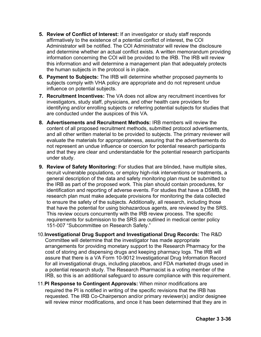- **5. Review of Conflict of Interest:** If an investigator or study staff responds affirmatively to the existence of a potential conflict of interest, the COI Administrator will be notified. The COI Administrator will review the disclosure and determine whether an actual conflict exists. A written memorandum providing information concerning the COI will be provided to the IRB. The IRB will review this information and will determine a management plan that adequately protects the human subjects in the protocol is in place.
- **6. Payment to Subjects:** The IRB will determine whether proposed payments to subjects comply with VHA policy are appropriate and do not represent undue influence on potential subjects.
- **7. Recruitment Incentives:** The VA does not allow any recruitment incentives for investigators, study staff, physicians, and other health care providers for identifying and/or enrolling subjects or referring potential subjects for studies that are conducted under the auspices of this VA.
- **8. Advertisements and Recruitment Methods:** IRB members will review the content of all proposed recruitment methods, submitted protocol advertisements, and all other written material to be provided to subjects. The primary reviewer will evaluate the materials for appropriateness, assuring that the advertisements do not represent an undue influence or coercion for potential research participants and that they are clear and understandable for the potential research participants under study.
- **9. Review of Safety Monitoring:** For studies that are blinded, have multiple sites, recruit vulnerable populations, or employ high-risk interventions or treatments, a general description of the data and safety monitoring plan must be submitted to the IRB as part of the proposed work. This plan should contain procedures, for identification and reporting of adverse events. For studies that have a DSMB, the research plan must make adequate provisions for monitoring the data collected to ensure the safety of the subjects. Additionally, all research, including those that have the potential for using biohazardous agents, are reviewed by the SRS. This review occurs concurrently with the IRB review process. The specific requirements for submission to the SRS are outlined in medical center policy 151-007 "Subcommittee on Research Safety."
- 10.**Investigational Drug Support and Investigational Drug Records:** The R&D Committee will determine that the investigator has made appropriate arrangements for providing monetary support to the Research Pharmacy for the cost of storing and dispensing drugs and keeping pharmacy logs. The IRB will assure that there is a VA Form 10-9012 Investigational Drug Information Record for all investigational drugs, including placebos, and FDA marketed drugs used in a potential research study. The Research Pharmacist is a voting member of the IRB, so this is an additional safeguard to assure compliance with this requirement.
- 11.**PI Response to Contingent Approvals:** When minor modifications are required the PI is notified in writing of the specific revisions that the IRB has requested. The IRB Co-Chairperson and/or primary reviewer(s) and/or designee will review minor modifications, and once it has been determined that they are in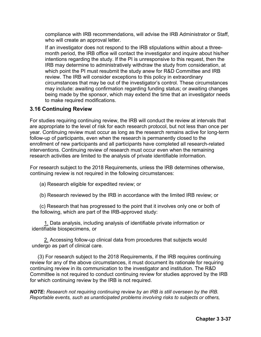compliance with IRB recommendations, will advise the IRB Administrator or Staff, who will create an approval letter.

If an investigator does not respond to the IRB stipulations within about a threemonth period, the IRB office will contact the investigator and inquire about his/her intentions regarding the study. If the PI is unresponsive to this request, then the IRB may determine to administratively withdraw the study from consideration, at which point the PI must resubmit the study anew for R&D Committee and IRB review. The IRB will consider exceptions to this policy in extraordinary circumstances that may be out of the investigator's control. These circumstances may include: awaiting confirmation regarding funding status; or awaiting changes being made by the sponsor, which may extend the time that an investigator needs to make required modifications.

### **3.16 Continuing Review**

For studies requiring continuing review, the IRB will conduct the review at intervals that are appropriate to the level of risk for each research protocol, but not less than once per year. Continuing review must occur as long as the research remains active for long-term follow-up of participants, even when the research is permanently closed to the enrollment of new participants and all participants have completed all research-related interventions. Continuing review of research must occur even when the remaining research activities are limited to the analysis of private identifiable information.

For research subject to the 2018 Requirements, unless the IRB determines otherwise, continuing review is not required in the following circumstances:

- (a) Research eligible for expedited review; or
- (b) Research reviewed by the IRB in accordance with the limited IRB review; or

(c) Research that has progressed to the point that it involves only one or both of the following, which are part of the IRB-approved study:

1. Data analysis, including analysis of identifiable private information or identifiable biospecimens, or

2. Accessing follow-up clinical data from procedures that subjects would undergo as part of clinical care.

(3) For research subject to the 2018 Requirements, if the IRB requires continuing review for any of the above circumstances, it must document its rationale for requiring continuing review in its communication to the investigator and institution. The R&D Committee is not required to conduct continuing review for studies approved by the IRB for which continuing review by the IRB is not required.

*NOTE: Research not requiring continuing review by an IRB is still overseen by the IRB. Reportable events, such as unanticipated problems involving risks to subjects or others,*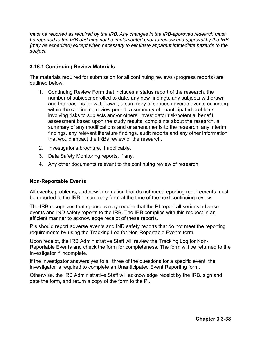*must be reported as required by the IRB. Any changes in the IRB-approved research must be reported to the IRB and may not be implemented prior to review and approval by the IRB (may be expedited) except when necessary to eliminate apparent immediate hazards to the subject.* 

#### **3.16.1 Continuing Review Materials**

The materials required for submission for all continuing reviews (progress reports) are outlined below:

- 1. Continuing Review Form that includes a status report of the research, the number of subjects enrolled to date, any new findings, any subjects withdrawn and the reasons for withdrawal, a summary of serious adverse events occurring within the continuing review period, a summary of unanticipated problems involving risks to subjects and/or others, investigator risk/potential benefit assessment based upon the study results, complaints about the research, a summary of any modifications and or amendments to the research, any interim findings, any relevant literature findings, audit reports and any other information that would impact the IRBs review of the research.
- 2. Investigator's brochure, if applicable.
- 3. Data Safety Monitoring reports, if any.
- 4. Any other documents relevant to the continuing review of research.

#### **Non-Reportable Events**

All events, problems, and new information that do not meet reporting requirements must be reported to the IRB in summary form at the time of the next continuing review.

The IRB recognizes that sponsors may require that the PI report all serious adverse events and IND safety reports to the IRB. The IRB complies with this request in an efficient manner to acknowledge receipt of these reports.

PIs should report adverse events and IND safety reports that do not meet the reporting requirements by using the Tracking Log for Non-Reportable Events form.

Upon receipt, the IRB Administrative Staff will review the Tracking Log for Non-Reportable Events and check the form for completeness. The form will be returned to the investigator if incomplete.

If the investigator answers yes to all three of the questions for a specific event, the investigator is required to complete an Unanticipated Event Reporting form.

Otherwise, the IRB Administrative Staff will acknowledge receipt by the IRB, sign and date the form, and return a copy of the form to the PI.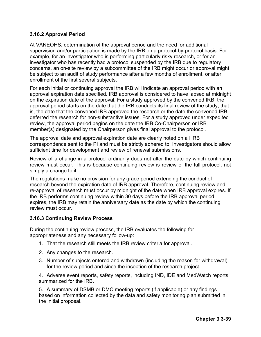## **3.16.2 Approval Period**

At VANEOHS, determination of the approval period and the need for additional supervision and/or participation is made by the IRB on a protocol-by-protocol basis. For example, for an investigator who is performing particularly risky research, or for an investigator who has recently had a protocol suspended by the IRB due to regulatory concerns, an on-site review by a subcommittee of the IRB might occur or approval might be subject to an audit of study performance after a few months of enrollment, or after enrollment of the first several subjects.

For each initial or continuing approval the IRB will indicate an approval period with an approval expiration date specified. IRB approval is considered to have lapsed at midnight on the expiration date of the approval. For a study approved by the convened IRB, the approval period starts on the date that the IRB conducts its final review of the study; that is, the date that the convened IRB approved the research or the date the convened IRB deferred the research for non-substantive issues. For a study approved under expedited review, the approval period begins on the date the IRB Co-Chairperson or IRB member(s) designated by the Chairperson gives final approval to the protocol.

The approval date and approval expiration date are clearly noted on all IRB correspondence sent to the PI and must be strictly adhered to. Investigators should allow sufficient time for development and review of renewal submissions.

Review of a change in a protocol ordinarily does not alter the date by which continuing review must occur. This is because continuing review is review of the full protocol, not simply a change to it.

The regulations make no provision for any grace period extending the conduct of research beyond the expiration date of IRB approval. Therefore, continuing review and re-approval of research must occur by midnight of the date when IRB approval expires. If the IRB performs continuing review within 30 days before the IRB approval period expires, the IRB may retain the anniversary date as the date by which the continuing review must occur.

#### **3.16.3 Continuing Review Process**

During the continuing review process, the IRB evaluates the following for appropriateness and any necessary follow-up:

- 1. That the research still meets the IRB review criteria for approval.
- 2. Any changes to the research.
- 3. Number of subjects entered and withdrawn (including the reason for withdrawal) for the review period and since the inception of the research project.

4. Adverse event reports, safety reports, including IND, IDE and MedWatch reports summarized for the IRB.

5. A summary of DSMB or DMC meeting reports (if applicable) or any findings based on information collected by the data and safety monitoring plan submitted in the initial proposal.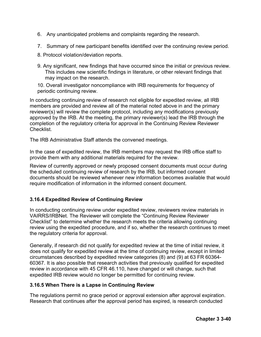- 6. Any unanticipated problems and complaints regarding the research.
- 7. Summary of new participant benefits identified over the continuing review period.
- 8. Protocol violation/deviation reports.
- 9. Any significant, new findings that have occurred since the initial or previous review. This includes new scientific findings in literature, or other relevant findings that may impact on the research.

10. Overall investigator noncompliance with IRB requirements for frequency of periodic continuing review.

In conducting continuing review of research not eligible for expedited review, all IRB members are provided and review all of the material noted above in and the primary reviewer(s) will review the complete protocol, including any modifications previously approved by the IRB. At the meeting, the primary reviewer(s) lead the IRB through the completion of the regulatory criteria for approval in the Continuing Review Reviewer Checklist.

The IRB Administrative Staff attends the convened meetings.

In the case of expedited review, the IRB members may request the IRB office staff to provide them with any additional materials required for the review.

Review of currently approved or newly proposed consent documents must occur during the scheduled continuing review of research by the IRB, but informed consent documents should be reviewed whenever new information becomes available that would require modification of information in the informed consent document.

## **3.16.4 Expedited Review of Continuing Review**

In conducting continuing review under expedited review, reviewers review materials in VAIRRS/IRBNet. The Reviewer will complete the "Continuing Review Reviewer Checklist" to determine whether the research meets the criteria allowing continuing review using the expedited procedure, and if so, whether the research continues to meet the regulatory criteria for approval.

Generally, if research did not qualify for expedited review at the time of initial review, it does not qualify for expedited review at the time of continuing review, except in limited circumstances described by expedited review categories (8) and (9) at 63 FR 60364- 60367. It is also possible that research activities that previously qualified for expedited review in accordance with 45 CFR 46.110, have changed or will change, such that expedited IRB review would no longer be permitted for continuing review.

## **3.16.5 When There is a Lapse in Continuing Review**

The regulations permit no grace period or approval extension after approval expiration. Research that continues after the approval period has expired, is research conducted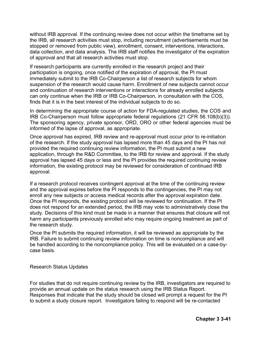without IRB approval. If the continuing review does not occur within the timeframe set by the IRB, all research activities must stop, including recruitment (advertisements must be stopped or removed from public view), enrollment, consent, interventions, interactions, data collection, and data analysis. The IRB staff notifies the investigator of the expiration of approval and that all research activities must stop.

If research participants are currently enrolled in the research project and their participation is ongoing, once notified of the expiration of approval, the PI must immediately submit to the IRB Co-Chairperson a list of research subjects for whom suspension of the research would cause harm. Enrollment of new subjects cannot occur and continuation of research interventions or interactions for already enrolled subjects can only continue when the IRB or IRB Co-Chairperson, in consultation with the COS, finds that it is in the best interest of the individual subjects to do so.

In determining the appropriate course of action for FDA-regulated studies, the COS and IRB Co-Chairperson must follow appropriate federal regulations (21 CFR 56.108(b)(3)). The sponsoring agency, private sponsor, ORD, ORO or other federal agencies must be informed of the lapse of approval, as appropriate.

Once approval has expired, IRB review and re-approval must occur prior to re-initiation of the research. If the study approval has lapsed more than 45 days and the PI has not provided the required continuing review information, the PI must submit a new application, through the R&D Committee, to the IRB for review and approval. If the study approval has lapsed 45 days or less and the PI provides the required continuing review information, the existing protocol may be reviewed for consideration of continued IRB approval.

If a research protocol receives contingent approval at the time of the continuing review and the approval expires before the PI responds to the contingencies, the PI may not enroll any new subjects or access medical records after the approval expiration date. Once the PI responds, the existing protocol will be reviewed for continuation. If the PI does not respond for an extended period, the IRB may vote to administratively close the study. Decisions of this kind must be made in a manner that ensures that closure will not harm any participants previously enrolled who may require ongoing treatment as part of the research study.

Once the PI submits the required information, it will be reviewed as appropriate by the IRB. Failure to submit continuing review information on time is noncompliance and will be handled according to the noncompliance policy. This will be evaluated on a case-bycase basis.

Research Status Updates

For studies that do not require continuing review by the IRB, investigators are required to provide an annual update on the status research using the IRB Status Report. Responses that indicate that the study should be closed will prompt a request for the PI to submit a study closure report. Investigators failing to respond will be re-contacted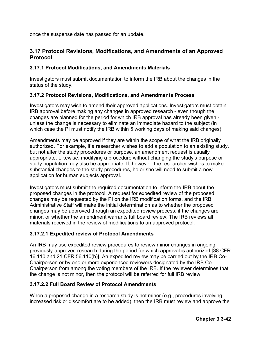once the suspense date has passed for an update.

## **3.17 Protocol Revisions, Modifications, and Amendments of an Approved Protocol**

## **3.17.1 Protocol Modifications, and Amendments Materials**

Investigators must submit documentation to inform the IRB about the changes in the status of the study.

## **3.17.2 Protocol Revisions, Modifications, and Amendments Process**

Investigators may wish to amend their approved applications. Investigators must obtain IRB approval before making any changes in approved research - even though the changes are planned for the period for which IRB approval has already been given unless the change is necessary to eliminate an immediate hazard to the subject (in which case the PI must notify the IRB within 5 working days of making said changes).

Amendments may be approved if they are within the scope of what the IRB originally authorized. For example, if a researcher wishes to add a population to an existing study, but not alter the study procedures or purpose, an amendment request is usually appropriate. Likewise, modifying a procedure without changing the study's purpose or study population may also be appropriate. If, however, the researcher wishes to make substantial changes to the study procedures, he or she will need to submit a new application for human subjects approval.

Investigators must submit the required documentation to inform the IRB about the proposed changes in the protocol. A request for expedited review of the proposed changes may be requested by the PI on the IRB modification forms, and the IRB Administrative Staff will make the initial determination as to whether the proposed changes may be approved through an expedited review process, if the changes are minor, or whether the amendment warrants full board review. The IRB reviews all materials received in the review of modifications to an approved protocol.

## **3.17.2.1 Expedited review of Protocol Amendments**

An IRB may use expedited review procedures to review minor changes in ongoing previously-approved research during the period for which approval is authorized [38 CFR 16.110 and 21 CFR 56.110(b)]. An expedited review may be carried out by the IRB Co-Chairperson or by one or more experienced reviewers designated by the IRB Co-Chairperson from among the voting members of the IRB. If the reviewer determines that the change is not minor, then the protocol will be referred for full IRB review.

## **3.17.2.2 Full Board Review of Protocol Amendments**

When a proposed change in a research study is not minor (e.g., procedures involving increased risk or discomfort are to be added), then the IRB must review and approve the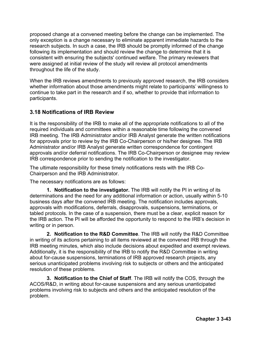proposed change at a convened meeting before the change can be implemented. The only exception is a change necessary to eliminate apparent immediate hazards to the research subjects. In such a case, the IRB should be promptly informed of the change following its implementation and should review the change to determine that it is consistent with ensuring the subjects' continued welfare. The primary reviewers that were assigned at initial review of the study will review all protocol amendments throughout the life of the study.

When the IRB reviews amendments to previously approved research, the IRB considers whether information about those amendments might relate to participants' willingness to continue to take part in the research and if so, whether to provide that information to participants.

## **3.18 Notifications of IRB Review**

It is the responsibility of the IRB to make all of the appropriate notifications to all of the required individuals and committees within a reasonable time following the convened IRB meeting. The IRB Administrator and/or IRB Analyst generate the written notifications for approvals prior to review by the IRB Co-Chairperson or his/her designee. The IRB Administrator and/or IRB Analyst generate written correspondence for contingent approvals and/or deferral notifications. The IRB Co-Chairperson or designee may review IRB correspondence prior to sending the notification to the investigator.

The ultimate responsibility for these timely notifications rests with the IRB Co-Chairperson and the IRB Administrator.

The necessary notifications are as follows:

**1. Notification to the investigator.** The IRB will notify the PI in writing of its determinations and the need for any additional information or action, usually within 5-10 business days after the convened IRB meeting. The notification includes approvals, approvals with modifications, deferrals, disapprovals, suspensions, terminations, or tabled protocols. In the case of a suspension, there must be a clear, explicit reason for the IRB action. The PI will be afforded the opportunity to respond to the IRB's decision in writing or in person.

**2. Notification to the R&D Committee**. The IRB will notify the R&D Committee in writing of its actions pertaining to all items reviewed at the convened IRB through the IRB meeting minutes, which also include decisions about expedited and exempt reviews. Additionally, it is the responsibility of the IRB to notify the R&D Committee in writing about for-cause suspensions, terminations of IRB approved research projects, any serious unanticipated problems involving risk to subjects or others and the anticipated resolution of these problems.

**3. Notification to the Chief of Staff**. The IRB will notify the COS, through the ACOS/R&D, in writing about for-cause suspensions and any serious unanticipated problems involving risk to subjects and others and the anticipated resolution of the problem.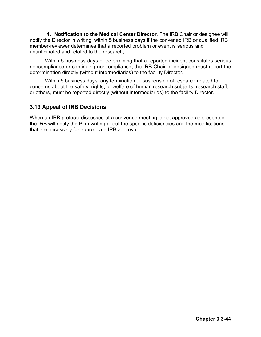**4. Notification to the Medical Center Director.** The IRB Chair or designee will notify the Director in writing, within 5 business days if the convened IRB or qualified IRB member-reviewer determines that a reported problem or event is serious and unanticipated and related to the research,

Within 5 business days of determining that a reported incident constitutes serious noncompliance or continuing noncompliance, the IRB Chair or designee must report the determination directly (without intermediaries) to the facility Director.

Within 5 business days, any termination or suspension of research related to concerns about the safety, rights, or welfare of human research subjects, research staff, or others, must be reported directly (without intermediaries) to the facility Director.

## **3.19 Appeal of IRB Decisions**

When an IRB protocol discussed at a convened meeting is not approved as presented, the IRB will notify the PI in writing about the specific deficiencies and the modifications that are necessary for appropriate IRB approval.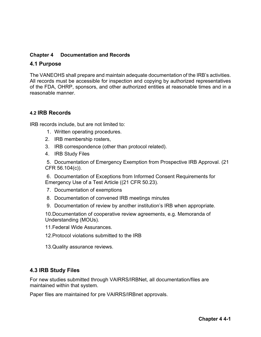## **Chapter 4 Documentation and Records**

### **4.1 Purpose**

The VANEOHS shall prepare and maintain adequate documentation of the IRB's activities. All records must be accessible for inspection and copying by authorized representatives of the FDA, OHRP, sponsors, and other authorized entities at reasonable times and in a reasonable manner.

## **4.2 IRB Records**

IRB records include, but are not limited to:

- 1. Written operating procedures.
- 2. IRB membership rosters,
- 3. IRB correspondence (other than protocol related).
- 4. IRB Study Files

5. Documentation of Emergency Exemption from Prospective IRB Approval. (21 CFR 56.104(c)).

6. Documentation of Exceptions from Informed Consent Requirements for Emergency Use of a Test Article ((21 CFR 50.23).

- 7. Documentation of exemptions
- 8. Documentation of convened IRB meetings minutes
- 9. Documentation of review by another institution's IRB when appropriate.

10.Documentation of cooperative review agreements, e.g. Memoranda of Understanding (MOUs).

11.Federal Wide Assurances.

- 12.Protocol violations submitted to the IRB
- 13.Quality assurance reviews.

## **4.3 IRB Study Files**

For new studies submitted through VAIRRS/IRBNet, all documentation/files are maintained within that system.

Paper files are maintained for pre VAIRRS/IRBnet approvals.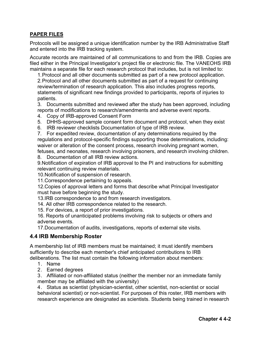## **PAPER FILES**

Protocols will be assigned a unique identification number by the IRB Administrative Staff and entered into the IRB tracking system.

Accurate records are maintained of all communications to and from the IRB. Copies are filed either in the Principal Investigator's project file or electronic file. The VANEOHS IRB maintains a separate file for each research protocol that includes, but is not limited to:

1.Protocol and all other documents submitted as part of a new protocol application. 2.Protocol and all other documents submitted as part of a request for continuing review/termination of research application. This also includes progress reports, statements of significant new findings provided to participants, reports of injuries to patients.

3. Documents submitted and reviewed after the study has been approved, including reports of modifications to research/amendments and adverse event reports.

- 4. Copy of IRB-approved Consent Form
- 5. DHHS-approved sample consent form document and protocol, when they exist
- 6. IRB reviewer checklists Documentation of type of IRB review.

7. For expedited review, documentation of any determinations required by the regulations and protocol-specific findings supporting those determinations, including: waiver or alteration of the consent process, research involving pregnant women, fetuses, and neonates, research involving prisoners, and research involving children.

8. Documentation of all IRB review actions.

9.Notification of expiration of IRB approval to the PI and instructions for submitting relevant continuing review materials.

10.Notification of suspension of research.

11.Correspondence pertaining to appeals.

12.Copies of approval letters and forms that describe what Principal Investigator must have before beginning the study.

13.IRB correspondence to and from research investigators.

14. All other IRB correspondence related to the research.

15. For devices, a report of prior investigations.

16. Reports of unanticipated problems involving risk to subjects or others and adverse events.

17.Documentation of audits, investigations, reports of external site visits.

#### **4.4 IRB Membership Roster**

A membership list of IRB members must be maintained; it must identify members sufficiently to describe each member's chief anticipated contributions to IRB deliberations. The list must contain the following information about members:

- 1. Name
- 2. Earned degrees

3. Affiliated or non-affiliated status (neither the member nor an immediate family member may be affiliated with the university)

4. Status as scientist (physician-scientist, other scientist, non-scientist or social behavioral scientist) or non-scientist. For purposes of this roster, IRB members with research experience are designated as scientists. Students being trained in research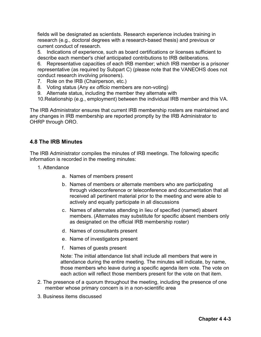fields will be designated as scientists. Research experience includes training in research (e.g., doctoral degrees with a research-based thesis) and previous or current conduct of research.

5. Indications of experience, such as board certifications or licenses sufficient to describe each member's chief anticipated contributions to IRB deliberations.

6. Representative capacities of each IRB member; which IRB member is a prisoner representative (as required by Subpart C) (please note that the VANEOHS does not conduct research involving prisoners).

- 7. Role on the IRB (Chairperson, etc.)
- 8. Voting status (Any *ex officio* members are non-voting)
- 9. Alternate status, including the member they alternate with
- 10.Relationship (e.g., employment) between the individual IRB member and this VA.

The IRB Administrator ensures that current IRB membership rosters are maintained and any changes in IRB membership are reported promptly by the IRB Administrator to OHRP through ORO.

### **4.8 The IRB Minutes**

The IRB Administrator compiles the minutes of IRB meetings. The following specific information is recorded in the meeting minutes:

- 1. Attendance
	- a. Names of members present
	- b. Names of members or alternate members who are participating through videoconference or teleconference and documentation that all received all pertinent material prior to the meeting and were able to actively and equally participate in all discussions
	- c. Names of alternates attending in lieu of specified (named) absent members. (Alternates may substitute for specific absent members only as designated on the official IRB membership roster)
	- d. Names of consultants present
	- e. Name of investigators present
	- f. Names of guests present

Note: The initial attendance list shall include all members that were in attendance during the entire meeting. The minutes will indicate, by name, those members who leave during a specific agenda item vote. The vote on each action will reflect those members present for the vote on that item.

- 2. The presence of a quorum throughout the meeting, including the presence of one member whose primary concern is in a non-scientific area
- 3. Business items discussed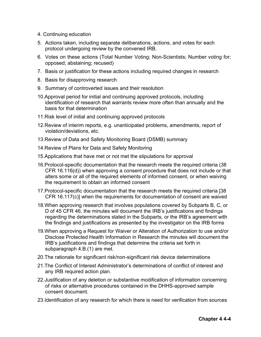- 4. Continuing education
- 5. Actions taken, including separate deliberations, actions, and votes for each protocol undergoing review by the convened IRB.
- 6. Votes on these actions (Total Number Voting; Non-Scientists; Number voting for; opposed; abstaining; recused)
- 7. Basis or justification for these actions including required changes in research
- 8. Basis for disapproving research
- 9. Summary of controverted issues and their resolution
- 10.Approval period for initial and continuing approved protocols, including identification of research that warrants review more often than annually and the basis for that determination
- 11.Risk level of initial and continuing approved protocols
- 12.Review of interim reports, e.g. unanticipated problems, amendments, report of violation/deviations, etc.
- 13.Review of Data and Safety Monitoring Board (DSMB) summary
- 14.Review of Plans for Data and Safety Monitoring
- 15.Applications that have met or not met the stipulations for approval
- 16.Protocol-specific documentation that the research meets the required criteria (38 CFR 16.116(d)) when approving a consent procedure that does not include or that alters some or all of the required elements of informed consent, or when waiving the requirement to obtain an informed consent
- 17.Protocol-specific documentation that the research meets the required criteria [38 CFR 16.117(c)] when the requirements for documentation of consent are waived
- 18.When approving research that involves populations covered by Subparts B, C, or D of 45 CFR 46, the minutes will document the IRB's justifications and findings regarding the determinations stated in the Subparts, or the IRB's agreement with the findings and justifications as presented by the investigator on the IRB forms
- 19.When approving a Request for Waiver or Alteration of Authorization to use and/or Disclose Protected Health Information in Research the minutes will document the IRB's justifications and findings that determine the criteria set forth in subparagraph 4.B.(1) are met.
- 20.The rationale for significant risk/non-significant risk device determinations
- 21.The Conflict of Interest Administrator's determinations of conflict of interest and any IRB required action plan.
- 22.Justification of any deletion or substantive modification of information concerning of risks or alternative procedures contained in the DHHS-approved sample consent document.
- 23.Identification of any research for which there is need for verification from sources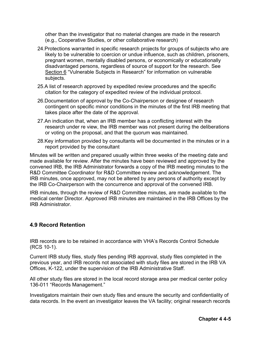other than the investigator that no material changes are made in the research (e.g., Cooperative Studies, or other collaborative research)

- 24.Protections warranted in specific research projects for groups of subjects who are likely to be vulnerable to coercion or undue influence, such as children, prisoners, pregnant women, mentally disabled persons, or economically or educationally disadvantaged persons, regardless of source of support for the research. See Section 6 "Vulnerable Subjects in Research" for information on vulnerable subjects.
- 25.A list of research approved by expedited review procedures and the specific citation for the category of expedited review of the individual protocol.
- 26.Documentation of approval by the Co-Chairperson or designee of research contingent on specific minor conditions in the minutes of the first IRB meeting that takes place after the date of the approval.
- 27.An indication that, when an IRB member has a conflicting interest with the research under re view, the IRB member was not present during the deliberations or voting on the proposal, and that the quorum was maintained.
- 28.Key information provided by consultants will be documented in the minutes or in a report provided by the consultant

Minutes will be written and prepared usually within three weeks of the meeting date and made available for review. After the minutes have been reviewed and approved by the convened IRB, the IRB Administrator forwards a copy of the IRB meeting minutes to the R&D Committee Coordinator for R&D Committee review and acknowledgement. The IRB minutes, once approved, may not be altered by any persons of authority except by the IRB Co-Chairperson with the concurrence and approval of the convened IRB.

IRB minutes, through the review of R&D Committee minutes, are made available to the medical center Director. Approved IRB minutes are maintained in the IRB Offices by the IRB Administrator.

## **4.9 Record Retention**

IRB records are to be retained in accordance with VHA's Records Control Schedule (RCS 10-1).

Current IRB study files, study files pending IRB approval, study files completed in the previous year, and IRB records not associated with study files are stored in the IRB VA Offices, K-122, under the supervision of the IRB Administrative Staff.

All other study files are stored in the local record storage area per medical center policy 136-011 "Records Management."

Investigators maintain their own study files and ensure the security and confidentiality of data records. In the event an investigator leaves the VA facility; original research records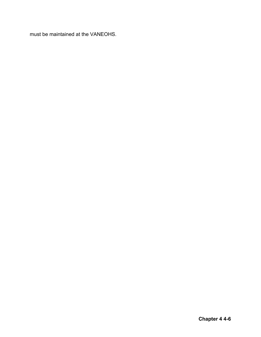must be maintained at the VANEOHS.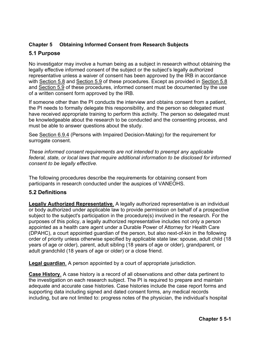## **Chapter 5 Obtaining Informed Consent from Research Subjects**

# **5.1 Purpose**

No investigator may involve a human being as a subject in research without obtaining the legally effective informed consent of the subject or the subject's legally authorized representative unless a waiver of consent has been approved by the IRB in accordance with Section 5.8 and Section 5.9 of these procedures. Except as provided in Section 5.8 and Section 5.9 of these procedures, informed consent must be documented by the use of a written consent form approved by the IRB.

If someone other than the PI conducts the interview and obtains consent from a patient, the PI needs to formally delegate this responsibility, and the person so delegated must have received appropriate training to perform this activity. The person so delegated must be knowledgeable about the research to be conducted and the consenting process, and must be able to answer questions about the study.

See Section 6.9.4 (Persons with Impaired Decision-Making) for the requirement for surrogate consent.

*These informed consent requirements are not intended to preempt any applicable federal, state, or local laws that require additional information to be disclosed for informed consent to be legally effective.*

The following procedures describe the requirements for obtaining consent from participants in research conducted under the auspices of VANEOHS.

# **5.2 Definitions**

**Legally Authorized Representative**. A legally authorized representative is an individual or body authorized under applicable law to provide permission on behalf of a prospective subject to the subject's participation in the procedure(s) involved in the research. For the purposes of this policy, a legally authorized representative includes not only a person appointed as a health care agent under a Durable Power of Attorney for Health Care (DPAHC), a court appointed guardian of the person, but also next-of-kin in the following order of priority unless otherwise specified by applicable state law: spouse, adult child (18 years of age or older), parent, adult sibling (18 years of age or older), grandparent, or adult grandchild (18 years of age or older) or a close friend.

**Legal guardian**. A person appointed by a court of appropriate jurisdiction.

**Case History**. A case history is a record of all observations and other data pertinent to the investigation on each research subject. The PI is required to prepare and maintain adequate and accurate case histories. Case histories include the case report forms and supporting data including signed and dated consent forms, any medical records including, but are not limited to: progress notes of the physician, the individual's hospital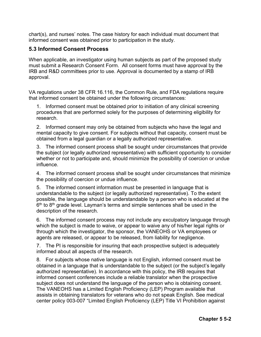chart(s), and nurses' notes. The case history for each individual must document that informed consent was obtained prior to participation in the study.

## **5.3 Informed Consent Process**

When applicable, an investigator using human subjects as part of the proposed study must submit a Research Consent Form. All consent forms must have approval by the IRB and R&D committees prior to use. Approval is documented by a stamp of IRB approval.

VA regulations under 38 CFR 16.116, the Common Rule, and FDA regulations require that informed consent be obtained under the following circumstances:

1. Informed consent must be obtained prior to initiation of any clinical screening procedures that are performed solely for the purposes of determining eligibility for research.

2. Informed consent may only be obtained from subjects who have the legal and mental capacity to give consent. For subjects without that capacity, consent must be obtained from a legal guardian or a legally authorized representative.

3. The informed consent process shall be sought under circumstances that provide the subject (or legally authorized representative) with sufficient opportunity to consider whether or not to participate and, should minimize the possibility of coercion or undue influence.

4. The informed consent process shall be sought under circumstances that minimize the possibility of coercion or undue influence.

5. The informed consent information must be presented in language that is understandable to the subject (or legally authorized representative). To the extent possible, the language should be understandable by a person who is educated at the  $6<sup>th</sup>$  to  $8<sup>th</sup>$  grade level. Layman's terms and simple sentences shall be used in the description of the research.

6. The informed consent process may not include any exculpatory language through which the subject is made to waive, or appear to waive any of his/her legal rights or through which the investigator, the sponsor, the VANEOHS or VA employees or agents are released, or appear to be released, from liability for negligence.

7. The PI is responsible for insuring that each prospective subject is adequately informed about all aspects of the research.

8. For subjects whose native language is not English, informed consent must be obtained in a language that is understandable to the subject (or the subject's legally authorized representative). In accordance with this policy, the IRB requires that informed consent conferences include a reliable translator when the prospective subject does not understand the language of the person who is obtaining consent. The VANEOHS has a Limited English Proficiency (LEP) Program available that assists in obtaining translators for veterans who do not speak English. See medical center policy 003-007 "Limited English Proficiency (LEP) Title VI Prohibition against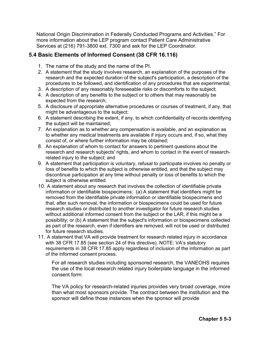National Origin Discrimination in Federally Conducted Programs and Activities." For more information about the LEP program contact Patient Care Administrative Services at (216) 791-3800 ext. 7300 and ask for the LEP Coordinator.

## **5.4 Basic Elements of Informed Consent (38 CFR 16.116)**

- 1. The name of the study and the name of the PI.
- 2. A statement that the study involves research, an explanation of the purposes of the research and the expected duration of the subject's participation, a description of the procedures to be followed, and identification of any procedures that are experimental;
- 3. A description of any reasonably foreseeable risks or discomforts to the subject;
- 4. A description of any benefits to the subject or to others that may reasonably be expected from the research;
- 5. A disclosure of appropriate alternative procedures or courses of treatment, if any, that might be advantageous to the subject;
- 6. A statement describing the extent, if any, to which confidentiality of records identifying the subject will be maintained;
- 7. An explanation as to whether any compensation is available, and an explanation as to whether any medical treatments are available if injury occurs and, if so, what they consist of, or where further information may be obtained;
- 8. An explanation of whom to contact for answers to pertinent questions about the research and research subjects' rights, and whom to contact in the event of researchrelated injury to the subject; and
- 9. A statement that participation is voluntary, refusal to participate involves no penalty or loss of benefits to which the subject is otherwise entitled, and that the subject may discontinue participation at any time without penalty or loss of benefits to which the subject is otherwise entitled.
- 10. A statement about any research that involves the collection of identifiable private information or identifiable biospecimens: (a) A statement that identifiers might be removed from the identifiable private information or identifiable biospecimens and that, after such removal, the information or biospecimens could be used for future research studies or distributed to another investigator for future research studies without additional informed consent from the subject or the LAR, if this might be a possibility; or (b) A statement that the subject's information or biospecimens collected as part of the research, even if identifiers are removed, will not be used or distributed for future research studies.
- 11. A statement that VA will provide treatment for research related injury in accordance with 38 CFR 17.85 (see section 24 of this directive). NOTE: VA's statutory requirements in 38 CFR 17.85 apply regardless of inclusion of the information as part of the informed consent process.

For all research studies including sponsored research, the VANEOHS requires the use of the local research related injury boilerplate language in the informed consent form:

The VA policy for research-related injuries provides very broad coverage, more than what most sponsors provide. The contract between the institution and the sponsor will define those instances when the sponsor will provide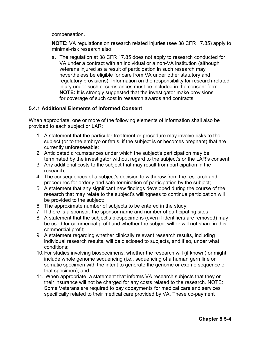compensation.

**NOTE:** VA regulations on research related injuries (see 38 CFR 17.85) apply to minimal-risk research also.

a. The regulation at 38 CFR 17.85 does not apply to research conducted for VA under a contract with an individual or a non-VA institution (although veterans injured as a result of participation in such research may nevertheless be eligible for care from VA under other statutory and regulatory provisions). Information on the responsibility for research-related injury under such circumstances must be included in the consent form. **NOTE:** It is strongly suggested that the investigator make provisions for coverage of such cost in research awards and contracts.

### **5.4.1 Additional Elements of Informed Consent**

When appropriate, one or more of the following elements of information shall also be provided to each subject or LAR:

- 1. A statement that the particular treatment or procedure may involve risks to the subject (or to the embryo or fetus, if the subject is or becomes pregnant) that are currently unforeseeable;
- 2. Anticipated circumstances under which the subject's participation may be terminated by the investigator without regard to the subject's or the LAR's consent;
- 3. Any additional costs to the subject that may result from participation in the research;
- 4. The consequences of a subject's decision to withdraw from the research and procedures for orderly and safe termination of participation by the subject;
- 5. A statement that any significant new findings developed during the course of the research that may relate to the subject's willingness to continue participation will be provided to the subject;
- 6. The approximate number of subjects to be entered in the study;
- 7. If there is a sponsor, the sponsor name and number of participating sites
- 8. A statement that the subject's biospecimens (even if identifiers are removed) may be used for commercial profit and whether the subject will or will not share in this commercial profit;
- 9. A statement regarding whether clinically relevant research results, including individual research results, will be disclosed to subjects, and if so, under what conditions;
- 10.For studies involving biospecimens, whether the research will (if known) or might include whole genome sequencing (i.e., sequencing of a human germline or somatic specimen with the intent to generate the genome or exome sequence of that specimen); and
- 11. When appropriate, a statement that informs VA research subjects that they or their insurance will not be charged for any costs related to the research. NOTE: Some Veterans are required to pay copayments for medical care and services specifically related to their medical care provided by VA. These co-payment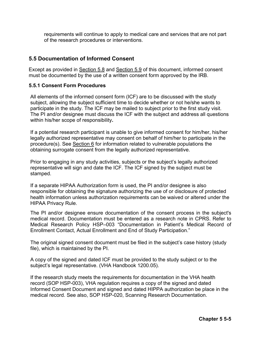requirements will continue to apply to medical care and services that are not part of the research procedures or interventions.

### **5.5 Documentation of Informed Consent**

Except as provided in Section 5.8 and Section 5.9 of this document, informed consent must be documented by the use of a written consent form approved by the IRB.

#### **5.5.1 Consent Form Procedures**

All elements of the informed consent form (ICF) are to be discussed with the study subject, allowing the subject sufficient time to decide whether or not he/she wants to participate in the study. The ICF may be mailed to subject prior to the first study visit. The PI and/or designee must discuss the ICF with the subject and address all questions within his/her scope of responsibility**.** 

If a potential research participant is unable to give informed consent for him/her, his/her legally authorized representative may consent on behalf of him/her to participate in the procedure(s). See Section 6 for information related to vulnerable populations the obtaining surrogate consent from the legally authorized representative.

Prior to engaging in any study activities, subjects or the subject's legally authorized representative will sign and date the ICF. The ICF signed by the subject must be stamped.

If a separate HIPAA Authorization form is used, the PI and/or designee is also responsible for obtaining the signature authorizing the use of or disclosure of protected health information unless authorization requirements can be waived or altered under the HIPAA Privacy Rule.

The PI and/or designee ensure documentation of the consent process in the subject's medical record. Documentation must be entered as a research note in CPRS. Refer to Medical Research Policy HSP–003 "Documentation in Patient's Medical Record of Enrollment Contact, Actual Enrollment and End of Study Participation."

The original signed consent document must be filed in the subject's case history (study file), which is maintained by the PI.

A copy of the signed and dated ICF must be provided to the study subject or to the subject's legal representative. (VHA Handbook 1200.05).

If the research study meets the requirements for documentation in the VHA health record (SOP HSP-003), VHA regulation requires a copy of the signed and dated Informed Consent Document and signed and dated HIPPA authorization be place in the medical record. See also, SOP HSP-020, Scanning Research Documentation.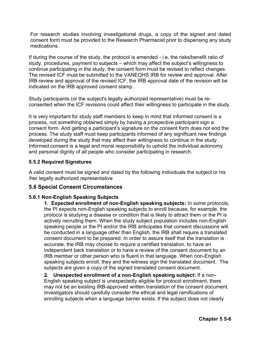For research studies involving investigational drugs, a copy of the signed and dated consent form must be provided to the Research Pharmacist prior to dispensing any study medications.

If during the course of the study, the protocol is amended - i.e. the risks/benefit ratio of study, procedures, payment to subjects – which may affect the subject's willingness to continue participating in the study, the consent form must be revised to reflect changes. The revised ICF must be submitted to the VANEOHS IRB for review and approval. After IRB review and approval of the revised ICF, the IRB approval date of the revision will be indicated on the IRB approved consent stamp.

Study participants (or the subject's legally authorized representative) must be reconsented when the ICF revisions could affect their willingness to participate in the study.

It is very important for study staff members to keep in mind that informed consent is a process, not something obtained simply by having a prospective participant sign a consent form. And getting a participant's signature on the consent form does not end the process. The study staff must keep participants informed of any significant new findings developed during the study that may affect their willingness to continue in the study. Informed consent is a legal and moral responsibility to uphold the individual autonomy and personal dignity of all people who consider participating in research.

### **5.5.2 Required Signatures**

A valid consent must be signed and dated by the following individuals the subject or his /her legally authorized representative

## **5.6 Special Consent Circumstances**

## **5.6.1 Non-English Speaking Subjects**

**1. Expected enrollment of non-English speaking subjects:** In some protocols, the PI expects non-English speaking subjects to enroll because, for example, the protocol is studying a disease or condition that is likely to attract them or the PI is actively recruiting them. When the study subject population includes non-English speaking people or the PI and/or the IRB anticipates that consent discussions will be conducted in a language other than English, the IRB shall require a translated consent document to be prepared. In order to assure itself that the translation is accurate, the IRB may choose to require a certified translation, to have an independent back translation or to have a review of the consent document by an IRB member or other person who is fluent in that language. When non-English speaking subjects enroll, they and the witness sign the translated document. The subjects are given a copy of the signed translated consent document.

**2. Unexpected enrollment of a non-English speaking subject:** If a non-English speaking subject is unexpectedly eligible for protocol enrollment, there may not be an existing IRB-approved written translation of the consent document. Investigators should carefully consider the ethical and legal ramifications of enrolling subjects when a language barrier exists. If the subject does not clearly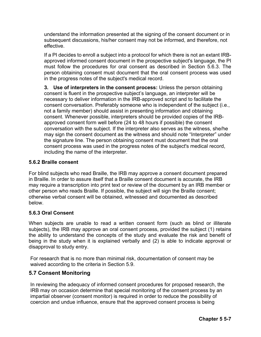understand the information presented at the signing of the consent document or in subsequent discussions, his/her consent may not be informed, and therefore, not effective.

If a PI decides to enroll a subject into a protocol for which there is not an extant IRBapproved informed consent document in the prospective subject's language, the PI must follow the procedures for oral consent as described in Section 5.6.3. The person obtaining consent must document that the oral consent process was used in the progress notes of the subject's medical record.

**3. Use of interpreters in the consent process:** Unless the person obtaining consent is fluent in the prospective subject's language, an interpreter will be necessary to deliver information in the IRB-approved script and to facilitate the consent conversation. Preferably someone who is independent of the subject (i.e., not a family member) should assist in presenting information and obtaining consent. Whenever possible, interpreters should be provided copies of the IRBapproved consent form well before (24 to 48 hours if possible) the consent conversation with the subject. If the interpreter also serves as the witness, she/he may sign the consent document as the witness and should note "Interpreter" under the signature line. The person obtaining consent must document that the oral consent process was used in the progress notes of the subject's medical record, including the name of the interpreter.

#### **5.6.2 Braille consent**

For blind subjects who read Braille, the IRB may approve a consent document prepared in Braille. In order to assure itself that a Braille consent document is accurate, the IRB may require a transcription into print text or review of the document by an IRB member or other person who reads Braille. If possible, the subject will sign the Braille consent; otherwise verbal consent will be obtained, witnessed and documented as described below.

## **5.6.3 Oral Consent**

When subjects are unable to read a written consent form (such as blind or illiterate subjects), the IRB may approve an oral consent process, provided the subject (1) retains the ability to understand the concepts of the study and evaluate the risk and benefit of being in the study when it is explained verbally and (2) is able to indicate approval or disapproval to study entry.

For research that is no more than minimal risk, documentation of consent may be waived according to the criteria in Section 5.9.

## **5.7 Consent Monitoring**

In reviewing the adequacy of informed consent procedures for proposed research, the IRB may on occasion determine that special monitoring of the consent process by an impartial observer (consent monitor) is required in order to reduce the possibility of coercion and undue influence, ensure that the approved consent process is being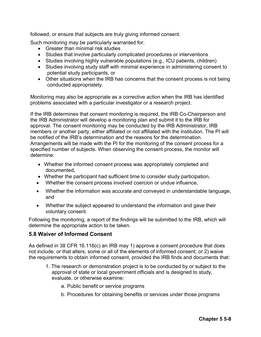followed, or ensure that subjects are truly giving informed consent.

Such monitoring may be particularly warranted for:

- Greater than minimal risk studies
- Studies that involve particularly complicated procedures or interventions
- Studies involving highly vulnerable populations (e.g., ICU patients, children)
- Studies involving study staff with minimal experience in administering consent to potential study participants, or
- Other situations when the IRB has concerns that the consent process is not being conducted appropriately.

Monitoring may also be appropriate as a corrective action when the IRB has identified problems associated with a particular investigator or a research project.

If the IRB determines that consent monitoring is required, the IRB Co-Chairperson and the IRB Administrator will develop a monitoring plan and submit it to the IRB for approval. The consent monitoring may be conducted by the IRB Administrator, IRB members or another party, either affiliated or not affiliated with the institution. The PI will be notified of the IRB's determination and the reasons for the determination. Arrangements will be made with the PI for the monitoring of the consent process for a specified number of subjects. When observing the consent process, the monitor will determine:

- Whether the informed consent process was appropriately completed and documented,
- Whether the participant had sufficient time to consider study participation,
- Whether the consent process involved coercion or undue influence,
- Whether the information was accurate and conveyed in understandable language, and
- Whether the subject appeared to understand the information and gave their voluntary consent.

Following the monitoring, a report of the findings will be submitted to the IRB, which will determine the appropriate action to be taken.

## **5.8 Waiver of Informed Consent**

As defined in 38 CFR 16.116(c) an IRB may 1) approve a consent procedure that does not include, or that alters, some or all of the elements of informed consent; or 2) waive the requirements to obtain informed consent, provided the IRB finds and documents that:

- 1. The research or demonstration project is to be conducted by or subject to the approval of state or local government officials and is designed to study, evaluate, or otherwise examine:
	- a. Public benefit or service programs
	- b. Procedures for obtaining benefits or services under those programs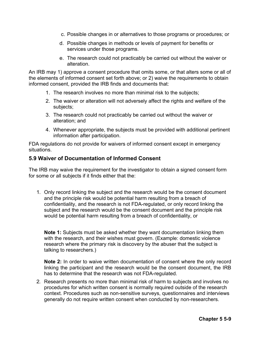- c. Possible changes in or alternatives to those programs or procedures; or
- d. Possible changes in methods or levels of payment for benefits or services under those programs.
- e. The research could not practicably be carried out without the waiver or alteration.

An IRB may 1) approve a consent procedure that omits some, or that alters some or all of the elements of informed consent set forth above; or 2) waive the requirements to obtain informed consent, provided the IRB finds and documents that:

- 1. The research involves no more than minimal risk to the subjects;
- 2. The waiver or alteration will not adversely affect the rights and welfare of the subjects;
- 3. The research could not practicably be carried out without the waiver or alteration; and
- 4. Whenever appropriate, the subjects must be provided with additional pertinent information after participation.

FDA regulations do not provide for waivers of informed consent except in emergency situations.

## **5.9 Waiver of Documentation of Informed Consent**

The IRB may waive the requirement for the investigator to obtain a signed consent form for some or all subjects if it finds either that the:

1. Only record linking the subject and the research would be the consent document and the principle risk would be potential harm resulting from a breach of confidentiality, and the research is not FDA-regulated, or only record linking the subject and the research would be the consent document and the principle risk would be potential harm resulting from a breach of confidentiality, or

**Note 1:** Subjects must be asked whether they want documentation linking them with the research, and their wishes must govern. (Example: domestic violence research where the primary risk is discovery by the abuser that the subject is talking to researchers.)

**Note 2:** In order to waive written documentation of consent where the only record linking the participant and the research would be the consent document, the IRB has to determine that the research was not FDA-regulated.

2. Research presents no more than minimal risk of harm to subjects and involves no procedures for which written consent is normally required outside of the research context. Procedures such as non-sensitive surveys, questionnaires and interviews generally do not require written consent when conducted by non-researchers.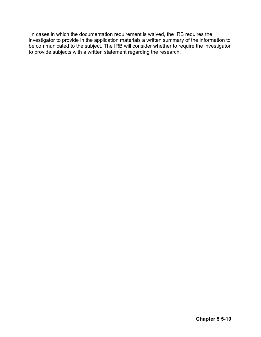In cases in which the documentation requirement is waived, the IRB requires the investigator to provide in the application materials a written summary of the information to be communicated to the subject. The IRB will consider whether to require the investigator to provide subjects with a written statement regarding the research.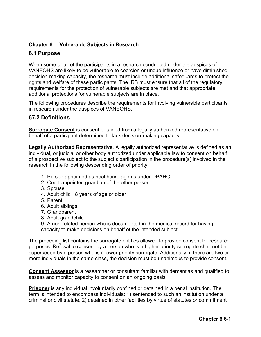# **Chapter 6 Vulnerable Subjects in Research**

# **6.1 Purpose**

When some or all of the participants in a research conducted under the auspices of VANEOHS are likely to be vulnerable to coercion or undue influence or have diminished decision-making capacity, the research must include additional safeguards to protect the rights and welfare of these participants. The IRB must ensure that all of the regulatory requirements for the protection of vulnerable subjects are met and that appropriate additional protections for vulnerable subjects are in place.

The following procedures describe the requirements for involving vulnerable participants in research under the auspices of VANEOHS.

### **67.2 Definitions**

**Surrogate Consent** is consent obtained from a legally authorized representative on behalf of a participant determined to lack decision-making capacity.

**Legally Authorized Representative**. A legally authorized representative is defined as an individual, or judicial or other body authorized under applicable law to consent on behalf of a prospective subject to the subject's participation in the procedure(s) involved in the research in the following descending order of priority:

- 1. Person appointed as healthcare agents under DPAHC
- 2. Court-appointed guardian of the other person
- 3. Spouse
- 4. Adult child 18 years of age or older
- 5. Parent
- 6. Adult siblings
- 7. Grandparent
- 8. Adult grandchild

9. A non-related person who is documented in the medical record for having capacity to make decisions on behalf of the intended subject

The preceding list contains the surrogate entities allowed to provide consent for research purposes. Refusal to consent by a person who is a higher priority surrogate shall not be superseded by a person who is a lower priority surrogate. Additionally, if there are two or more individuals in the same class, the decision must be unanimous to provide consent.

**Consent Assessor** is a researcher or consultant familiar with dementias and qualified to assess and monitor capacity to consent on an ongoing basis.

**Prisoner** is any individual involuntarily confined or detained in a penal institution. The term is intended to encompass individuals: 1) sentenced to such an institution under a criminal or civil statute, 2) detained in other facilities by virtue of statutes or commitment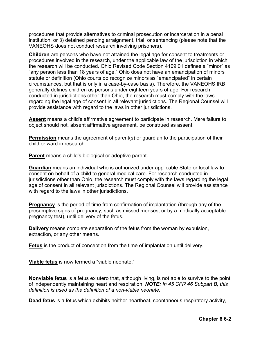procedures that provide alternatives to criminal prosecution or incarceration in a penal institution, or 3) detained pending arraignment, trial, or sentencing (please note that the VANEOHS does not conduct research involving prisoners).

**Children** are persons who have not attained the legal age for consent to treatments or procedures involved in the research, under the applicable law of the jurisdiction in which the research will be conducted. Ohio Revised Code Section 4109.01 defines a "minor" as "any person less than 18 years of age." Ohio does not have an emancipation of minors statute or definition (Ohio courts do recognize minors as "emancipated" in certain circumstances, but that is only in a case-by-case basis). Therefore, the VANEOHS IRB generally defines children as persons under eighteen years of age. For research conducted in jurisdictions other than Ohio, the research must comply with the laws regarding the legal age of consent in all relevant jurisdictions. The Regional Counsel will provide assistance with regard to the laws in other jurisdictions.

**Assent** means a child's affirmative agreement to participate in research. Mere failure to object should not, absent affirmative agreement, be construed as assent.

**Permission** means the agreement of parent(s) or guardian to the participation of their child or ward in research.

**Parent** means a child's biological or adoptive parent.

**Guardian** means an individual who is authorized under applicable State or local law to consent on behalf of a child to general medical care. For research conducted in jurisdictions other than Ohio, the research must comply with the laws regarding the legal age of consent in all relevant jurisdictions. The Regional Counsel will provide assistance with regard to the laws in other jurisdictions.

**Pregnancy** is the period of time from confirmation of implantation (through any of the presumptive signs of pregnancy, such as missed menses, or by a medically acceptable pregnancy test), until delivery of the fetus.

**Delivery** means complete separation of the fetus from the woman by expulsion, extraction, or any other means.

**Fetus** is the product of conception from the time of implantation until delivery.

**Viable fetus** is now termed a "viable neonate."

**Nonviable fetus** is a fetus ex utero that, although living, is not able to survive to the point of independently maintaining heart and respiration. *NOTE: In 45 CFR 46 Subpart B, this definition is used as the definition of a non-viable neonate.*

**Dead fetus** is a fetus which exhibits neither heartbeat, spontaneous respiratory activity,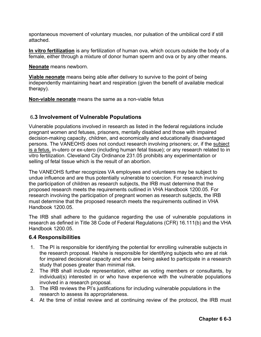spontaneous movement of voluntary muscles, nor pulsation of the umbilical cord if still attached.

**In vitro fertilization** is any fertilization of human ova, which occurs outside the body of a female, either through a mixture of donor human sperm and ova or by any other means.

**Neonate** means newborn.

**Viable neonate** means being able after delivery to survive to the point of being independently maintaining heart and respiration (given the benefit of available medical therapy).

**Non-viable neonate** means the same as a non-viable fetus

### 6**.3 Involvement of Vulnerable Populations**

Vulnerable populations involved in research as listed in the federal regulations include pregnant women and fetuses, prisoners, mentally disabled and those with impaired decision-making capacity, children, and economically and educationally disadvantaged persons. The VANEOHS does not conduct research involving prisoners; or, if the subject is a fetus, in-utero or ex-utero (including human fetal tissue); or any research related to in vitro fertilization. Cleveland City Ordinance 231.05 prohibits any experimentation or selling of fetal tissue which is the result of an abortion.

The VANEOHS further recognizes VA employees and volunteers may be subject to undue influence and are thus potentially vulnerable to coercion. For research involving the participation of children as research subjects, the IRB must determine that the proposed research meets the requirements outlined in VHA Handbook 1200.05. For research involving the participation of pregnant women as research subjects, the IRB must determine that the proposed research meets the requirements outlined in VHA Handbook 1200.05.

The IRB shall adhere to the guidance regarding the use of vulnerable populations in research as defined in Title 38 Code of Federal Regulations (CFR) 16.111(b) and the VHA Handbook 1200.05.

### **6.4 Responsibilities**

- 1. The PI is responsible for identifying the potential for enrolling vulnerable subjects in the research proposal. He/she is responsible for identifying subjects who are at risk for impaired decisional capacity and who are being asked to participate in a research study that poses greater than minimal risk.
- 2. The IRB shall include representation, either as voting members or consultants, by individual(s) interested in or who have experience with the vulnerable populations involved in a research proposal.
- 3. The IRB reviews the PI's justifications for including vulnerable populations in the research to assess its appropriateness.
- 4. At the time of initial review and at continuing review of the protocol, the IRB must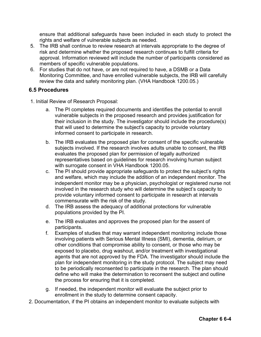ensure that additional safeguards have been included in each study to protect the rights and welfare of vulnerable subjects as needed.

- 5. The IRB shall continue to review research at intervals appropriate to the degree of risk and determine whether the proposed research continues to fulfill criteria for approval. Information reviewed will include the number of participants considered as members of specific vulnerable populations.
- 6. For studies that do not have, or are not required to have, a DSMB or a Data Monitoring Committee, and have enrolled vulnerable subjects, the IRB will carefully review the data and safety monitoring plan. (VHA Handbook 1200.05.)

### **6.5 Procedures**

- 1. Initial Review of Research Proposal:
	- a. The PI completes required documents and identifies the potential to enroll vulnerable subjects in the proposed research and provides justification for their inclusion in the study. The investigator should include the procedure(s) that will used to determine the subject's capacity to provide voluntary informed consent to participate in research.
	- b. The IRB evaluates the proposed plan for consent of the specific vulnerable subjects involved. If the research involves adults unable to consent, the IRB evaluates the proposed plan for permission of legally authorized representatives based on guidelines for research involving human subject with surrogate consent in VHA Handbook 1200.05.
	- c. The PI should provide appropriate safeguards to protect the subject's rights and welfare, which may include the addition of an independent monitor. The independent monitor may be a physician, psychologist or registered nurse not involved in the research study who will determine the subject's capacity to provide voluntary informed consent to participate in research at intervals commensurate with the risk of the study.
	- d. The IRB assess the adequacy of additional protections for vulnerable populations provided by the PI.
	- e. The IRB evaluates and approves the proposed plan for the assent of participants.
	- f. Examples of studies that may warrant independent monitoring include those involving patients with Serious Mental Illness (SMI), dementia, delirium, or other conditions that compromise ability to consent, or those who may be exposed to placebo, drug washout, and/or treatment with investigational agents that are not approved by the FDA. The investigator should include the plan for independent monitoring in the study protocol. The subject may need to be periodically reconsented to participate in the research. The plan should define who will make the determination to reconsent the subject and outline the process for ensuring that it is completed.
	- g. If needed, the independent monitor will evaluate the subject prior to enrollment in the study to determine consent capacity.
- 2. Documentation, if the PI obtains an independent monitor to evaluate subjects with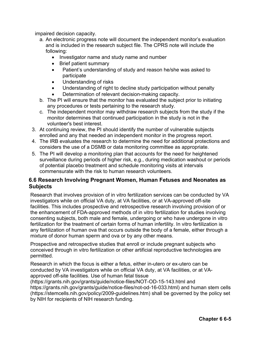impaired decision capacity.

- a. An electronic progress note will document the independent monitor's evaluation and is included in the research subject file. The CPRS note will include the following:
	- Investigator name and study name and number
	- Brief patient summary
	- Patient's understanding of study and reason he/she was asked to participate
	- Understanding of risks
	- Understanding of right to decline study participation without penalty
	- Determination of relevant decision-making capacity.
- b. The PI will ensure that the monitor has evaluated the subject prior to initiating any procedures or tests pertaining to the research study.
- c. The independent monitor may withdraw research subjects from the study if the monitor determines that continued participation in the study is not in the volunteer's best interest.
- 3. At continuing review, the PI should identify the number of vulnerable subjects enrolled and any that needed an independent monitor in the progress report.
- 4. The IRB evaluates the research to determine the need for additional protections and considers the use of a DSMB or data monitoring committee as appropriate.
- 5. The PI will develop a monitoring plan that accounts for the need for heightened surveillance during periods of higher risk, e.g., during medication washout or periods of potential placebo treatment and schedule monitoring visits at intervals commensurate with the risk to human research volunteers.

# **6.6 Research Involving Pregnant Women, Human Fetuses and Neonates as Subjects**

Research that involves provision of in vitro fertilization services can be conducted by VA investigators while on official VA duty, at VA facilities, or at VA-approved off-site facilities. This includes prospective and retrospective research involving provision of or the enhancement of FDA-approved methods of in vitro fertilization for studies involving consenting subjects, both male and female, undergoing or who have undergone in vitro fertilization for the treatment of certain forms of human infertility. In vitro fertilization is any fertilization of human ova that occurs outside the body of a female, either through a mixture of donor human sperm and ova or by any other means.

Prospective and retrospective studies that enroll or include pregnant subjects who conceived through in vitro fertilization or other artificial reproductive technologies are permitted.

Research in which the focus is either a fetus, either in-utero or ex-utero can be conducted by VA investigators while on official VA duty, at VA facilities, or at VAapproved off-site facilities. Use of human fetal tissue

(https://grants.nih.gov/grants/guide/notice-files/NOT-OD-15-143.html and https://grants.nih.gov/grants/guide/notice-files/not-od-16-033.html) and human stem cells (https://stemcells.nih.gov/policy/2009-guidelines.htm) shall be governed by the policy set by NIH for recipients of NIH research funding.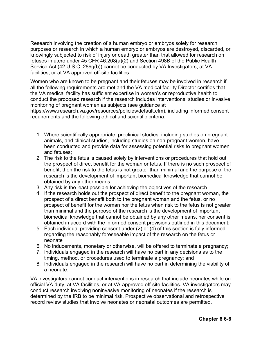Research involving the creation of a human embryo or embryos solely for research purposes or research in which a human embryo or embryos are destroyed, discarded, or knowingly subjected to risk of injury or death greater than that allowed for research on fetuses in utero under 45 CFR 46.208(a)(2) and Section 498B of the Public Health Service Act (42 U.S.C. 289g(b)) cannot be conducted by VA Investigators, at VA facilities, or at VA approved off-site facilities.

Women who are known to be pregnant and their fetuses may be involved in research if all the following requirements are met and the VA medical facility Director certifies that the VA medical facility has sufficient expertise in women's or reproductive health to conduct the proposed research if the research includes interventional studies or invasive monitoring of pregnant women as subjects (see guidance at https://www.research.va.gov/resources/policies/default.cfm), including informed consent requirements and the following ethical and scientific criteria:

- 1. Where scientifically appropriate, preclinical studies, including studies on pregnant animals, and clinical studies, including studies on non-pregnant women, have been conducted and provide data for assessing potential risks to pregnant women and fetuses;
- 2. The risk to the fetus is caused solely by interventions or procedures that hold out the prospect of direct benefit for the woman or fetus. If there is no such prospect of benefit, then the risk to the fetus is not greater than minimal and the purpose of the research is the development of important biomedical knowledge that cannot be obtained by any other means;
- 3. Any risk is the least possible for achieving the objectives of the research
- 4. If the research holds out the prospect of direct benefit to the pregnant woman, the prospect of a direct benefit both to the pregnant woman and the fetus, or no prospect of benefit for the woman nor the fetus when risk to the fetus is not greater than minimal and the purpose of the research is the development of important biomedical knowledge that cannot be obtained by any other means, her consent is obtained in accord with the informed consent provisions outlined in this document;
- 5. Each individual providing consent under (2) or (4) of this section is fully informed regarding the reasonably foreseeable impact of the research on the fetus or neonate
- 6. No inducements, monetary or otherwise, will be offered to terminate a pregnancy;
- 7. Individuals engaged in the research will have no part in any decisions as to the timing, method, or procedures used to terminate a pregnancy; and
- 8. Individuals engaged in the research will have no part in determining the viability of a neonate.

VA investigators cannot conduct interventions in research that include neonates while on official VA duty, at VA facilities, or at VA-approved off-site facilities. VA investigators may conduct research involving noninvasive monitoring of neonates if the research is determined by the IRB to be minimal risk. Prospective observational and retrospective record review studies that involve neonates or neonatal outcomes are permitted.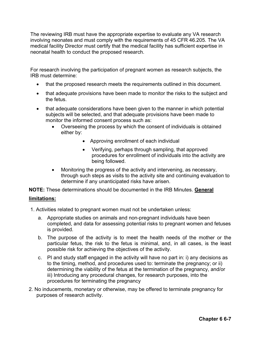The reviewing IRB must have the appropriate expertise to evaluate any VA research involving neonates and must comply with the requirements of 45 CFR 46.205. The VA medical facility Director must certify that the medical facility has sufficient expertise in neonatal health to conduct the proposed research.

For research involving the participation of pregnant women as research subjects, the IRB must determine:

- that the proposed research meets the requirements outlined in this document.
- that adequate provisions have been made to monitor the risks to the subject and the fetus.
- that adequate considerations have been given to the manner in which potential subjects will be selected, and that adequate provisions have been made to monitor the informed consent process such as:
	- Overseeing the process by which the consent of individuals is obtained either by:
		- Approving enrollment of each individual
		- Verifying, perhaps through sampling, that approved procedures for enrollment of individuals into the activity are being followed.
	- Monitoring the progress of the activity and intervening, as necessary, through such steps as visits to the activity site and continuing evaluation to determine if any unanticipated risks have arisen.

**NOTE:** These determinations should be documented in the IRB Minutes. **General** 

#### **limitations:**

1. Activities related to pregnant women must not be undertaken unless:

- a. Appropriate studies on animals and non-pregnant individuals have been completed, and data for assessing potential risks to pregnant women and fetuses is provided.
- b. The purpose of the activity is to meet the health needs of the mother or the particular fetus, the risk to the fetus is minimal, and, in all cases, is the least possible risk for achieving the objectives of the activity.
- c. PI and study staff engaged in the activity will have no part in: i) any decisions as to the timing, method, and procedures used to: terminate the pregnancy; or ii) determining the viability of the fetus at the termination of the pregnancy, and/or iii) Introducing any procedural changes, for research purposes, into the procedures for terminating the pregnancy
- 2. No inducements, monetary or otherwise, may be offered to terminate pregnancy for purposes of research activity.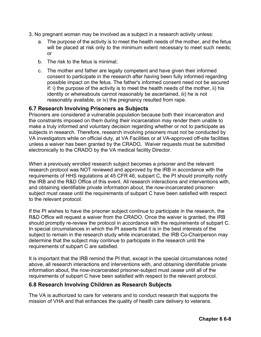- 3. No pregnant woman may be involved as a subject in a research activity unless:
	- a. The purpose of the activity is to meet the health needs of the mother, and the fetus will be placed at risk only to the minimum extent necessary to meet such needs; or
	- b. The risk to the fetus is minimal;
	- c. The mother and father are legally competent and have given their informed consent to participate in the research after having been fully informed regarding possible impact on the fetus. The father's informed consent need not be secured if: i) the purpose of the activity is to meet the health needs of the mother, ii) his identity or whereabouts cannot reasonably be ascertained, iii) he is not reasonably available, or iv) the pregnancy resulted from rape.

# **6.7 Research Involving Prisoners as Subjects**

Prisoners are considered a vulnerable population because both their incarceration and the constraints imposed on them during their incarceration may render them unable to make a truly informed and voluntary decision regarding whether or not to participate as subjects in research. Therefore, research involving prisoners must not be conducted by VA investigators while on official duty, at VA Facilities or at VA-approved off-site facilities unless a waiver has been granted by the CRADO**.** Waiver requests must be submitted electronically to the CRADO by the VA medical facility Director.

When a previously enrolled research subject becomes a prisoner and the relevant research protocol was NOT reviewed and approved by the IRB in accordance with the requirements of HHS regulations at 45 CFR 46, subpart C, the PI should promptly notify the IRB and the R&D Office of this event. All research interactions and interventions with, and obtaining identifiable private information about, the now-incarcerated prisonersubject must cease until the requirements of subpart C have been satisfied with respect to the relevant protocol.

If the PI wishes to have the prisoner subject continue to participate in the research, the R&D Office will request a waiver from the CRADO. Once the waiver is granted, the IRB should promptly re-review the protocol in accordance with the requirements of subpart C. In special circumstances in which the PI asserts that it is in the best interests of the subject to remain in the research study while incarcerated, the IRB Co-Chairperson may determine that the subject may continue to participate in the research until the requirements of subpart C are satisfied.

It is important that the IRB remind the PI that, except in the special circumstances noted above, all research interactions and interventions with, and obtaining identifiable private information about, the now-incarcerated prisoner-subject must cease until all of the requirements of subpart C have been satisfied with respect to the relevant protocol.

### **6.8 Research Involving Children as Research Subjects**

The VA is authorized to care for veterans and to conduct research that supports the mission of VHA and that enhances the quality of health care delivery to veterans.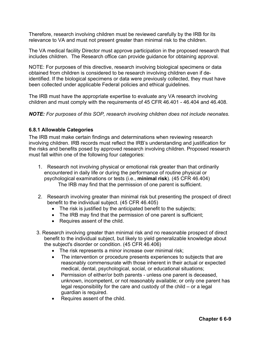Therefore, research involving children must be reviewed carefully by the IRB for its relevance to VA and must not present greater than minimal risk to the children.

The VA medical facility Director must approve participation in the proposed research that includes children. The Research office can provide guidance for obtaining approval.

NOTE: For purposes of this directive, research involving biological specimens or data obtained from children is considered to be research involving children even if deidentified. If the biological specimens or data were previously collected, they must have been collected under applicable Federal policies and ethical guidelines.

The IRB must have the appropriate expertise to evaluate any VA research involving children and must comply with the requirements of 45 CFR 46.401 - 46.404 and 46.408.

*NOTE: For purposes of this SOP, research involving children does not include neonates.* 

### **6.8.1 Allowable Categories**

The IRB must make certain findings and determinations when reviewing research involving children. IRB records must reflect the IRB's understanding and justification for the risks and benefits posed by approved research involving children. Proposed research must fall within one of the following four categories:

- 1. Research not involving physical or emotional risk greater than that ordinarily encountered in daily life or during the performance of routine physical or psychological examinations or tests (i.e., **minimal risk**). (45 CFR 46.404) The IRB may find that the permission of one parent is sufficient.
- 2. Research involving greater than minimal risk but presenting the prospect of direct benefit to the individual subject. (45 CFR 46.405)
	- The risk is justified by the anticipated benefit to the subjects;
	- The IRB may find that the permission of one parent is sufficient;
	- Requires assent of the child.
- 3. Research involving greater than minimal risk and no reasonable prospect of direct benefit to the individual subject, but likely to yield generalizable knowledge about the subject's disorder or condition. (45 CFR 46.406)
	- The risk represents a minor increase over minimal risk;
	- The intervention or procedure presents experiences to subjects that are reasonably commensurate with those inherent in their actual or expected medical, dental, psychological, social, or educational situations;
	- Permission of either/or both parents unless one parent is deceased, unknown, incompetent, or not reasonably available; or only one parent has legal responsibility for the care and custody of the child – or a legal guardian is required.
	- Requires assent of the child.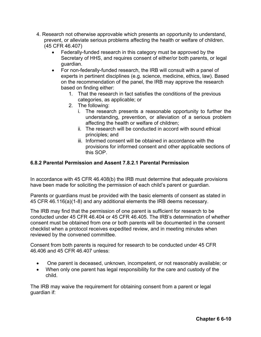- 4. Research not otherwise approvable which presents an opportunity to understand, prevent, or alleviate serious problems affecting the health or welfare of children. (45 CFR 46.407)
	- Federally-funded research in this category must be approved by the Secretary of HHS, and requires consent of either/or both parents, or legal guardian.
	- For non-federally-funded research, the IRB will consult with a panel of experts in pertinent disciplines (e.g. science, medicine, ethics, law). Based on the recommendation of the panel, the IRB may approve the research based on finding either:
		- 1. That the research in fact satisfies the conditions of the previous categories, as applicable; or
		- 2. The following:
			- i. The research presents a reasonable opportunity to further the understanding, prevention, or alleviation of a serious problem affecting the health or welfare of children;
			- ii. The research will be conducted in accord with sound ethical principles; and
			- iii. Informed consent will be obtained in accordance with the provisions for informed consent and other applicable sections of this SOP.

### **6.8.2 Parental Permission and Assent 7.8.2.1 Parental Permission**

In accordance with 45 CFR 46.408(b) the IRB must determine that adequate provisions have been made for soliciting the permission of each child's parent or guardian.

Parents or guardians must be provided with the basic elements of consent as stated in 45 CFR 46.116(a)(1-8) and any additional elements the IRB deems necessary.

The IRB may find that the permission of one parent is sufficient for research to be conducted under 45 CFR 46.404 or 45 CFR 46.405. The IRB's determination of whether consent must be obtained from one or both parents will be documented in the consent checklist when a protocol receives expedited review, and in meeting minutes when reviewed by the convened committee.

Consent from both parents is required for research to be conducted under 45 CFR 46.406 and 45 CFR 46.407 unless:

- One parent is deceased, unknown, incompetent, or not reasonably available; or
- When only one parent has legal responsibility for the care and custody of the child.

The IRB may waive the requirement for obtaining consent from a parent or legal guardian if: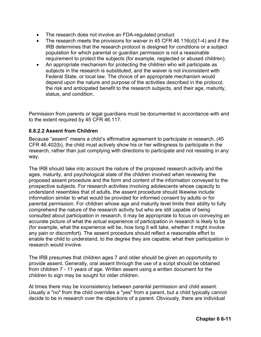- The research does not involve an FDA-regulated product
- The research meets the provisions for waiver in 45 CFR 46.116(d)(1-4) and if the IRB determines that the research protocol is designed for conditions or a subject population for which parental or guardian permission is not a reasonable requirement to protect the subjects (for example, neglected or abused children).
- An appropriate mechanism for protecting the children who will participate as subjects in the research is substituted, and the waiver is not inconsistent with Federal State, or local law. The choice of an appropriate mechanism would depend upon the nature and purpose of the activities described in the protocol, the risk and anticipated benefit to the research subjects, and their age, maturity, status, and condition.

Permission from parents or legal guardians must be documented in accordance with and to the extent required by 45 CFR 46.117.

### **6.8.2.2 Assent from Children**

Because "assent" means a child's affirmative agreement to participate in research, (45 CFR 46.402(b), the child must actively show his or her willingness to participate in the research, rather than just complying with directions to participate and not resisting in any way.

The IRB should take into account the nature of the proposed research activity and the ages, maturity, and psychological state of the children involved when reviewing the proposed assent procedure and the form and content of the information conveyed to the prospective subjects. For research activities involving adolescents whose capacity to understand resembles that of adults, the assent procedure should likewise include information similar to what would be provided for informed consent by adults or for parental permission. For children whose age and maturity level limits their ability to fully comprehend the nature of the research activity but who are still capable of being consulted about participation in research, it may be appropriate to focus on conveying an accurate picture of what the actual experience of participation in research is likely to be (for example, what the experience will be, how long it will take, whether it might involve any pain or discomfort). The assent procedure should reflect a reasonable effort to enable the child to understand, to the degree they are capable, what their participation in research would involve.

The IRB presumes that children ages 7 and older should be given an opportunity to provide assent. Generally, oral assent through the use of a script should be obtained from children 7 - 11 years of age. Written assent using a written document for the children to sign may be sought for older children.

At times there may be inconsistency between parental permission and child assent. Usually a "no" from the child overrides a "yes" from a parent, but a child typically cannot decide to be in research over the objections of a parent. Obviously, there are individual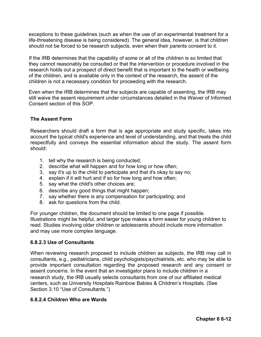exceptions to these guidelines (such as when the use of an experimental treatment for a life-threatening disease is being considered). The general idea, however, is that children should not be forced to be research subjects, even when their parents consent to it.

If the IRB determines that the capability of some or all of the children is so limited that they cannot reasonably be consulted or that the intervention or procedure involved in the research holds out a prospect of direct benefit that is important to the health or wellbeing of the children, and is available only in the context of the research, the assent of the children is not a necessary condition for proceeding with the research.

Even when the IRB determines that the subjects are capable of assenting, the IRB may still waive the assent requirement under circumstances detailed in the Waiver of Informed Consent section of this SOP.

### **The Assent Form**

Researchers should draft a form that is age appropriate and study specific, takes into account the typical child's experience and level of understanding, and that treats the child respectfully and conveys the essential information about the study. The assent form should:

- 1. tell why the research is being conducted;
- 2. describe what will happen and for how long or how often;
- 3. say it's up to the child to participate and that it's okay to say no;
- 4. explain if it will hurt and if so for how long and how often;
- 5. say what the child's other choices are;
- 6. describe any good things that might happen;
- 7. say whether there is any compensation for participating; and
- 8. ask for questions from the child.

For younger children, the document should be limited to one page if possible. Illustrations might be helpful, and larger type makes a form easier for young children to read. Studies involving older children or adolescents should include more information and may use more complex language.

#### **6.8.2.3 Use of Consultants**

When reviewing research proposed to include children as subjects, the IRB may call in consultants, e.g., pediatricians, child psychologists/psychiatrists, etc. who may be able to provide important consultation regarding the proposed research and any consent or assent concerns. In the event that an investigator plans to include children in a research study, the IRB usually selects consultants from one of our affiliated medical centers, such as University Hospitals Rainbow Babies & Children's Hospitals. (See Section 3.10 "Use of Consultants.")

#### **6.8.2.4 Children Who are Wards**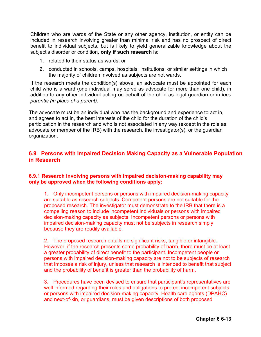Children who are wards of the State or any other agency, institution, or entity can be included in research involving greater than minimal risk and has no prospect of direct benefit to individual subjects, but is likely to yield generalizable knowledge about the subject's disorder or condition, **only if such research** is:

- 1. related to their status as wards; or
- 2. conducted in schools, camps, hospitals, institutions, or similar settings in which the majority of children involved as subjects are not wards.

If the research meets the condition(s) above, an advocate must be appointed for each child who is a ward (one individual may serve as advocate for more than one child), in addition to any other individual acting on behalf of the child as legal guardian or in *loco parentis (in place of a parent).*

The advocate must be an individual who has the background and experience to act in, and agrees to act in, the best interests of the child for the duration of the child's participation in the research and who is not associated in any way (except in the role as advocate or member of the IRB) with the research, the investigator(s), or the guardian organization.

# **6.9 Persons with Impaired Decision Making Capacity as a Vulnerable Population in Research**

### **6.9.1 Research involving persons with impaired decision-making capability may only be approved when the following conditions apply:**

1. Only incompetent persons or persons with impaired decision-making capacity are suitable as research subjects. Competent persons are not suitable for the proposed research. The investigator must demonstrate to the IRB that there is a compelling reason to include incompetent individuals or persons with impaired decision-making capacity as subjects. Incompetent persons or persons with impaired decision-making capacity must not be subjects in research simply because they are readily available.

2. The proposed research entails no significant risks, tangible or intangible. However, if the research presents some probability of harm, there must be at least a greater probability of direct benefit to the participant. Incompetent people or persons with impaired decision-making capacity are not to be subjects of research that imposes a risk of injury, unless that research is intended to benefit that subject and the probability of benefit is greater than the probability of harm.

3. Procedures have been devised to ensure that participant's representatives are well informed regarding their roles and obligations to protect incompetent subjects or persons with impaired decision-making capacity. Health care agents (DPAHC) and next-of-kin, or guardians, must be given descriptions of both proposed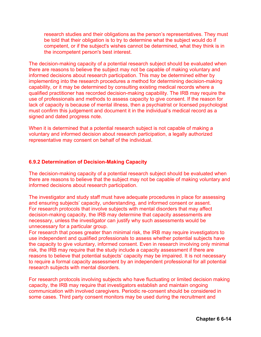research studies and their obligations as the person's representatives. They must be told that their obligation is to try to determine what the subject would do if competent, or if the subject's wishes cannot be determined, what they think is in the incompetent person's best interest.

The decision-making capacity of a potential research subject should be evaluated when there are reasons to believe the subject may not be capable of making voluntary and informed decisions about research participation. This may be determined either by implementing into the research procedures a method for determining decision-making capability, or it may be determined by consulting existing medical records where a qualified practitioner has recorded decision-making capability. The IRB may require the use of professionals and methods to assess capacity to give consent. If the reason for lack of capacity is because of mental illness, then a psychiatrist or licensed psychologist must confirm this judgement and document it in the individual's medical record as a signed and dated progress note.

When it is determined that a potential research subject is not capable of making a voluntary and informed decision about research participation, a legally authorized representative may consent on behalf of the individual.

#### **6.9.2 Determination of Decision-Making Capacity**

The decision-making capacity of a potential research subject should be evaluated when there are reasons to believe that the subject may not be capable of making voluntary and informed decisions about research participation.

The investigator and study staff must have adequate procedures in place for assessing and ensuring subjects' capacity, understanding, and informed consent or assent. For research protocols that involve subjects with mental disorders that may affect decision-making capacity, the IRB may determine that capacity assessments are necessary, unless the investigator can justify why such assessments would be unnecessary for a particular group.

For research that poses greater than minimal risk, the IRB may require investigators to use independent and qualified professionals to assess whether potential subjects have the capacity to give voluntary, informed consent. Even in research involving only minimal risk, the IRB may require that the study include a capacity assessment if there are reasons to believe that potential subjects' capacity may be impaired. It is not necessary to require a formal capacity assessment by an independent professional for all potential research subjects with mental disorders.

For research protocols involving subjects who have fluctuating or limited decision making capacity, the IRB may require that investigators establish and maintain ongoing communication with involved caregivers. Periodic re-consent should be considered in some cases. Third party consent monitors may be used during the recruitment and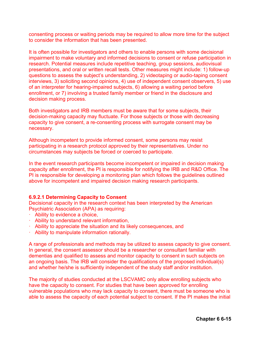consenting process or waiting periods may be required to allow more time for the subject to consider the information that has been presented.

It is often possible for investigators and others to enable persons with some decisional impairment to make voluntary and informed decisions to consent or refuse participation in research. Potential measures include repetitive teaching, group sessions, audiovisual presentations, and oral or written recall tests. Other measures might include: 1) follow-up questions to assess the subject's understanding, 2) videotaping or audio-taping consent interviews, 3) soliciting second opinions, 4) use of independent consent observers, 5) use of an interpreter for hearing-impaired subjects, 6) allowing a waiting period before enrollment, or 7) involving a trusted family member or friend in the disclosure and decision making process.

Both investigators and IRB members must be aware that for some subjects, their decision-making capacity may fluctuate. For those subjects or those with decreasing capacity to give consent, a re-consenting process with surrogate consent may be necessary.

Although incompetent to provide informed consent, some persons may resist participating in a research protocol approved by their representatives. Under no circumstances may subjects be forced or coerced to participate.

In the event research participants become incompetent or impaired in decision making capacity after enrollment, the PI is responsible for notifying the IRB and R&D Office. The PI is responsible for developing a monitoring plan which follows the guidelines outlined above for incompetent and impaired decision making research participants.

#### **6.9.2.1 Determining Capacity to Consent**

Decisional capacity in the research context has been interpreted by the American Psychiatric Association (APA) as requiring:

- · Ability to evidence a choice,
- · Ability to understand relevant information,
- · Ability to appreciate the situation and its likely consequences, and
- · Ability to manipulate information rationally.

A range of professionals and methods may be utilized to assess capacity to give consent. In general, the consent assessor should be a researcher or consultant familiar with dementias and qualified to assess and monitor capacity to consent in such subjects on an ongoing basis. The IRB will consider the qualifications of the proposed individual(s) and whether he/she is sufficiently independent of the study staff and/or institution.

The majority of studies conducted at the LSCVAMC only allow enrolling subjects who have the capacity to consent. For studies that have been approved for enrolling vulnerable populations who may lack capacity to consent, there must be someone who is able to assess the capacity of each potential subject to consent. If the PI makes the initial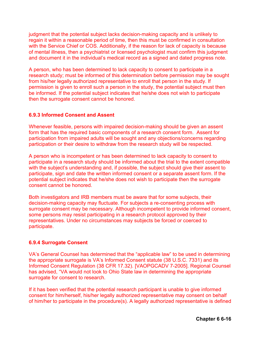judgment that the potential subject lacks decision-making capacity and is unlikely to regain it within a reasonable period of time, then this must be confirmed in consultation with the Service Chief or COS. Additionally, if the reason for lack of capacity is because of mental illness, then a psychiatrist or licensed psychologist must confirm this judgment and document it in the individual's medical record as a signed and dated progress note.

A person, who has been determined to lack capacity to consent to participate in a research study; must be informed of this determination before permission may be sought from his/her legally authorized representative to enroll that person in the study. If permission is given to enroll such a person in the study, the potential subject must then be informed. If the potential subject indicates that he/she does not wish to participate then the surrogate consent cannot be honored.

#### **6.9.3 Informed Consent and Assent**

Whenever feasible, persons with impaired decision-making should be given an assent form that has the required basic components of a research consent form. Assent for participation from impaired adults will be sought and any objections/concerns regarding participation or their desire to withdraw from the research study will be respected.

A person who is incompetent or has been determined to lack capacity to consent to participate in a research study should be informed about the trial to the extent compatible with the subject's understanding and, if possible, the subject should give their assent to participate, sign and date the written informed consent or a separate assent form. If the potential subject indicates that he/she does not wish to participate then the surrogate consent cannot be honored.

Both investigators and IRB members must be aware that for some subjects, their decision-making capacity may fluctuate. For subjects a re-consenting process with surrogate consent may be necessary. Although incompetent to provide informed consent, some persons may resist participating in a research protocol approved by their representatives. Under no circumstances may subjects be forced or coerced to participate.

### **6.9.4 Surrogate Consent**

VA's General Counsel has determined that the "applicable law" to be used in determining the appropriate surrogate is VA's Informed Consent statute (38 U.S.C. 7331) and its Informed Consent Regulation (38 CFR 17.32). [VAOPGCADV 7-2005]. Regional Counsel has advised, "VA would not look to Ohio State law in determining the appropriate surrogate for consent to research.

If it has been verified that the potential research participant is unable to give informed consent for him/herself, his/her legally authorized representative may consent on behalf of him/her to participate in the procedure(s). A legally authorized representative is defined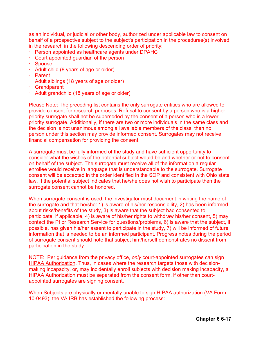as an individual, or judicial or other body, authorized under applicable law to consent on behalf of a prospective subject to the subject's participation in the procedures(s) involved in the research in the following descending order of priority:

- · Person appointed as healthcare agents under DPAHC
- · Court appointed guardian of the person
- · Spouse
- · Adult child (8 years of age or older)
- · Parent
- · Adult siblings (18 years of age or older)
- · Grandparent
- · Adult grandchild (18 years of age or older)

Please Note: The preceding list contains the only surrogate entities who are allowed to provide consent for research purposes. Refusal to consent by a person who is a higher priority surrogate shall not be superseded by the consent of a person who is a lower priority surrogate. Additionally, if there are two or more individuals in the same class and the decision is not unanimous among all available members of the class, then no person under this section may provide informed consent. Surrogates may not receive financial compensation for providing the consent.

A surrogate must be fully informed of the study and have sufficient opportunity to consider what the wishes of the potential subject would be and whether or not to consent on behalf of the subject. The surrogate must receive all of the information a regular enrollee would receive in language that is understandable to the surrogate. Surrogate consent will be accepted in the order identified in the SOP and consistent with Ohio state law. If the potential subject indicates that he/she does not wish to participate then the surrogate consent cannot be honored.

When surrogate consent is used, the investigator must document in writing the name of the surrogate and that he/she: 1) is aware of his/her responsibility, 2) has been informed about risks/benefits of the study, 3) is aware that the subject had consented to participate, if applicable, 4) is aware of his/her rights to withdraw his/her consent, 5) may contact the PI or Research Service for questions/problems, 6) is aware that the subject, if possible, has given his/her assent to participate in the study, 7) will be informed of future information that is needed to be an informed participant. Progress notes during the period of surrogate consent should note that subject him/herself demonstrates no dissent from participation in the study.

NOTE: Per guidance from the privacy office, *only* court-appointed surrogates can sign HIPAA Authorization. Thus, in cases where the research targets those with decisionmaking incapacity, or, may incidentally enroll subjects with decision making incapacity, a HIPAA Authorization must be separated from the consent form, if other than courtappointed surrogates are signing consent.

When Subjects are physically or mentally unable to sign HIPAA authorization (VA Form 10-0493), the VA IRB has established the following process: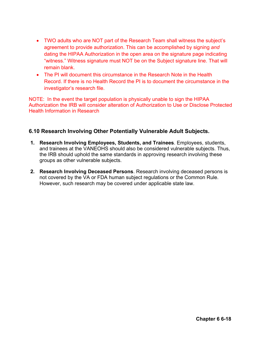- TWO adults who are NOT part of the Research Team shall witness the subject's agreement to provide authorization. This can be accomplished by signing *and* dating the HIPAA Authorization in the open area on the signature page indicating "witness." Witness signature must NOT be on the Subject signature line. That will remain blank.
- The PI will document this circumstance in the Research Note in the Health Record. If there is no Health Record the PI is to document the circumstance in the investigator's research file.

NOTE: In the event the target population is physically unable to sign the HIPAA Authorization the IRB will consider alteration of Authorization to Use or Disclose Protected Health Information in Research

# **6.10 Research Involving Other Potentially Vulnerable Adult Subjects.**

- **1. Research Involving Employees, Students, and Trainees**. Employees, students, and trainees at the VANEOHS should also be considered vulnerable subjects. Thus, the IRB should uphold the same standards in approving research involving these groups as other vulnerable subjects.
- **2. Research Involving Deceased Persons**. Research involving deceased persons is not covered by the VA or FDA human subject regulations or the Common Rule. However, such research may be covered under applicable state law.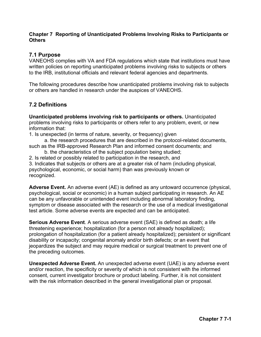### **Chapter 7 Reporting of Unanticipated Problems Involving Risks to Participants or Others**

## **7.1 Purpose**

VANEOHS complies with VA and FDA regulations which state that institutions must have written policies on reporting unanticipated problems involving risks to subjects or others to the IRB, institutional officials and relevant federal agencies and departments.

The following procedures describe how unanticipated problems involving risk to subjects or others are handled in research under the auspices of VANEOHS.

# **7.2 Definitions**

**Unanticipated problems involving risk to participants or others.** Unanticipated problems involving risks to participants or others refer to any problem, event, or new information that:

- 1. Is unexpected (in terms of nature, severity, or frequency) given
- a. the research procedures that are described in the protocol-related documents, such as the IRB-approved Research Plan and informed consent documents; and
	- b. the characteristics of the subject population being studied;
- 2. Is related or possibly related to participation in the research, and

3. Indicates that subjects or others are at a greater risk of harm (including physical, psychological, economic, or social harm) than was previously known or recognized.

**Adverse Event.** An adverse event (AE) is defined as any untoward occurrence (physical, psychological, social or economic) in a human subject participating in research. An AE can be any unfavorable or unintended event including abnormal laboratory finding, symptom or disease associated with the research or the use of a medical investigational test article. Some adverse events are expected and can be anticipated.

**Serious Adverse Event**. A serious adverse event (SAE) is defined as death; a life threatening experience; hospitalization (for a person not already hospitalized); prolongation of hospitalization (for a patient already hospitalized); persistent or significant disability or incapacity; congenital anomaly and/or birth defects; or an event that jeopardizes the subject and may require medical or surgical treatment to prevent one of the preceding outcomes.

**Unexpected Adverse Event.** An unexpected adverse event (UAE) is any adverse event and/or reaction, the specificity or severity of which is not consistent with the informed consent, current investigator brochure or product labeling. Further, it is not consistent with the risk information described in the general investigational plan or proposal.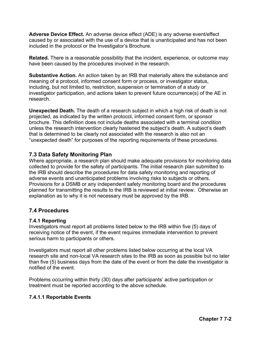**Adverse Device Effect.** An adverse device effect (ADE) is any adverse event/effect caused by or associated with the use of a device that is unanticipated and has not been included in the protocol or the Investigator's Brochure.

**Related.** There is a reasonable possibility that the incident, experience, or outcome may have been caused by the procedures involved in the research.

**Substantive Action.** An action taken by an IRB that materially alters the substance and meaning of a protocol, informed consent form or process, or investigator status, including, but not limited to, restriction, suspension or termination of a study or investigator participation, and actions taken to prevent future occurrence(s) of the AE in research.

**Unexpected Death.** The death of a research subject in which a high risk of death is not projected, as indicated by the written protocol, informed consent form, or sponsor brochure. This definition does not include deaths associated with a terminal condition unless the research intervention clearly hastened the subject's death. A subject's death that is determined to be clearly not associated with the research is also not an "unexpected death" for purposes of the reporting requirements of these procedures.

# **7.3 Data Safety Monitoring Plan**

Where appropriate, a research plan should make adequate provisions for monitoring data collected to provide for the safety of participants. The initial research plan submitted to the IRB should describe the procedures for data safety monitoring and reporting of adverse events and unanticipated problems involving risks to subjects or others. Provisions for a DSMB or any independent safety monitoring board and the procedures planned for transmitting the results to the IRB is reviewed at initial review. Otherwise an explanation as to why it is not necessary must be approved by the IRB.

# **7.4 Procedures**

#### **7.4.1 Reporting**

Investigators must report all problems listed below to the IRB within five (5) days of receiving notice of the event, if the event requires immediate intervention to prevent serious harm to participants or others.

Investigators must report all other problems listed below occurring at the local VA research site and non-local VA research sites to the IRB as soon as possible but no later than five (5) business days from the date of the event or from the date the investigator is notified of the event.

Problems occurring within thirty (30) days after participants' active participation or treatment must be reported according to the above schedule.

### **7.4.1.1 Reportable Events**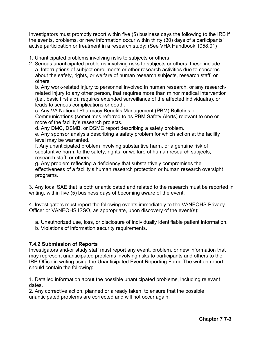Investigators must promptly report within five (5) business days the following to the IRB if the events, problems, or new information occur within thirty (30) days of a participants' active participation or treatment in a research study: (See VHA Handbook 1058.01)

- 1. Unanticipated problems involving risks to subjects or others
- 2. Serious unanticipated problems involving risks to subjects or others, these include: a. Interruptions of subject enrollments or other research activities due to concerns about the safety, rights, or welfare of human research subjects, research staff, or others.

b. Any work-related injury to personnel involved in human research, or any researchrelated injury to any other person, that requires more than minor medical intervention (i.e., basic first aid), requires extended surveillance of the affected individual(s), or leads to serious complications or death.

c. Any VA National Pharmacy Benefits Management (PBM) Bulletins or Communications (sometimes referred to as PBM Safety Alerts) relevant to one or more of the facility's research projects.

d. Any DMC, DSMB, or DSMC report describing a safety problem.

e. Any sponsor analysis describing a safety problem for which action at the facility level may be warranted.

f. Any unanticipated problem involving substantive harm, or a genuine risk of substantive harm, to the safety, rights, or welfare of human research subjects, research staff, or others;

g. Any problem reflecting a deficiency that substantively compromises the effectiveness of a facility's human research protection or human research oversight programs.

3. Any local SAE that is both unanticipated and related to the research must be reported in writing, within five (5) business days of becoming aware of the event.

4. Investigators must report the following events immediately to the VANEOHS Privacy Officer or VANEOHS ISSO, as appropriate, upon discovery of the event(s):

a. Unauthorized use, loss, or disclosure of individually identifiable patient information. b. Violations of information security requirements.

### **7.4.2 Submission of Reports**

Investigators and/or study staff must report any event, problem, or new information that may represent unanticipated problems involving risks to participants and others to the IRB Office in writing using the Unanticipated Event Reporting Form. The written report should contain the following:

1. Detailed information about the possible unanticipated problems, including relevant dates.

2. Any corrective action, planned or already taken, to ensure that the possible unanticipated problems are corrected and will not occur again.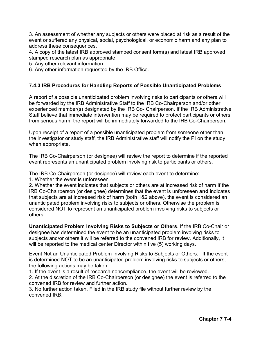3. An assessment of whether any subjects or others were placed at risk as a result of the event or suffered any physical, social, psychological, or economic harm and any plan to address these consequences.

4. A copy of the latest IRB approved stamped consent form(s) and latest IRB approved stamped research plan as appropriate

5. Any other relevant information.

6. Any other information requested by the IRB Office.

### **7.4.3 IRB Procedures for Handling Reports of Possible Unanticipated Problems**

A report of a possible unanticipated problem involving risks to participants or others will be forwarded by the IRB Administrative Staff to the IRB Co-Chairperson and/or other experienced member(s) designated by the IRB Co- Chairperson. If the IRB Administrative Staff believe that immediate intervention may be required to protect participants or others from serious harm, the report will be immediately forwarded to the IRB Co-Chairperson.

Upon receipt of a report of a possible unanticipated problem from someone other than the investigator or study staff, the IRB Administrative staff will notify the PI on the study when appropriate.

The IRB Co-Chairperson (or designee) will review the report to determine if the reported event represents an unanticipated problem involving risk to participants or others.

The IRB Co-Chairperson (or designee) will review each event to determine:

1. Whether the event is unforeseen

2. Whether the event indicates that subjects or others are at increased risk of harm If the IRB Co-Chairperson (or designee) determines that the event is unforeseen **and** indicates that subjects are at increased risk of harm (both 1&2 above), the event is considered an unanticipated problem involving risks to subjects or others. Otherwise the problem is considered NOT to represent an unanticipated problem involving risks to subjects or others.

**Unanticipated Problem Involving Risks to Subjects or Others**. If the IRB Co-Chair or designee has determined the event to be an unanticipated problem involving risks to subjects and/or others it will be referred to the convened IRB for review. Additionally, it will be reported to the medical center Director within five (5) working days.

Event Not an Unanticipated Problem Involving Risks to Subjects or Others. If the event is determined NOT to be an unanticipated problem involving risks to subjects or others, the following actions may be taken:

1. If the event is a result of research noncompliance, the event will be reviewed.

2. At the discretion of the IRB Co-Chairperson (or designee) the event is referred to the convened IRB for review and further action.

3. No further action taken. Filed in the IRB study file without further review by the convened IRB.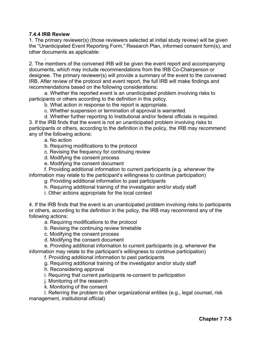#### **7.4.4 IRB Review**

1. The primary reviewer(s) (those reviewers selected at initial study review) will be given the "Unanticipated Event Reporting Form," Research Plan, informed consent form(s), and other documents as applicable:

. 2. The members of the convened IRB will be given the event report and accompanying documents, which may include recommendations from the IRB Co-Chairperson or designee. The primary reviewer(s) will provide a summary of the event to the convened IRB. After review of the protocol and event report, the full IRB will make findings and recommendations based on the following considerations:

a. Whether the reported event is an unanticipated problem involving risks to participants or others according to the definition in this policy.

b. What action in response to the report is appropriate.

- c. Whether suspension or termination of approval is warranted.
- d. Whether further reporting to Institutional and/or federal officials is required.

3. If the IRB finds that the event is not an unanticipated problem involving risks to participants or others, according to the definition in the policy, the IRB may recommend any of the following actions:

a. No action

- b. Requiring modifications to the protocol
- c. Revising the frequency for continuing review
- d. Modifying the consent process
- e. Modifying the consent document

f. Providing additional information to current participants (e.g. whenever the information may relate to the participant's willingness to continue participation)

g. Providing additional information to past participants

- h. Requiring additional training of the investigator and/or study staff
- i. Other actions appropriate for the local context

4. If the IRB finds that the event is an unanticipated problem involving risks to participants or others, according to the definition in the policy, the IRB may recommend any of the following actions:

a. Requiring modifications to the protocol

- b. Revising the continuing review timetable
- c. Modifying the consent process
- d. Modifying the consent document

e. Providing additional information to current participants (e.g. whenever the information may relate to the participant's willingness to continue participation)

f. Providing additional information to past participants

g. Requiring additional training of the investigator and/or study staff

h. Reconsidering approval

i. Requiring that current participants re-consent to participation

- j. Monitoring of the research
- k. Monitoring of the consent

l. Referring the problem to other organizational entities (e.g., legal counsel, risk management, institutional official)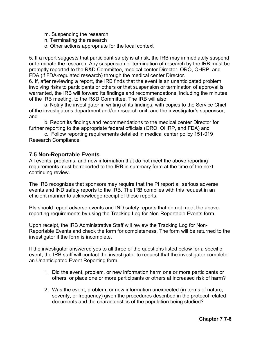- m. Suspending the research
- n. Terminating the research
- o. Other actions appropriate for the local context

5. If a report suggests that participant safety is at risk, the IRB may immediately suspend or terminate the research. Any suspension or termination of research by the IRB must be promptly reported to the R&D Committee, medical center Director, ORO, OHRP, and FDA (if FDA-regulated research) through the medical center Director.

6. If, after reviewing a report, the IRB finds that the event is an unanticipated problem involving risks to participants or others or that suspension or termination of approval is warranted, the IRB will forward its findings and recommendations, including the minutes of the IRB meeting, to the R&D Committee. The IRB will also:

a. Notify the investigator in writing of its findings, with copies to the Service Chief of the investigator's department and/or research unit, and the investigator's supervisor, and

b. Report its findings and recommendations to the medical center Director for further reporting to the appropriate federal officials (ORO, OHRP, and FDA) and

c. Follow reporting requirements detailed in medical center policy 151-019 Research Compliance.

### **7.5 Non-Reportable Events**

All events, problems, and new information that do not meet the above reporting requirements must be reported to the IRB in summary form at the time of the next continuing review.

The IRB recognizes that sponsors may require that the PI report all serious adverse events and IND safety reports to the IRB. The IRB complies with this request in an efficient manner to acknowledge receipt of these reports.

PIs should report adverse events and IND safety reports that do not meet the above reporting requirements by using the Tracking Log for Non-Reportable Events form.

Upon receipt, the IRB Administrative Staff will review the Tracking Log for Non-Reportable Events and check the form for completeness. The form will be returned to the investigator if the form is incomplete.

If the investigator answered yes to all three of the questions listed below for a specific event, the IRB staff will contact the investigator to request that the investigator complete an Unanticipated Event Reporting form.

- 1. Did the event, problem, or new information harm one or more participants or others, or place one or more participants or others at increased risk of harm?
- 2. Was the event, problem, or new information unexpected (in terms of nature, severity, or frequency) given the procedures described in the protocol related documents and the characteristics of the population being studied?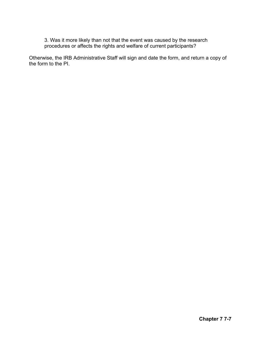3. Was it more likely than not that the event was caused by the research procedures or affects the rights and welfare of current participants?

Otherwise, the IRB Administrative Staff will sign and date the form, and return a copy of the form to the PI.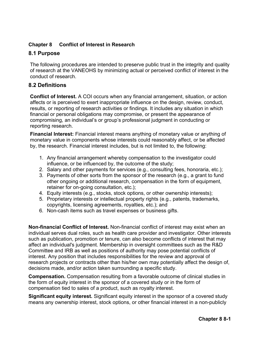# **Chapter 8 Conflict of Interest in Research**

# **8.1 Purpose**

The following procedures are intended to preserve public trust in the integrity and quality of research at the VANEOHS by minimizing actual or perceived conflict of interest in the conduct of research.

# **8.2 Definitions**

**Conflict of Interest.** A COI occurs when any financial arrangement, situation, or action affects or is perceived to exert inappropriate influence on the design, review, conduct, results, or reporting of research activities or findings. It includes any situation in which financial or personal obligations may compromise, or present the appearance of compromising, an individual's or group's professional judgment in conducting or reporting research.

**Financial Interest:** Financial interest means anything of monetary value or anything of monetary value in components whose interests could reasonably affect, or be affected by, the research. Financial interest includes, but is not limited to, the following:

- 1. Any financial arrangement whereby compensation to the investigator could influence, or be influenced by, the outcome of the study;
- 2. Salary and other payments for services (e.g., consulting fees, honoraria, etc.);
- 3. Payments of other sorts from the sponsor of the research (e.g., a grant to fund other ongoing or additional research, compensation in the form of equipment, retainer for on-going consultation, etc.);
- 4. Equity interests (e.g., stocks, stock options, or other ownership interests);
- 5. Proprietary interests or intellectual property rights (e.g., patents, trademarks, copyrights, licensing agreements, royalties, etc.); and
- 6. Non-cash items such as travel expenses or business gifts.

**Non-financial Conflict of Interest.** Non-financial conflict of interest may exist when an individual serves dual roles, such as health care provider and investigator. Other interests such as publication, promotion or tenure, can also become conflicts of interest that may affect an individual's judgment. Membership in oversight committees such as the R&D Committee and IRB as well as positions of authority may pose potential conflicts of interest. Any position that includes responsibilities for the review and approval of research projects or contracts other than his/her own may potentially affect the design of, decisions made, and/or action taken surrounding a specific study.

**Compensation.** Compensation resulting from a favorable outcome of clinical studies in the form of equity interest in the sponsor of a covered study or in the form of compensation tied to sales of a product, such as royalty interest.

**Significant equity interest.** Significant equity interest in the sponsor of a covered study means any ownership interest, stock options, or other financial interest in a non-publicly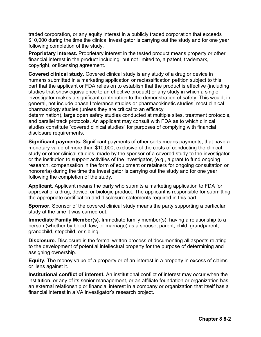traded corporation, or any equity interest in a publicly traded corporation that exceeds \$10,000 during the time the clinical investigator is carrying out the study and for one year following completion of the study.

**Proprietary interest.** Proprietary interest in the tested product means property or other financial interest in the product including, but not limited to, a patent, trademark, copyright, or licensing agreement.

**Covered clinical study.** Covered clinical study is any study of a drug or device in humans submitted in a marketing application or reclassification petition subject to this part that the applicant or FDA relies on to establish that the product is effective (including studies that show equivalence to an effective product) or any study in which a single investigator makes a significant contribution to the demonstration of safety. This would, in general, not include phase l tolerance studies or pharmacokinetic studies, most clinical pharmacology studies (unless they are critical to an efficacy

determination), large open safety studies conducted at multiple sites, treatment protocols, and parallel track protocols. An applicant may consult with FDA as to which clinical studies constitute "covered clinical studies" for purposes of complying with financial disclosure requirements.

**Significant payments.** Significant payments of other sorts means payments, that have a monetary value of more than \$10,000, exclusive of the costs of conducting the clinical study or other clinical studies, made by the sponsor of a covered study to the investigator or the institution to support activities of the investigator, (e.g., a grant to fund ongoing research, compensation in the form of equipment or retainers for ongoing consultation or honoraria) during the time the investigator is carrying out the study and for one year following the completion of the study.

**Applicant.** Applicant means the party who submits a marketing application to FDA for approval of a drug, device, or biologic product. The applicant is responsible for submitting the appropriate certification and disclosure statements required in this part.

**Sponsor.** Sponsor of the covered clinical study means the party supporting a particular study at the time it was carried out.

**Immediate Family Member(s).** Immediate family member(s): having a relationship to a person (whether by blood, law, or marriage) as a spouse, parent, child, grandparent, grandchild, stepchild, or sibling.

**Disclosure.** Disclosure is the formal written process of documenting all aspects relating to the development of potential intellectual property for the purpose of determining and assigning ownership.

**Equity.** The money value of a property or of an interest in a property in excess of claims or liens against it.

**Institutional conflict of interest.** An institutional conflict of interest may occur when the institution, or any of its senior management, or an affiliate foundation or organization has an external relationship or financial interest in a company or organization that itself has a financial interest in a VA investigator's research project.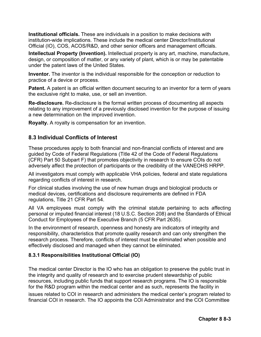**Institutional officials.** These are individuals in a position to make decisions with institution-wide implications. These include the medical center Director/Institutional Official (IO), COS, ACOS/R&D, and other senior officers and management officials.

**Intellectual Property (Invention).** Intellectual property is any art, machine, manufacture, design, or composition of matter, or any variety of plant, which is or may be patentable under the patent laws of the United States.

**Inventor.** The inventor is the individual responsible for the conception or reduction to practice of a device or process.

**Patent.** A patent is an official written document securing to an inventor for a term of years the exclusive right to make, use, or sell an invention.

**Re-disclosure.** Re-disclosure is the formal written process of documenting all aspects relating to any improvement of a previously disclosed invention for the purpose of issuing a new determination on the improved invention.

**Royalty.** A royalty is compensation for an invention.

# **8.3 Individual Conflicts of Interest**

These procedures apply to both financial and non-financial conflicts of interest and are guided by Code of Federal Regulations (Title 42 of the Code of Federal Regulations (CFR) Part 50 Subpart F) that promotes objectivity in research to ensure COIs do not adversely affect the protection of participants or the credibility of the VANEOHS HRPP.

All investigators must comply with applicable VHA policies, federal and state regulations regarding conflicts of interest in research.

For clinical studies involving the use of new human drugs and biological products or medical devices, certifications and disclosure requirements are defined in FDA regulations, Title 21 CFR Part 54.

All VA employees must comply with the criminal statute pertaining to acts affecting personal or imputed financial interest (18 U.S.C. Section 208) and the Standards of Ethical Conduct for Employees of the Executive Branch (5 CFR Part 2635).

In the environment of research, openness and honesty are indicators of integrity and responsibility, characteristics that promote quality research and can only strengthen the research process. Therefore, conflicts of interest must be eliminated when possible and effectively disclosed and managed when they cannot be eliminated.

### **8.3.1 Responsibilities Institutional Official (IO)**

The medical center Director is the IO who has an obligation to preserve the public trust in the integrity and quality of research and to exercise prudent stewardship of public resources, including public funds that support research programs. The IO is responsible for the R&D program within the medical center and as such, represents the facility in issues related to COI in research and administers the medical center's program related to financial COI in research. The IO appoints the COI Administrator and the COI Committee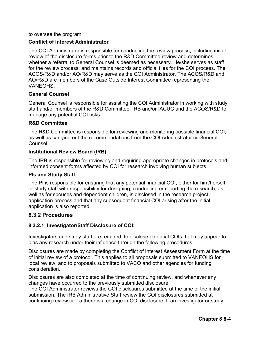to oversee the program.

#### **Conflict of Interest Administrator**

The COI Administrator is responsible for conducting the review process, including initial review of the disclosure forms prior to the R&D Committee review and determines whether a referral to General Counsel is deemed as necessary. He/she serves as staff for the review process; and maintains records and official files for the COI process. The ACOS/R&D and/or AO/R&D may serve as the COI Administrator. The ACOS/R&D and AO/R&D are members of the Case Outside Interest Committee representing the VANEOHS.

#### **General Counsel**

General Counsel is responsible for assisting the COI Administrator in working with study staff and/or members of the R&D Committee, IRB and/or IACUC and the ACOS/R&D to manage any potential COI risks.

#### **R&D Committee**

The R&D Committee is responsible for reviewing and monitoring possible financial COI, as well as carrying out the recommendations from the COI Administrator or General **Counsel** 

#### **Institutional Review Board (IRB)**

The IRB is responsible for reviewing and requiring appropriate changes in protocols and informed consent forms affected by COI for research involving human subjects.

#### **PIs and Study Staff**

The PI is responsible for ensuring that any potential financial COI, either for him/herself, or study staff with responsibility for designing, conducting or reporting the research, as well as for spouses and dependent children, is disclosed in the research project application process and that any subsequent financial COI arising after the initial application is also reported.

### **8.3.2 Procedures**

### **8.3.2.1 Investigator/Staff Disclosure of COI:**

Investigators and study staff are required, to disclose potential COIs that may appear to bias any research under their influence through the following procedures:

Disclosures are made by completing the Conflict of Interest Assessment Form at the time of initial review of a protocol. This applies to all proposals submitted to VANEOHS for local review, and to proposals submitted to VACO and other agencies for funding consideration.

Disclosures are also completed at the time of continuing review, and whenever any changes have occurred to the previously submitted disclosure.

The COI Administrator reviews the COI disclosures submitted at the time of the initial submission. The IRB Administrative Staff review the COI disclosures submitted at continuing review or if a there is a change in COI disclosure. If an investigator or study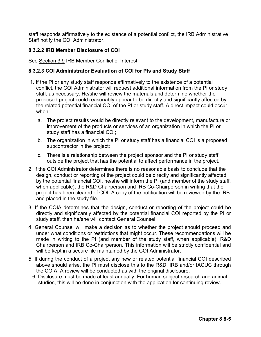staff responds affirmatively to the existence of a potential conflict, the IRB Administrative Staff notify the COI Administrator.

# **8.3.2.2 IRB Member Disclosure of COI**

See Section 3.9 IRB Member Conflict of Interest.

## **8.3.2.3 COI Administrator Evaluation of COI for PIs and Study Staff**

- 1. If the PI or any study staff responds affirmatively to the existence of a potential conflict, the COI Administrator will request additional information from the PI or study staff, as necessary. He/she will review the materials and determine whether the proposed project could reasonably appear to be directly and significantly affected by the related potential financial COI of the PI or study staff. A direct impact could occur when:
	- a. The project results would be directly relevant to the development, manufacture or improvement of the products or services of an organization in which the PI or study staff has a financial COI;
	- b. The organization in which the PI or study staff has a financial COI is a proposed subcontractor in the project;
	- c. There is a relationship between the project sponsor and the PI or study staff outside the project that has the potential to affect performance in the project.
- 2. If the COI Administrator determines there is no reasonable basis to conclude that the design, conduct or reporting of the project could be directly and significantly affected by the potential financial COI, he/she will inform the PI (and member of the study staff, when applicable), the R&D Chairperson and IRB Co-Chairperson in writing that the project has been cleared of COI. A copy of the notification will be reviewed by the IRB and placed in the study file.
- 3. If the COIA determines that the design, conduct or reporting of the project could be directly and significantly affected by the potential financial COI reported by the PI or study staff, then he/she will contact General Counsel.
- 4. General Counsel will make a decision as to whether the project should proceed and under what conditions or restrictions that might occur. These recommendations will be made in writing to the PI (and member of the study staff, when applicable), R&D Chairperson and IRB Co-Chairperson. This information will be strictly confidential and will be kept in a secure file maintained by the COI Administrator.
- 5. If during the conduct of a project any new or related potential financial COI described above should arise, the PI must disclose this to the R&D, IRB and/or IACUC through the COIA. A review will be conducted as with the original disclosure.
- 6. Disclosure must be made at least annually. For human subject research and animal studies, this will be done in conjunction with the application for continuing review.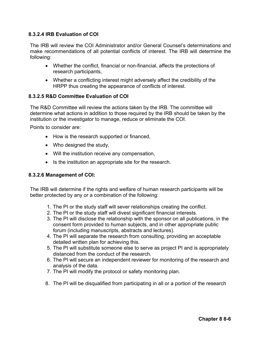### **8.3.2.4 IRB Evaluation of COI**

The IRB will review the COI Administrator and/or General Counsel's determinations and make recommendations of all potential conflicts of interest. The IRB will determine the following:

- Whether the conflict, financial or non-financial, affects the protections of research participants,
- Whether a conflicting interest might adversely affect the credibility of the HRPP thus creating the appearance of conflicts of interest.

### **8.3.2.5 R&D Committee Evaluation of COI**

The R&D Committee will review the actions taken by the IRB. The committee will determine what actions in addition to those required by the IRB should be taken by the institution or the investigator to manage, reduce or eliminate the COI.

Points to consider are:

- How is the research supported or financed,
- Who designed the study,
- Will the institution receive any compensation,
- Is the institution an appropriate site for the research.

#### **8.3.2.6 Management of COI:**

The IRB will determine if the rights and welfare of human research participants will be better protected by any or a combination of the following:

- 1. The PI or the study staff will sever relationships creating the conflict.
- 2. The PI or the study staff will divest significant financial interests.
- 3. The PI will disclose the relationship with the sponsor on all publications, in the consent form provided to human subjects, and in other appropriate public forum (including manuscripts, abstracts and lectures).
- 4. The PI will separate the research from consulting, providing an acceptable detailed written plan for achieving this.
- 5. The PI will substitute someone else to serve as project PI and is appropriately distanced from the conduct of the research.
- 6. The PI will secure an independent reviewer for monitoring of the research and analysis of the data.
- 7. The PI will modify the protocol or safety monitoring plan.
- 8. The PI will be disqualified from participating in all or a portion of the research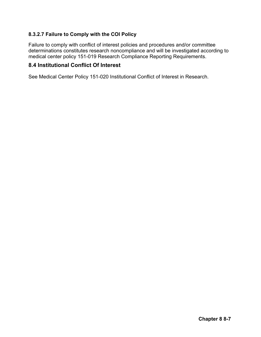# **8.3.2.7 Failure to Comply with the COI Policy**

Failure to comply with conflict of interest policies and procedures and/or committee determinations constitutes research noncompliance and will be investigated according to medical center policy 151-019 Research Compliance Reporting Requirements.

# **8.4 Institutional Conflict Of Interest**

See Medical Center Policy 151-020 Institutional Conflict of Interest in Research.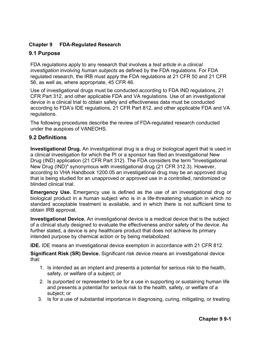# **Chapter 9 FDA-Regulated Research**

# **9.1 Purpose**

FDA regulations apply to any research that involves a *test article* in a *clinical investigation* involving *human subjects* as defined by the FDA regulations. For FDA regulated research, the IRB must apply the FDA regulations at 21 CFR 50 and 21 CFR 56, as well as, where appropriate, 45 CFR 46.

Use of investigational drugs must be conducted according to FDA IND regulations, 21 CFR Part 312, and other applicable FDA and VA regulations. Use of an investigational device in a clinical trial to obtain safety and effectiveness data must be conducted according to FDA's IDE regulations, 21 CFR Part 812, and other applicable FDA and VA regulations.

The following procedures describe the review of FDA-regulated research conducted under the auspices of VANEOHS.

# **9.2 Definitions**

**Investigational Drug.** An investigational drug is a drug or biological agent that is used in a clinical investigation for which the PI or a sponsor has filed an Investigational New Drug (IND) application (21 CFR Part 312). The FDA considers the term "Investigational New Drug (IND)" synonymous with investigational drug (21 CFR 312.3). However, according to VHA Handbook 1200.05 an investigational drug may be an approved drug that is being studied for an unapproved or approved use in a controlled, randomized or blinded clinical trial.

**Emergency Use.** Emergency use is defined as the use of an investigational drug or biological product in a human subject who is in a life-threatening situation in which no standard acceptable treatment is available, and in which there is not sufficient time to obtain IRB approval.

**Investigational Device.** An investigational device is a medical device that is the subject of a clinical study designed to evaluate the effectiveness and/or safety of the device. As further stated, a device is any healthcare product that does not achieve its primary intended purpose by chemical action or by being metabolized.

**IDE.** IDE means an investigational device exemption in accordance with 21 CFR 812.

**Significant Risk (SR) Device.** Significant risk device means an investigational device that:

- 1. Is intended as an implant and presents a potential for serious risk to the health, safety, or welfare of a subject; or
- 2. Is purported or represented to be for a use in supporting or sustaining human life and presents a potential for serious risk to the health, safety, or welfare of a subject; or
- 3. Is for a use of substantial importance in diagnosing, curing, mitigating, or treating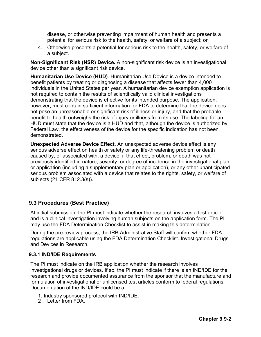disease, or otherwise preventing impairment of human health and presents a potential for serious risk to the health, safety, or welfare of a subject; or

4. Otherwise presents a potential for serious risk to the health, safety, or welfare of a subject.

**Non-Significant Risk (NSR) Device.** A non-significant risk device is an investigational device other than a significant risk device.

**Humanitarian Use Device (HUD)**. Humanitarian Use Device is a device intended to benefit patients by treating or diagnosing a disease that affects fewer than 4,000 individuals in the United States per year. A humanitarian device exemption application is not required to contain the results of scientifically valid clinical investigations demonstrating that the device is effective for its intended purpose. The application, however, must contain sufficient information for FDA to determine that the device does not pose an unreasonable or significant risk of illness or injury, and that the probable benefit to health outweighs the risk of injury or illness from its use. The labeling for an HUD must state that the device is a HUD and that, although the device is authorized by Federal Law, the effectiveness of the device for the specific indication has not been demonstrated.

**Unexpected Adverse Device Effect.** An unexpected adverse device effect is any serious adverse effect on health or safety or any life-threatening problem or death caused by, or associated with, a device, if that effect, problem, or death was not previously identified in nature, severity, or degree of incidence in the investigational plan or application (including a supplementary plan or application), or any other unanticipated serious problem associated with a device that relates to the rights, safety, or welfare of subjects (21 CFR 812.3(s)).

# **9.3 Procedures (Best Practice)**

At initial submission, the PI must indicate whether the research involves a test article and is a clinical investigation involving human subjects on the application form. The PI may use the FDA Determination Checklist to assist in making this determination.

During the pre-review process, the IRB Administrative Staff will confirm whether FDA regulations are applicable using the FDA Determination Checklist. Investigational Drugs and Devices in Research.

#### **9.3.1 IND/IDE Requirements**

The PI must indicate on the IRB application whether the research involves investigational drugs or devices. If so, the PI must indicate if there is an IND/IDE for the research and provide documented assurance from the sponsor that the manufacture and formulation of investigational or unlicensed test articles conform to federal regulations. Documentation of the IND/IDE could be a:

- 1. Industry sponsored protocol with IND/IDE.
- 2. Letter from FDA.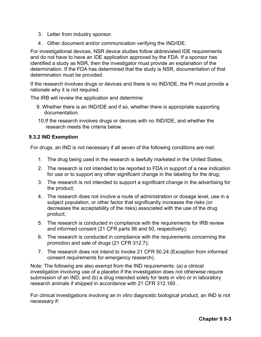- 3. Letter from industry sponsor.
- 4. Other document and/or communication verifying the IND/IDE.

For investigational devices, NSR device studies follow abbreviated IDE requirements and do not have to have an IDE application approved by the FDA. If a sponsor has identified a study as NSR, then the investigator must provide an explanation of the determination. If the FDA has determined that the study is NSR, documentation of that determination must be provided.

If the research involves drugs or devices and there is no IND/IDE, the PI must provide a rationale why it is not required.

The IRB will review the application and determine:

- 9. Whether there is an IND/IDE and if so, whether there is appropriate supporting documentation.
- 10.If the research involves drugs or devices with no IND/IDE, and whether the research meets the criteria below.

### **9.3.2 IND Exemption**

For drugs, an IND is not necessary if all seven of the following conditions are met:

- 1. The drug being used in the research is lawfully marketed in the United States;
- 2. The research is not intended to be reported to FDA in support of a new indication for use or to support any other significant change in the labeling for the drug;
- 3. The research is not intended to support a significant change in the advertising for the product;
- 4. The research does not involve a route of administration or dosage level, use in a subject population, or other factor that significantly increases the risks (or decreases the acceptability of the risks) associated with the use of the drug product;
- 5. The research is conducted in compliance with the requirements for IRB review and informed consent (21 CFR parts 56 and 50, respectively);
- 6. The research is conducted in compliance with the requirements concerning the promotion and sale of drugs (21 CFR 312.7);
- 7. The research does not intend to invoke 21 CFR 50.24 (Exception from informed consent requirements for emergency research).

Note: The following are also exempt from the IND requirements: (a) a clinical investigation involving use of a placebo if the investigation does not otherwise require submission of an IND; and (b) a drug intended solely for tests in vitro or in laboratory research animals if shipped in accordance with 21 CFR 312.160 .

For clinical investigations involving an in vitro diagnostic biological product, an IND is not necessary if: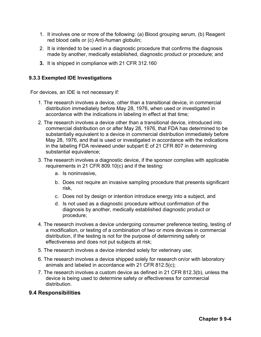- 1. It involves one or more of the following: (a) Blood grouping serum, (b) Reagent red blood cells or (c) Anti-human globulin;
- 2. It is intended to be used in a diagnostic procedure that confirms the diagnosis made by another, medically established, diagnostic product or procedure; and
- **3.** It is shipped in compliance with 21 CFR 312.160

#### **9.3.3 Exempted IDE Investigations**

For devices, an IDE is not necessary if:

- 1. The research involves a device, other than a transitional device, in commercial distribution immediately before May 28, 1976, when used or investigated in accordance with the indications in labeling in effect at that time;
- 2. The research involves a device other than a transitional device, introduced into commercial distribution on or after May 28, 1976, that FDA has determined to be substantially equivalent to a device in commercial distribution immediately before May 28, 1976, and that is used or investigated in accordance with the indications in the labeling FDA reviewed under subpart E of 21 CFR 807 in determining substantial equivalence;
- 3. The research involves a diagnostic device, if the sponsor complies with applicable requirements in 21 CFR 809.10(c) and if the testing:
	- a. Is noninvasive,
	- b. Does not require an invasive sampling procedure that presents significant risk,
	- c. Does not by design or intention introduce energy into a subject, and
	- d. Is not used as a diagnostic procedure without confirmation of the diagnosis by another, medically established diagnostic product or procedure;
- 4. The research involves a device undergoing consumer preference testing, testing of a modification, or testing of a combination of two or more devices in commercial distribution, if the testing is not for the purpose of determining safety or effectiveness and does not put subjects at risk;
- 5. The research involves a device intended solely for veterinary use;
- 6. The research involves a device shipped solely for research on/or with laboratory animals and labeled in accordance with 21 CFR 812.5(c);
- 7. The research involves a custom device as defined in 21 CFR 812.3(b), unless the device is being used to determine safety or effectiveness for commercial distribution.

## **9.4 Responsibilities**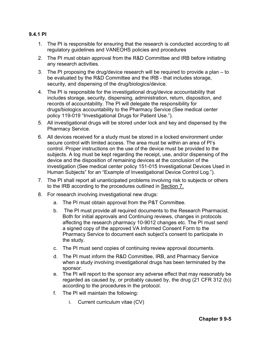#### **9.4.1 PI**

- 1. The PI is responsible for ensuring that the research is conducted according to all regulatory guidelines and VANEOHS policies and procedures
- 2. The PI must obtain approval from the R&D Committee and IRB before initiating any research activities.
- 3. The PI proposing the drug/device research will be required to provide a plan to be evaluated by the R&D Committee and the IRB - that includes storage, security, and dispensing of the drug/biologics/device.
- 4. The PI is responsible for the investigational drug/device accountability that includes storage, security, dispensing, administration, return, disposition, and records of accountability. The PI will delegate the responsibility for drugs/biologics accountability to the Pharmacy Service (See medical center policy 119-019 "Investigational Drugs for Patient Use.").
- 5. All investigational drugs will be stored under lock and key and dispensed by the Pharmacy Service.
- 6. All devices received for a study must be stored in a locked environment under secure control with limited access. The area must be within an area of PI's control. Proper instructions on the use of the device must be provided to the subjects. A log must be kept regarding the receipt, use, and/or dispensing of the device and the disposition of remaining devices at the conclusion of the investigation (See medical center policy 151-015 Investigational Devices Used in Human Subjects" for an "Example of Investigational Device Control Log.").
- 7. The PI shall report all unanticipated problems involving risk to subjects or others to the IRB according to the procedures outlined in Section 7.
- 8. For research involving investigational new drugs:
	- a. The PI must obtain approval from the P&T Committee.
	- b. The PI must provide all required documents to the Research Pharmacist. Both for initial approvals and Continuing reviews, changes in protocols affecting the research pharmacy 10-9012 changes etc. The PI must send a signed copy of the approved VA Informed Consent Form to the Pharmacy Service to document each subject's consent to participate in the study.
	- c. The PI must send copies of continuing review approval documents.
	- d. The PI must inform the R&D Committee, IRB, and Pharmacy Service when a study involving investigational drugs has been terminated by the sponsor.
	- e. The PI will report to the sponsor any adverse effect that may reasonably be regarded as caused by, or probably caused by, the drug (21 CFR 312 (b)) according to the procedures in the protocol.
	- f. The PI will maintain the following:
		- i. Current curriculum vitae (CV)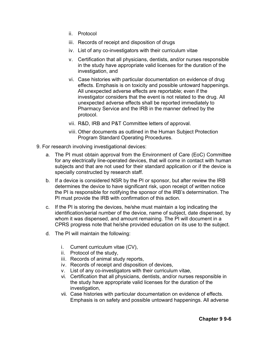- ii. Protocol
- iii. Records of receipt and disposition of drugs
- iv. List of any co-investigators with their curriculum vitae
- v. Certification that all physicians, dentists, and/or nurses responsible in the study have appropriate valid licenses for the duration of the investigation, and
- vi. Case histories with particular documentation on evidence of drug effects. Emphasis is on toxicity and possible untoward happenings. All unexpected adverse effects are reportable; even if the investigator considers that the event is not related to the drug. All unexpected adverse effects shall be reported immediately to Pharmacy Service and the IRB in the manner defined by the protocol.
- vii. R&D, IRB and P&T Committee letters of approval.
- viii. Other documents as outlined in the Human Subject Protection Program Standard Operating Procedures.
- 9. For research involving investigational devices:
	- a. The PI must obtain approval from the Environment of Care (EoC) Committee for any electrically line-operated devices, that will come in contact with human subjects and that are not used for their standard application or if the device is specially constructed by research staff.
	- b. If a device is considered NSR by the PI or sponsor, but after review the IRB determines the device to have significant risk, upon receipt of written notice the PI is responsible for notifying the sponsor of the IRB's determination. The PI must provide the IRB with confirmation of this action.
	- c. If the PI is storing the devices, he/she must maintain a log indicating the identification/serial number of the device, name of subject, date dispensed, by whom it was dispensed, and amount remaining. The PI will document in a CPRS progress note that he/she provided education on its use to the subject.
	- d. The PI will maintain the following:
		- i. Current curriculum vitae (CV),
		- ii. Protocol of the study,
		- iii. Records of animal study reports,
		- iv. Records of receipt and disposition of devices,
		- v. List of any co-investigators with their curriculum vitae,
		- vi. Certification that all physicians, dentists, and/or nurses responsible in the study have appropriate valid licenses for the duration of the investigation,
		- vii. Case histories with particular documentation on evidence of effects. Emphasis is on safety and possible untoward happenings. All adverse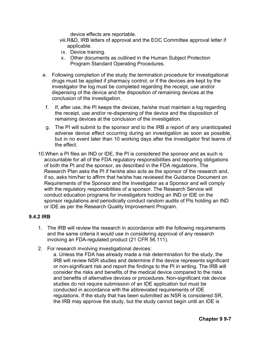device effects are reportable.

- viii.R&D, IRB letters of approval and the EOC Committee approval letter if applicable.
- ix. Device training.
- x. Other documents as outlined in the Human Subject Protection Program Standard Operating Procedures.
- e. Following completion of the study the termination procedure for investigational drugs must be applied if pharmacy control, or if the devices are kept by the investigator the log must be completed regarding the receipt, use and/or dispensing of the device and the disposition of remaining devices at the conclusion of the investigation.
- f. If, after use, the PI keeps the devices, he/she must maintain a log regarding the receipt, use and/or re-dispensing of the device and the disposition of remaining devices at the conclusion of the investigation.
- g. The PI will submit to the sponsor and to the IRB a report of any unanticipated adverse device effect occurring during an investigation as soon as possible, but in no event later than 10 working days after the investigator first learns of the effect.
- 10.When a PI files an IND or IDE, the PI is considered the sponsor and as such is accountable for all of the FDA regulatory responsibilities and reporting obligations of both the PI and the sponsor, as described in the FDA regulations. The Research Plan asks the PI if he/she also acts as the sponsor of the research and, if so, asks him/her to affirm that he/she has reviewed the Guidance Document on Requirements of the Sponsor and the Investigator as a Sponsor and will comply with the regulatory responsibilities of a sponsor. The Research Service will conduct education programs for investigators holding an IND or IDE on the sponsor regulations and periodically conduct random audits of PIs holding an IND or IDE as per the Research Quality Improvement Program.

## **9.4.2 IRB**

- 1. The IRB will review the research in accordance with the following requirements and the same criteria it would use in considering approval of any research involving an FDA-regulated product (21 CFR 56.111).
- 2. For research involving investigational devices:
	- a. Unless the FDA has already made a risk determination for the study, the IRB will review NSR studies and determine if the device represents significant or non-significant risk and report the findings to the PI in writing. The IRB will consider the risks and benefits of the medical device compared to the risks and benefits of alternative devices or procedures. Non-significant risk device studies do not require submission of an IDE application but must be conducted in accordance with the abbreviated requirements of IDE regulations. If the study that has been submitted as NSR is considered SR, the IRB may approve the study, but the study cannot begin until an IDE is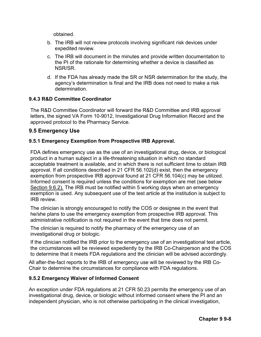obtained.

- b. The IRB will not review protocols involving significant risk devices under expedited review.
- c. The IRB will document in the minutes and provide written documentation to the PI of the rationale for determining whether a device is classified as NSR/SR.
- d. If the FDA has already made the SR or NSR determination for the study, the agency's determination is final and the IRB does not need to make a risk determination.

#### **9.4.3 R&D Committee Coordinator**

The R&D Committee Coordinator will forward the R&D Committee and IRB approval letters, the signed VA Form 10-9012, Investigational Drug Information Record and the approved protocol to the Pharmacy Service.

## **9.5 Emergency Use**

#### **9.5.1 Emergency Exemption from Prospective IRB Approval.**

FDA defines emergency use as the use of an investigational drug, device, or biological product in a human subject in a life-threatening situation in which no standard acceptable treatment is available, and in which there is not sufficient time to obtain IRB approval. If all conditions described in 21 CFR 56.102(d) exist, then the emergency exemption from prospective IRB approval found at 21 CFR 56.104(c) may be utilized. Informed consent is required unless the conditions for exemption are met (see below Section 9.6.2). The IRB must be notified within 5 working days when an emergency exemption is used. Any subsequent use of the test article at the institution is subject to IRB review.

The clinician is strongly encouraged to notify the COS or designee in the event that he/she plans to use the emergency exemption from prospective IRB approval. This administrative notification is not required in the event that time does not permit.

The clinician is required to notify the pharmacy of the emergency use of an investigational drug or biologic.

If the clinician notified the IRB prior to the emergency use of an investigational test article, the circumstances will be reviewed expediently by the IRB Co-Chairperson and the COS to determine that it meets FDA regulations and the clinician will be advised accordingly.

All after-the-fact reports to the IRB of emergency use will be reviewed by the IRB Co-Chair to determine the circumstances for compliance with FDA regulations.

#### **9.5.2 Emergency Waiver of Informed Consent**

An exception under FDA regulations at 21 CFR 50.23 permits the emergency use of an investigational drug, device, or biologic without informed consent where the PI and an independent physician, who is not otherwise participating in the clinical investigation,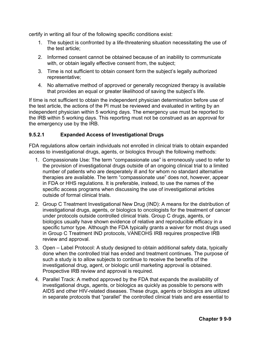certify in writing all four of the following specific conditions exist:

- 1. The subject is confronted by a life-threatening situation necessitating the use of the test article;
- 2. Informed consent cannot be obtained because of an inability to communicate with, or obtain legally effective consent from, the subject;
- 3. Time is not sufficient to obtain consent form the subject's legally authorized representative;
- 4. No alternative method of approved or generally recognized therapy is available that provides an equal or greater likelihood of saving the subject's life.

If time is not sufficient to obtain the independent physician determination before use of the test article, the actions of the PI must be reviewed and evaluated in writing by an independent physician within 5 working days. The emergency use must be reported to the IRB within 5 working days. This reporting must not be construed as an approval for the emergency use by the IRB.

## **9.5.2.1 Expanded Access of Investigational Drugs**

FDA regulations allow certain individuals not enrolled in clinical trials to obtain expanded access to investigational drugs, agents, or biologics through the following methods:

- 1. Compassionate Use: The term "compassionate use" is erroneously used to refer to the provision of investigational drugs outside of an ongoing clinical trial to a limited number of patients who are desperately ill and for whom no standard alternative therapies are available. The term "compassionate use" does not, however, appear in FDA or HHS regulations. It is preferable, instead, to use the names of the specific access programs when discussing the use of investigational articles outside of formal clinical trials.
- 2. Group C Treatment Investigational New Drug (IND): A means for the distribution of investigational drugs, agents, or biologics to oncologists for the treatment of cancer under protocols outside controlled clinical trials. Group C drugs, agents, or biologics usually have shown evidence of relative and reproducible efficacy in a specific tumor type. Although the FDA typically grants a waiver for most drugs used in Group C Treatment IND protocols, VANEOHS IRB requires prospective IRB review and approval.
- 3. Open Label Protocol: A study designed to obtain additional safety data, typically done when the controlled trial has ended and treatment continues. The purpose of such a study is to allow subjects to continue to receive the benefits of the investigational drug, agent, or biologic until marketing approval is obtained. Prospective IRB review and approval is required.
- 4. Parallel Track: A method approved by the FDA that expands the availability of investigational drugs, agents, or biologics as quickly as possible to persons with AIDS and other HIV-related diseases. These drugs, agents or biologics are utilized in separate protocols that "parallel" the controlled clinical trials and are essential to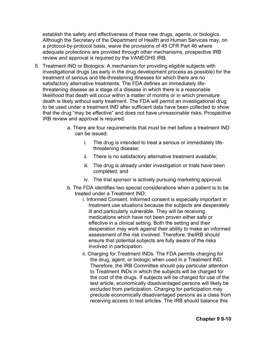establish the safety and effectiveness of these new drugs, agents, or biologics. Although the Secretary of the Department of Health and Human Services may, on a protocol-by-protocol basis, waive the provisions of 45 CFR Part 46 where adequate protections are provided through other mechanisms, prospective IRB review and approval is required by the VANEOHS IRB.

- 5. Treatment IND or Biologics: A mechanism for providing eligible subjects with investigational drugs (as early in the drug development process as possible) for the treatment of serious and life-threatening illnesses for which there are no satisfactory alternative treatments. The FDA defines an immediately lifethreatening disease as a stage of a disease in which there is a reasonable likelihood that death will occur within a matter of months or in which premature death is likely without early treatment. The FDA will permit an investigational drug to be used under a treatment IND after sufficient data have been collected to show that the drug "may be effective" and does not have unreasonable risks. Prospective IRB review and approval is required.
	- a. There are four requirements that must be met before a treatment IND can be issued:
		- i. The drug is intended to treat a serious or immediately lifethreatening disease;
		- ii. There is no satisfactory alternative treatment available;
		- iii. The drug is already under investigation or trials have been completed; and
		- iv. The trial sponsor is actively pursuing marketing approval.
	- b. The FDA identifies two special considerations when a patient is to be treated under a Treatment IND:
		- i. Informed Consent. Informed consent is especially important in treatment use situations because the subjects are desperately ill and particularly vulnerable. They will be receiving medications which have not been proven either safe or effective in a clinical setting. Both the setting and their desperation may work against their ability to make an informed assessment of the risk involved. Therefore, theIRB should ensure that potential subjects are fully aware of the risks involved in participation.
		- ii. Charging for Treatment INDs. The FDA permits charging for the drug, agent, or biologic when used in a Treatment IND. Therefore, the IRB Committee should pay particular attention to Treatment INDs in which the subjects will be charged for the cost of the drugs. If subjects will be charged for use of the test article, economically disadvantaged persons will likely be excluded from participation. Charging for participation may preclude economically disadvantaged persons as a class from receiving access to test articles. The IRB should balance this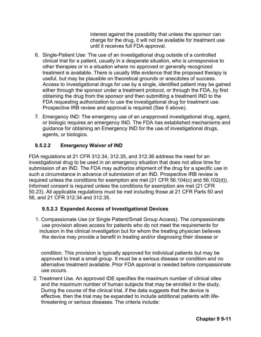interest against the possibility that unless the sponsor can charge for the drug, it will not be available for treatment use until it receives full FDA approval.

- 6. Single-Patient Use: The use of an investigational drug outside of a controlled clinical trial for a patient, usually in a desperate situation, who is unresponsive to other therapies or in a situation where no approved or generally recognized treatment is available. There is usually little evidence that the proposed therapy is useful, but may be plausible on theoretical grounds or anecdotes of success. Access to investigational drugs for use by a single, identified patient may be gained either through the sponsor under a treatment protocol, or through the FDA, by first obtaining the drug from the sponsor and then submitting a treatment IND to the FDA requesting authorization to use the investigational drug for treatment use. Prospective IRB review and approval is required (See 5 above).
- 7. Emergency IND: The emergency use of an unapproved investigational drug, agent, or biologic requires an emergency IND. The FDA has established mechanisms and guidance for obtaining an Emergency IND for the use of investigational drugs, agents, or biologics.

## **9.5.2.2 Emergency Waiver of IND**

FDA regulations at 21 CFR 312.34, 312.35, and 312.36 address the need for an investigational drug to be used in an emergency situation that does not allow time for submission of an IND. The FDA may authorize shipment of the drug for a specific use in such a circumstance in advance of submission of an IND. Prospective IRB review is required unless the conditions for exemption are met (21 CFR 56.104(c) and 56.102(d)). Informed consent is required unless the conditions for exemption are met (21 CFR 50.23). All applicable regulations must be met including those at 21 CFR Parts 50 and 56, and 21 CFR 312.34 and 312.35.

## **9.5.2.3 Expanded Access of Investigational Devices**

1. Compassionate Use (or Single Patient/Small Group Access). The compassionate use provision allows access for patients who do not meet the requirements for inclusion in the clinical investigation but for whom the treating physician believes the device may provide a benefit in treating and/or diagnosing their disease or

condition. This provision is typically approved for individual patients but may be approved to treat a small group. It must be a serious disease or condition and no alternative treatment available. Prior FDA approval is needed before compassionate use occurs.

2. Treatment Use. An approved IDE specifies the maximum number of clinical sites and the maximum number of human subjects that may be enrolled in the study. During the course of the clinical trial, if the data suggests that the device is effective, then the trial may be expanded to include additional patients with lifethreatening or serious diseases. The criteria include: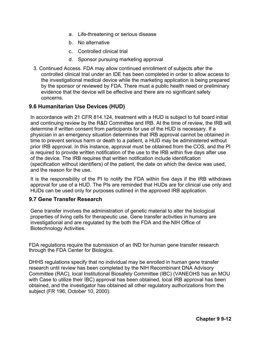- a. Life-threatening or serious disease
- b. No alternative
- c. Controlled clinical trial
- d. Sponsor pursuing marketing approval
- 3. Continued Access. FDA may allow continued enrollment of subjects after the controlled clinical trial under an IDE has been completed in order to allow access to the investigational medical device while the marketing application is being prepared by the sponsor or reviewed by FDA. There must a public health need or preliminary evidence that the device will be effective and there are no significant safety concerns.

## **9.6 Humanitarian Use Devices (HUD)**

In accordance with 21 CFR 814.124, treatment with a HUD is subject to full board initial and continuing review by the R&D Committee and IRB. At the time of review, the IRB will determine if written consent from participants for use of the HUD is necessary. If a physician in an emergency situation determines that IRB approval cannot be obtained in time to prevent serious harm or death to a patient, a HUD may be administered without prior IRB approval. In this instance, approval must be obtained from the COS, and the PI is required to provide written notification of the use to the IRB within five days after use of the device. The IRB requires that written notification include identification (specification without identifiers) of the patient, the date on which the device was used, and the reason for the use.

It is the responsibility of the PI to notify the FDA within five days if the IRB withdraws approval for use of a HUD. The PIs are reminded that HUDs are for clinical use only and HUDs can be used only for purposes outlined in the approved IRB application.

## **9.7 Gene Transfer Research**

Gene transfer involves the administration of genetic material to alter the biological properties of living cells for therapeutic use. Gene transfer activities in humans are investigational and are regulated by the both the FDA and the NIH Office of Biotechnology Activities.

FDA regulations require the submission of an IND for human gene transfer research through the FDA Center for Biologics.

DHHS regulations specify that no individual may be enrolled in human gene transfer research until review has been completed by the NIH Recombinant DNA Advisory Committee (RAC), local Institutional Biosafety Committee (IBC) (VANEOHS has an MOU with Case to utilize their IBC) approval has been obtained, local IRB approval has been obtained, and the investigator has obtained all other regulatory authorizations from the subject (FR 196, October 10, 2000).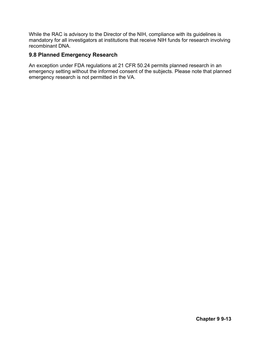While the RAC is advisory to the Director of the NIH, compliance with its guidelines is mandatory for all investigators at institutions that receive NIH funds for research involving recombinant DNA.

## **9.8 Planned Emergency Research**

An exception under FDA regulations at 21 CFR 50.24 permits planned research in an emergency setting without the informed consent of the subjects. Please note that planned emergency research is not permitted in the VA.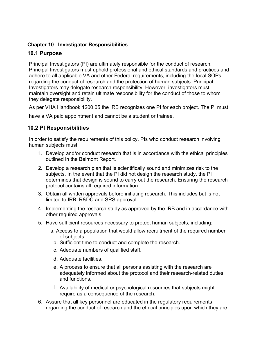## **Chapter 10 Investigator Responsibilities**

# **10.1 Purpose**

Principal Investigators (PI) are ultimately responsible for the conduct of research. Principal Investigators must uphold professional and ethical standards and practices and adhere to all applicable VA and other Federal requirements, including the local SOPs regarding the conduct of research and the protection of human subjects. Principal Investigators may delegate research responsibility. However, investigators must maintain oversight and retain ultimate responsibility for the conduct of those to whom they delegate responsibility.

As per VHA Handbook 1200.05 the IRB recognizes one PI for each project. The PI must

have a VA paid appointment and cannot be a student or trainee.

# **10.2 PI Responsibilities**

In order to satisfy the requirements of this policy, PIs who conduct research involving human subjects must:

- 1. Develop and/or conduct research that is in accordance with the ethical principles outlined in the Belmont Report.
- 2. Develop a research plan that is scientifically sound and minimizes risk to the subjects. In the event that the PI did not design the research study, the PI determines that design is sound to carry out the research. Ensuring the research protocol contains all required information.
- 3. Obtain all written approvals before initiating research. This includes but is not limited to IRB, R&DC and SRS approval.
- 4. Implementing the research study as approved by the IRB and in accordance with other required approvals.
- 5. Have sufficient resources necessary to protect human subjects, including:
	- a. Access to a population that would allow recruitment of the required number of subjects.
		- b. Sufficient time to conduct and complete the research.
		- c. Adequate numbers of qualified staff.
		- d. Adequate facilities.
		- e. A process to ensure that all persons assisting with the research are adequately informed about the protocol and their research-related duties and functions.
		- f. Availability of medical or psychological resources that subjects might require as a consequence of the research.
- 6. Assure that all key personnel are educated in the regulatory requirements regarding the conduct of research and the ethical principles upon which they are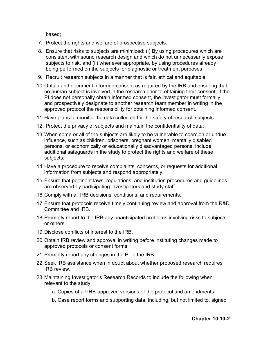based;

- 7. Protect the rights and welfare of prospective subjects.
- 8. Ensure that risks to subjects are minimized: (i) By using procedures which are consistent with sound research design and which do not unnecessarily expose subjects to risk, and (ii) whenever appropriate, by using procedures already being performed on the subjects for diagnostic or treatment purposes
- 9. Recruit research subjects in a manner that is fair, ethical and equitable.
- 10.Obtain and document informed consent as required by the IRB and ensuring that no human subject is involved in the research prior to obtaining their consent; If the PI does not personally obtain informed consent, the investigator must formally and prospectively designate to another research team member in writing in the approved protocol the responsibility for obtaining informed consent.
- 11.Have plans to monitor the data collected for the safety of research subjects.
- 12. Protect the privacy of subjects and maintain the confidentiality of data;
- 13.When some or all of the subjects are likely to be vulnerable to coercion or undue influence, such as children, prisoners, pregnant women, mentally disabled persons, or economically or educationally disadvantaged persons, include additional safeguards in the study to protect the rights and welfare of these subjects;
- 14.Have a procedure to receive complaints, concerns, or requests for additional information from subjects and respond appropriately.
- 15.Ensure that pertinent laws, regulations, and institution procedures and guidelines are observed by participating investigators and study staff.
- 16.Comply with all IRB decisions, conditions, and requirements.
- 17.Ensure that protocols receive timely continuing review and approval from the R&D Committee and IRB.
- 18.Promptly report to the IRB any unanticipated problems involving risks to subjects or others.
- 19.Disclose conflicts of interest to the IRB.
- 20.Obtain IRB review and approval in writing before instituting changes made to approved protocols or consent forms.
- 21.Promptly report any changes in the PI to the IRB.
- 22.Seek IRB assistance when in doubt about whether proposed research requires IRB review.
- 23.Maintaining Investigator's Research Records to include the following when relevant to the study
	- a. Copies of all IRB-approved versions of the protocol and amendments
	- b. Case report forms and supporting data, including, but not limited to, signed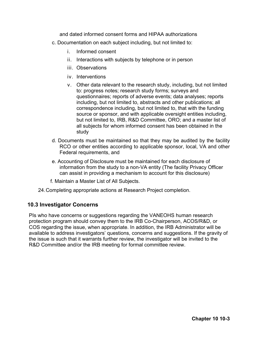and dated informed consent forms and HIPAA authorizations

- c. Documentation on each subject including, but not limited to:
	- i. Informed consent
	- ii. Interactions with subjects by telephone or in person
	- iii. Observations
	- iv. Interventions
	- v. Other data relevant to the research study, including, but not limited to: progress notes; research study forms; surveys and questionnaires; reports of adverse events; data analyses; reports including, but not limited to, abstracts and other publications; all correspondence including, but not limited to, that with the funding source or sponsor, and with applicable oversight entities including, but not limited to, IRB, R&D Committee, ORO; and a master list of all subjects for whom informed consent has been obtained in the study
- d. Documents must be maintained so that they may be audited by the facility RCO or other entities according to applicable sponsor, local, VA and other Federal requirements, and
- e. Accounting of Disclosure must be maintained for each disclosure of information from the study to a non-VA entity (The facility Privacy Officer can assist in providing a mechanism to account for this disclosure)
- f. Maintain a Master List of All Subjects.
- 24.Completing appropriate actions at Research Project completion.

## **10.3 Investigator Concerns**

PIs who have concerns or suggestions regarding the VANEOHS human research protection program should convey them to the IRB Co-Chairperson, ACOS/R&D, or COS regarding the issue, when appropriate. In addition, the IRB Administrator will be available to address investigators' questions, concerns and suggestions. If the gravity of the issue is such that it warrants further review, the investigator will be invited to the R&D Committee and/or the IRB meeting for formal committee review.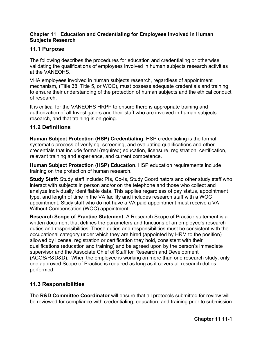#### **Chapter 11 Education and Credentialing for Employees Involved in Human Subjects Research**

## **11.1 Purpose**

The following describes the procedures for education and credentialing or otherwise validating the qualifications of employees involved in human subjects research activities at the VANEOHS.

VHA employees involved in human subjects research, regardless of appointment mechanism, (Title 38, Title 5, or WOC), must possess adequate credentials and training to ensure their understanding of the protection of human subjects and the ethical conduct of research.

It is critical for the VANEOHS HRPP to ensure there is appropriate training and authorization of all Investigators and their staff who are involved in human subjects research, and that training is on-going.

## **11.2 Definitions**

**Human Subject Protection (HSP) Credentialing.** HSP credentialing is the formal systematic process of verifying, screening, and evaluating qualifications and other credentials that include formal (required) education, licensure, registration, certification, relevant training and experience, and current competence.

**Human Subject Protection (HSP) Education.** HSP education requirements include training on the protection of human research.

**Study Staff:** Study staff include: PIs, Co-Is, Study Coordinators and other study staff who interact with subjects in person and/or on the telephone and those who collect and analyze individually identifiable data. This applies regardless of pay status, appointment type, and length of time in the VA facility and includes research staff with a WOC appointment. Study staff who do not have a VA paid appointment must receive a VA Without Compensation (WOC) appointment.

**Research Scope of Practice Statement.** A Research Scope of Practice statement is a written document that defines the parameters and functions of an employee's research duties and responsibilities. These duties and responsibilities must be consistent with the occupational category under which they are hired (appointed by HRM to the position) allowed by license, registration or certification they hold, consistent with their qualifications (education and training) and be agreed upon by the person's immediate supervisor and the Associate Chief of Staff for Research and Development (ACOS/R&D&D). When the employee is working on more than one research study, only one approved Scope of Practice is required as long as it covers all research duties performed.

## **11.3 Responsibilities**

The **R&D Committee Coordinator** will ensure that all protocols submitted for review will be reviewed for compliance with credentialing, education, and training prior to submission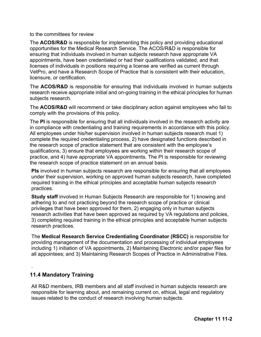to the committees for review

The **ACOS/R&D** is responsible for implementing this policy and providing educational opportunities for the Medical Research Service. The ACOS/R&D is responsible for ensuring that individuals involved in human subjects research have appropriate VA appointments, have been credentialed or had their qualifications validated, and that licenses of individuals in positions requiring a license are verified as current through VetPro, and have a Research Scope of Practice that is consistent with their education, licensure, or certification.

The **ACOS/R&D** is responsible for ensuring that individuals involved in human subjects research receive appropriate initial and on-going training in the ethical principles for human subjects research.

The **ACOS/R&D** will recommend or take disciplinary action against employees who fail to comply with the provisions of this policy.

The **PI** is responsible for ensuring that all individuals involved in the research activity are in compliance with credentialing and training requirements in accordance with this policy. All employees under his/her supervision involved in human subjects research must 1) complete the required credentialing process, 2) have designated functions described in the research scope of practice statement that are consistent with the employee's qualifications, 3) ensure that employees are working within their research scope of practice, and 4) have appropriate VA appointments. The PI is responsible for reviewing the research scope of practice statement on an annual basis.

**PIs** involved in human subjects research are responsible for ensuring that all employees under their supervision, working on approved human subjects research, have completed required training in the ethical principles and acceptable human subjects research practices.

**Study staff** involved in Human Subjects Research are responsible for 1) knowing and adhering to and not practicing beyond the research scope of practice or clinical privileges that have been approved for them, 2) engaging only in human subjects research activities that have been approved as required by VA regulations and policies, 3) completing required training in the ethical principles and acceptable human subjects research practices.

The **Medical Research Service Credentialing Coordinator (RSCC)** is responsible for providing management of the documentation and processing of individual employees including 1) initiation of VA appointments, 2) Maintaining Electronic and/or paper files for all appointees; and 3) Maintaining Research Scopes of Practice in Administrative Files.

## **11.4 Mandatory Training**

.

All R&D members, IRB members and all staff involved in human subjects research are responsible for learning about, and remaining current on, ethical, legal and regulatory issues related to the conduct of research involving human subjects.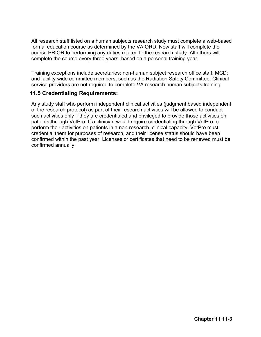All research staff listed on a human subjects research study must complete a web-based formal education course as determined by the VA ORD. New staff will complete the course PRIOR to performing any duties related to the research study. All others will complete the course every three years, based on a personal training year.

Training exceptions include secretaries; non-human subject research office staff; MCD; and facility-wide committee members, such as the Radiation Safety Committee. Clinical service providers are not required to complete VA research human subjects training.

## **11.5 Credentialing Requirements:**

Any study staff who perform independent clinical activities (judgment based independent of the research protocol) as part of their research activities will be allowed to conduct such activities only if they are credentialed and privileged to provide those activities on patients through VetPro. If a clinician would require credentialing through VetPro to perform their activities on patients in a non-research, clinical capacity, VetPro must credential them for purposes of research, and their license status should have been confirmed within the past year. Licenses or certificates that need to be renewed must be confirmed annually.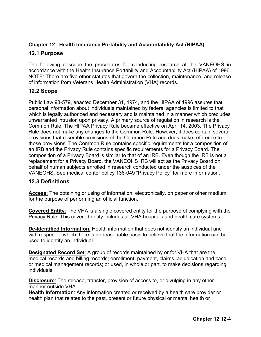## **Chapter 12 Health Insurance Portability and Accountability Act (HIPAA)**

## **12.1 Purpose**

The following describe the procedures for conducting research at the VANEOHS in accordance with the Health Insurance Portability and Accountability Act (HIPAA) of 1996. NOTE: There are five other statutes that govern the collection, maintenance, and release of information from Veterans Health Administration (VHA) records.

## **12.2 Scope**

Public Law 93-579, enacted December 31, 1974, and the HIPAA of 1996 assures that personal information about individuals maintained by federal agencies is limited to that which is legally authorized and necessary and is maintained in a manner which precludes unwarranted intrusion upon privacy. A primary source of regulation in research is the Common Rule. The HIPAA Privacy Rule became effective on April 14, 2003. The Privacy Rule does not make any changes to the Common Rule. However, it does contain several provisions that resemble provisions of the Common Rule and does make reference to those provisions. The Common Rule contains specific requirements for a composition of an IRB and the Privacy Rule contains specific requirements for a Privacy Board. The composition of a Privacy Board is similar to that of an IRB. Even though the IRB is not a replacement for a Privacy Board, the VANEOHS IRB will act as the Privacy Board on behalf of human subjects enrolled in research conducted under the auspices of the VANEOHS. See medical center policy 136-049 "Privacy Policy" for more information.

## **12.3 Definitions**

**Access**: The obtaining or using of information, electronically, on paper or other medium, for the purpose of performing an official function.

**Covered Entity**: The VHA is a single covered entity for the purpose of complying with the Privacy Rule. This covered entity includes all VHA hospitals and health care systems.

**De-Identified Information**: Health information that does not identify an individual and with respect to which there is no reasonable basis to believe that the information can be used to identify an individual.

**Designated Record Set**: A group of records maintained by or for VHA that are the medical records and billing records; enrollment, payment, claims, adjudication and case or medical management records; or used, in whole or part, to make decisions regarding individuals.

**Disclosure**: The release, transfer, provision of access to, or divulging in any other manner outside VHA.

**Health Information**: Any information created or received by a health care provider or health plan that relates to the past, present or future physical or mental health or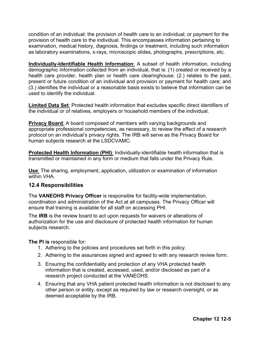condition of an individual; the provision of health care to an individual; or payment for the provision of health care to the individual. This encompasses information pertaining to examination, medical history, diagnosis, findings or treatment, including such information as laboratory examinations, x-rays, microscopic slides, photographs, prescriptions, etc.

**Individually-Identifiable Health Information**: A subset of health information, including demographic information collected from an individual, that is: (1) created or received by a health care provider, health plan or health care clearinghouse; (2.) relates to the past, present or future condition of an individual and provision or payment for health care; and (3.) identifies the individual or a reasonable basis exists to believe that information can be used to identify the individual.

**Limited Data Set**: Protected health information that excludes specific direct identifiers of the individual or of relatives, employers or household members of the individual.

**Privacy Board**: A board composed of members with varying backgrounds and appropriate professional competencies, as necessary, to review the effect of a research protocol on an individual's privacy rights. The IRB will serve as the Privacy Board for human subjects research at the LSDCVAMC.

**Protected Health Information (PHI)**: Individually-identifiable health information that is transmitted or maintained in any form or medium that falls under the Privacy Rule.

**Use**: The sharing, employment, application, utilization or examination of information within VHA.

## **12.4 Responsibilities**

The **VANEOHS Privacy Officer** is responsible for facility-wide implementation, coordination and administration of the Act at all campuses. The Privacy Officer will ensure that training is available for all staff on accessing PHI.

The **IRB** is the review board to act upon requests for waivers or alterations of authorization for the use and disclosure of protected health information for human subjects research.

**The PI is** responsible for:

- 1. Adhering to the policies and procedures set forth in this policy.
- 2. Adhering to the assurances signed and agreed to with any research review form.
- 3. Ensuring the confidentiality and protection of any VHA protected health information that is created, accessed, used, and/or disclosed as part of a research project conducted at the VANEOHS.
- 4. Ensuring that any VHA patient protected health information is not disclosed to any other person or entity, except as required by law or research oversight, or as deemed acceptable by the IRB.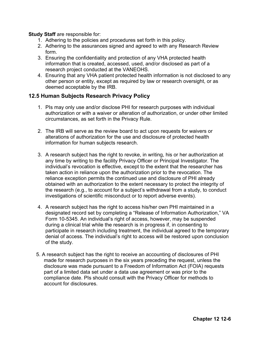#### **Study Staff** are responsible for:

- 1. Adhering to the policies and procedures set forth in this policy.
- 2. Adhering to the assurances signed and agreed to with any Research Review form.
- 3. Ensuring the confidentiality and protection of any VHA protected health information that is created, accessed, used, and/or disclosed as part of a research project conducted at the VANEOHS.
- 4. Ensuring that any VHA patient protected health information is not disclosed to any other person or entity, except as required by law or research oversight, or as deemed acceptable by the IRB.

## **12.5 Human Subjects Research Privacy Policy**

- 1. PIs may only use and/or disclose PHI for research purposes with individual authorization or with a waiver or alteration of authorization, or under other limited circumstances, as set forth in the Privacy Rule.
- 2. The IRB will serve as the review board to act upon requests for waivers or alterations of authorization for the use and disclosure of protected health information for human subjects research.
- 3. A research subject has the right to revoke, in writing, his or her authorization at any time by writing to the facility Privacy Officer or Principal Investigator. The individual's revocation is effective, except to the extent that the researcher has taken action in reliance upon the authorization prior to the revocation. The reliance exception permits the continued use and disclosure of PHI already obtained with an authorization to the extent necessary to protect the integrity of the research (e.g., to account for a subject's withdrawal from a study, to conduct investigations of scientific misconduct or to report adverse events).
- 4. A research subject has the right to access his/her own PHI maintained in a designated record set by completing a "Release of Information Authorization," VA Form 10-5345. An individual's right of access, however, may be suspended during a clinical trial while the research is in progress if, in consenting to participate in research including treatment, the individual agreed to the temporary denial of access. The individual's right to access will be restored upon conclusion of the study.
- 5. A research subject has the right to receive an accounting of disclosures of PHI made for research purposes in the six years preceding the request, unless the disclosure was made pursuant to a Freedom of Information Act (FOIA) requests part of a limited data set under a data use agreement or was prior to the compliance date. PIs should consult with the Privacy Officer for methods to account for disclosures.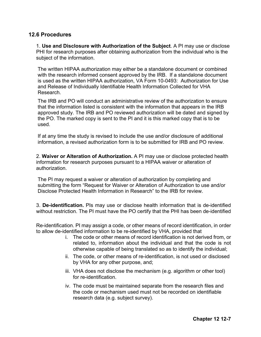## **12.6 Procedures**

1. **Use and Disclosure with Authorization of the Subject**. A PI may use or disclose PHI for research purposes after obtaining authorization from the individual who is the subject of the information.

The written HIPAA authorization may either be a standalone document or combined with the research informed consent approved by the IRB. If a standalone document is used as the written HIPAA authorization, VA Form 10-0493: Authorization for Use and Release of Individually Identifiable Health Information Collected for VHA Research.

The IRB and PO will conduct an administrative review of the authorization to ensure that the information listed is consistent with the information that appears in the IRB approved study. The IRB and PO reviewed authorization will be dated and signed by the PO. The marked copy is sent to the PI and it is this marked copy that is to be used.

If at any time the study is revised to include the use and/or disclosure of additional information, a revised authorization form is to be submitted for IRB and PO review.

2. **Waiver or Alteration of Authorization.** A PI may use or disclose protected health information for research purposes pursuant to a HIPAA waiver or alteration of authorization.

The PI may request a waiver or alteration of authorization by completing and submitting the form "Request for Waiver or Alteration of Authorization to use and/or Disclose Protected Health Information in Research" to the IRB for review.

3. **De-identification.** PIs may use or disclose health information that is de-identified without restriction. The PI must have the PO certify that the PHI has been de-identified

Re-identification. PI may assign a code, or other means of record identification, in order to allow de-identified information to be re-identified by VHA, provided that

- i. The code or other means of record identification is not derived from, or related to, information about the individual and that the code is not otherwise capable of being translated so as to identify the individual;
- ii. The code, or other means of re-identification, is not used or disclosed by VHA for any other purpose, and;
- iii. VHA does not disclose the mechanism (e.g. algorithm or other tool) for re-identification.
- iv. The code must be maintained separate from the research files and the code or mechanism used must not be recorded on identifiable research data (e.g. subject survey).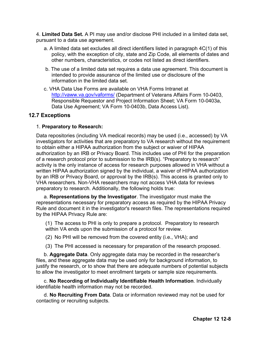4. **Limited Data Set.** A PI may use and/or disclose PHI included in a limited data set, pursuant to a data use agreement.

- a. A limited data set excludes all direct identifiers listed in paragraph 4C(1) of this policy, with the exception of city, state and Zip Code, all elements of dates and other numbers, characteristics, or codes not listed as direct identifiers.
- b. The use of a limited data set requires a data use agreement. This document is intended to provide assurance of the limited use or disclosure of the information in the limited data set.
- c. VHA Data Use Forms are available on VHA Forms Intranet at <http://vaww.va.gov/vaforms/> (Department of Veterans Affairs Form 10-0403, Responsible Requestor and Project Information Sheet; VA Form 10-0403a, Data Use Agreement; VA Form 10-0403b, Data Access List).

#### **12.7 Exceptions**

#### 1. **Preparatory to Research:**

Data repositories (including VA medical records) may be used (i.e., accessed) by VA investigators for activities that are preparatory to VA research without the requirement to obtain either a HIPAA authorization from the subject or waiver of HIPAA authorization by an IRB or Privacy Board. This includes use of PHI for the preparation of a research protocol prior to submission to the IRB(s). "Preparatory to research" activity is the only instance of access for research purposes allowed in VHA without a written HIPAA authorization signed by the individual, a waiver of HIPAA authorization by an IRB or Privacy Board, or approval by the IRB(s). This access is granted only to VHA researchers. Non-VHA researchers may not access VHA data for reviews preparatory to research. Additionally, the following holds true:

a. **Representations by the Investigator**. The investigator must make the representations necessary for preparatory access as required by the HIPAA Privacy Rule and document it in the investigator's research files. The representations required by the HIPAA Privacy Rule are:

(1) The access to PHI is only to prepare a protocol. Preparatory to research within VA ends upon the submission of a protocol for review.

(2) No PHI will be removed from the covered entity (i.e., VHA); and

(3) The PHI accessed is necessary for preparation of the research proposed.

b. **Aggregate Data**. Only aggregate data may be recorded in the researcher's files, and these aggregate data may be used only for background information, to justify the research, or to show that there are adequate numbers of potential subjects to allow the investigator to meet enrollment targets or sample size requirements.

c. **No Recording of Individually Identifiable Health Information**. Individually identifiable health information may not be recorded.

d. **No Recruiting From Data**. Data or information reviewed may not be used for contacting or recruiting subjects.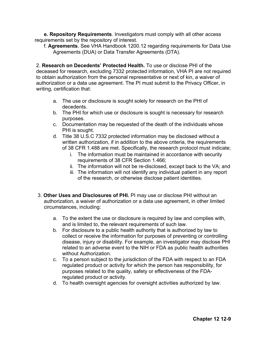**e. Repository Requirements**. Investigators must comply with all other access requirements set by the repository of interest.

f. **Agreements**. See VHA Handbook 1200.12 regarding requirements for Data Use Agreements (DUA) or Data Transfer Agreements (DTA).

2. **Research on Decedents' Protected Health.** To use or disclose PHI of the deceased for research, excluding 7332 protected information, VHA PI are not required to obtain authorization from the personal representative or next of kin, a waiver of authorization or a data use agreement. The PI must submit to the Privacy Officer, in writing, certification that:

- a. The use or disclosure is sought solely for research on the PHI of decedents.
- b. The PHI for which use or disclosure is sought is necessary for research purposes.
- c. Documentation may be requested of the death of the individuals whose PHI is sought.
- d. Title 38 U.S.C 7332 protected information may be disclosed without a written authorization, if in addition to the above criteria, the requirements of 38 CFR 1.488 are met. Specifically, the research protocol must indicate;
	- i. The information must be maintained in accordance with security requirements of 38 CFR Section 1.466;
	- ii. The information will not be re-disclosed, except back to the VA; and
	- iii. The information will not identify any individual patient in any report of the research, or otherwise disclose patient identities.
- 3. **Other Uses and Disclosures of PHI.** PI may use or disclose PHI without an authorization, a waiver of authorization or a data use agreement, in other limited circumstances, including:
	- a. To the extent the use or disclosure is required by law and complies with, and is limited to, the relevant requirements of such law.
	- b. For disclosure to a public health authority that is authorized by law to collect or receive the information for purposes of preventing or controlling disease, injury or disability. For example, an investigator may disclose PHI related to an adverse event to the NIH or FDA as public health authorities without Authorization.
	- c. To a person subject to the jurisdiction of the FDA with respect to an FDA regulated product or activity for which the person has responsibility, for purposes related to the quality, safety or effectiveness of the FDAregulated product or activity.
	- d. To health oversight agencies for oversight activities authorized by law.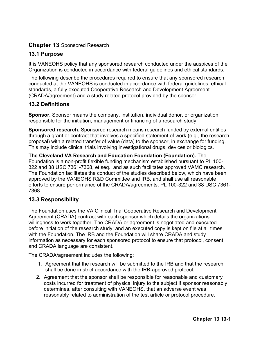# **Chapter 13** Sponsored Research

# **13.1 Purpose**

It is VANEOHS policy that any sponsored research conducted under the auspices of the Organization is conducted in accordance with federal guidelines and ethical standards.

The following describe the procedures required to ensure that any sponsored research conducted at the VANEOHS is conducted in accordance with federal guidelines, ethical standards, a fully executed Cooperative Research and Development Agreement (CRADA/agreement) and a study related protocol provided by the sponsor.

# **13.2 Definitions**

**Sponsor.** Sponsor means the company, institution, individual donor, or organization responsible for the initiation, management or financing of a research study.

**Sponsored research.** Sponsored research means research funded by external entities through a grant or contract that involves a specified statement of work (e.g., the research proposal) with a related transfer of value (data) to the sponsor, in exchange for funding. This may include clinical trials involving investigational drugs, devices or biologics.

**The Cleveland VA Research and Education Foundation (Foundation).** The Foundation is a non-profit flexible funding mechanism established pursuant to PL 100- 322 and 38 USC 7361-7368, et seq., and as such facilitates approved VAMC research. The Foundation facilitates the conduct of the studies described below, which have been approved by the VANEOHS R&D Committee and IRB, and shall use all reasonable efforts to ensure performance of the CRADA/agreements. PL 100-322 and 38 USC 7361- 7368

# **13.3 Responsibility**

The Foundation uses the VA Clinical Trial Cooperative Research and Development Agreement (CRADA) contract with each sponsor which details the organizations' willingness to work together. The CRADA or agreement is negotiated and executed before initiation of the research study; and an executed copy is kept on file at all times with the Foundation. The IRB and the Foundation will share CRADA and study information as necessary for each sponsored protocol to ensure that protocol, consent, and CRADA language are consistent.

The CRADA/agreement includes the following:

- 1. Agreement that the research will be submitted to the IRB and that the research shall be done in strict accordance with the IRB-approved protocol.
- 2. Agreement that the sponsor shall be responsible for reasonable and customary costs incurred for treatment of physical injury to the subject if sponsor reasonably determines, after consulting with VANEOHS, that an adverse event was reasonably related to administration of the test article or protocol procedure.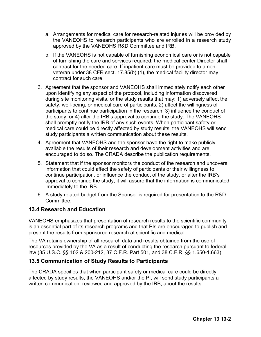- a. Arrangements for medical care for research-related injuries will be provided by the VANEOHS to research participants who are enrolled in a research study approved by the VANEOHS R&D Committee and IRB.
- b. If the VANEOHS is not capable of furnishing economical care or is not capable of furnishing the care and services required; the medical center Director shall contract for the needed care. If inpatient care must be provided to a nonveteran under 38 CFR sect. 17.85(b) (1), the medical facility director may contract for such care.
- 3. Agreement that the sponsor and VANEOHS shall immediately notify each other upon identifying any aspect of the protocol, including information discovered during site monitoring visits, or the study results that may: 1) adversely affect the safety, well-being, or medical care of participants, 2) affect the willingness of participants to continue participation in the research, 3) influence the conduct of the study, or 4) alter the IRB's approval to continue the study. The VANEOHS shall promptly notify the IRB of any such events. When participant safety or medical care could be directly affected by study results, the VANEOHS will send study participants a written communication about these results.
- 4. Agreement that VANEOHS and the sponsor have the right to make publicly available the results of their research and development activities and are encouraged to do so. The CRADA describe the publication requirements.
- 5. Statement that if the sponsor monitors the conduct of the research and uncovers information that could affect the safety of participants or their willingness to continue participation, or influence the conduct of the study, or alter the IRB's approval to continue the study, it will assure that the information is communicated immediately to the IRB.
- 6. A study related budget from the Sponsor is required for presentation to the R&D **Committee**

## **13.4 Research and Education**

VANEOHS emphasizes that presentation of research results to the scientific community is an essential part of its research programs and that PIs are encouraged to publish and present the results from sponsored research at scientific and medical.

The VA retains ownership of all research data and results obtained from the use of resources provided by the VA as a result of conducting the research pursuant to federal law (35 U.S.C. §§ 102 & 200-212, 37 C.F.R. Part 501, and 38 C.F.R. §§ 1.650-1.663).

## **13.5 Communication of Study Results to Participants**

The CRADA specifies that when participant safety or medical care could be directly affected by study results, the VANEOHS and/or the PI, will send study participants a written communication, reviewed and approved by the IRB, about the results.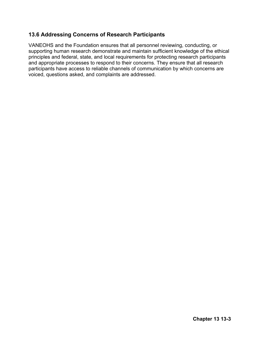# **13.6 Addressing Concerns of Research Participants**

VANEOHS and the Foundation ensures that all personnel reviewing, conducting, or supporting human research demonstrate and maintain sufficient knowledge of the ethical principles and federal, state, and local requirements for protecting research participants and appropriate processes to respond to their concerns. They ensure that all research participants have access to reliable channels of communication by which concerns are voiced, questions asked, and complaints are addressed.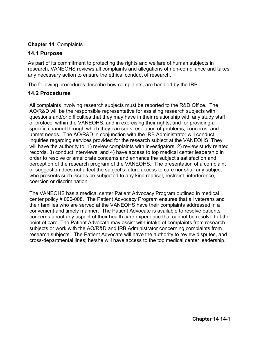#### **Chapter 14** Complaints

#### **14.1 Purpose**

As part of its commitment to protecting the rights and welfare of human subjects in research, VANEOHS reviews all complaints and allegations of non-compliance and takes any necessary action to ensure the ethical conduct of research.

The following procedures describe how complaints, are handled by the IRB.

## **14.2 Procedures**

All complaints involving research subjects must be reported to the R&D Office. The AO/R&D will be the responsible representative for assisting research subjects with questions and/or difficulties that they may have in their relationship with any study staff or protocol within the VANEOHS, and in exercising their rights, and for providing a specific channel through which they can seek resolution of problems, concerns, and unmet needs. The AO/R&D in conjunction with the IRB Administrator will conduct inquiries regarding services provided for the research subject at the VANEOHS. They will have the authority to: 1) review complaints with investigators, 2) review study related records, 3) conduct interviews, and 4) have access to top medical center leadership in order to resolve or ameliorate concerns and enhance the subject's satisfaction and perception of the research program of the VANEOHS. The presentation of a complaint or suggestion does not affect the subject's future access to care nor shall any subject who presents such issues be subjected to any kind reprisal, restraint, interference, coercion or discrimination.

The VANEOHS has a medical center Patient Advocacy Program outlined in medical center policy # 000-008. The Patient Advocacy Program ensures that all veterans and their families who are served at the VANEOHS have their complaints addressed in a convenient and timely manner. The Patient Advocate is available to resolve patients concerns about any aspect of their health care experience that cannot be resolved at the point of care. The Patient Advocate may assist with intake of complaints from research subjects or work with the AO/R&D and IRB Administrator concerning complaints from research subjects. The Patient Advocate will have the authority to review disputes, and cross-departmental lines; he/she will have access to the top medical center leadership.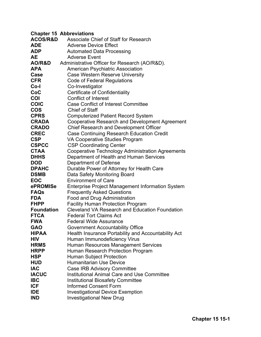|                     | <b>Chapter 15 Abbreviations</b>                         |
|---------------------|---------------------------------------------------------|
| <b>ACOS/R&amp;D</b> | Associate Chief of Staff for Research                   |
| <b>ADE</b>          | <b>Adverse Device Effect</b>                            |
| <b>ADP</b>          | <b>Automated Data Processing</b>                        |
| AE                  | <b>Adverse Event</b>                                    |
| <b>AO/R&amp;D</b>   | Administrative Officer for Research (AO/R&D).           |
| <b>APA</b>          | <b>American Psychiatric Association</b>                 |
| Case                | <b>Case Western Reserve University</b>                  |
| <b>CFR</b>          | Code of Federal Regulations                             |
| Co-l                | Co-Investigator                                         |
| CoC                 | <b>Certificate of Confidentiality</b>                   |
| <b>COI</b>          | <b>Conflict of Interest</b>                             |
| <b>COIC</b>         | <b>Case Conflict of Interest Committee</b>              |
| <b>COS</b>          | <b>Chief of Staff</b>                                   |
| <b>CPRS</b>         | <b>Computerized Patient Record System</b>               |
| <b>CRADA</b>        | <b>Cooperative Research and Development Agreement</b>   |
| <b>CRADO</b>        | <b>Chief Research and Development Officer</b>           |
| <b>CREC</b>         | <b>Case Continuing Research Education Credit</b>        |
| <b>CSP</b>          | VA Cooperative Studies Program                          |
| <b>CSPCC</b>        | <b>CSP Coordinating Center</b>                          |
| <b>CTAA</b>         | <b>Cooperative Technology Administration Agreements</b> |
| <b>DHHS</b>         | Department of Health and Human Services                 |
| <b>DOD</b>          | Department of Defense                                   |
| <b>DPAHC</b>        | Durable Power of Attorney for Health Care               |
| <b>DSMB</b>         | Data Safety Monitoring Board                            |
| <b>EOC</b>          | <b>Environment of Care</b>                              |
| ePROMISe            | <b>Enterprise Project Management Information System</b> |
| <b>FAQs</b>         | <b>Frequently Asked Questions</b>                       |
| <b>FDA</b>          | <b>Food and Drug Administration</b>                     |
| <b>FHPP</b>         | <b>Facility Human Protection Program</b>                |
| <b>Foundation</b>   | <b>Cleveland VA Research and Education Foundation</b>   |
| <b>FTCA</b>         | <b>Federal Tort Claims Act</b>                          |
| <b>FWA</b>          | <b>Federal Wide Assurance</b>                           |
| <b>GAO</b>          | <b>Government Accountability Office</b>                 |
| <b>HIPAA</b>        | Health Insurance Portability and Accountability Act     |
| <b>HIV</b>          | Human Immunodeficiency Virus                            |
| <b>HRMS</b>         | <b>Human Resources Management Services</b>              |
| <b>HRPP</b>         | Human Research Protection Program                       |
| <b>HSP</b>          | <b>Human Subject Protection</b>                         |
| <b>HUD</b>          | <b>Humanitarian Use Device</b>                          |
| <b>IAC</b>          | <b>Case IRB Advisory Committee</b>                      |
| <b>IACUC</b>        | <b>Institutional Animal Care and Use Committee</b>      |
| <b>IBC</b>          | <b>Institutional Biosafety Committee</b>                |
| <b>ICF</b>          | <b>Informed Consent Form</b>                            |
| <b>IDE</b>          | <b>Investigational Device Exemption</b>                 |
| <b>IND</b>          | <b>Investigational New Drug</b>                         |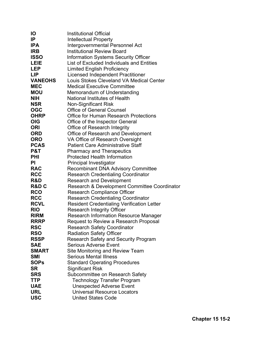| IО               | <b>Institutional Official</b>                     |
|------------------|---------------------------------------------------|
| <b>IP</b>        | Intellectual Property                             |
| <b>IPA</b>       | Intergovernmental Personnel Act                   |
| <b>IRB</b>       | <b>Institutional Review Board</b>                 |
| <b>ISSO</b>      | <b>Information Systems Security Officer</b>       |
| <b>LEIE</b>      | List of Excluded Individuals and Entities         |
| <b>LEP</b>       | <b>Limited English Proficiency</b>                |
| <b>LIP</b>       | <b>Licensed Independent Practitioner</b>          |
| <b>VANEOHS</b>   | Louis Stokes Cleveland VA Medical Center          |
| <b>MEC</b>       | <b>Medical Executive Committee</b>                |
| <b>MOU</b>       | Memorandum of Understanding                       |
| <b>NIH</b>       | <b>National Institutes of Health</b>              |
| <b>NSR</b>       | <b>Non-Significant Risk</b>                       |
| <b>OGC</b>       | <b>Office of General Counsel</b>                  |
| <b>OHRP</b>      | <b>Office for Human Research Protections</b>      |
| <b>OIG</b>       | Office of the Inspector General                   |
| <b>ORI</b>       | <b>Office of Research Integrity</b>               |
| <b>ORD</b>       | Office of Research and Development                |
| <b>ORO</b>       | VA Office of Research Oversight                   |
| <b>PCAS</b>      | <b>Patient Care Administrative Staff</b>          |
| P&T              | <b>Pharmacy and Therapeutics</b>                  |
| <b>PHI</b>       | <b>Protected Health Information</b>               |
| <b>PI</b>        | <b>Principal Investigator</b>                     |
| <b>RAC</b>       | <b>Recombinant DNA Advisory Committee</b>         |
| <b>RCC</b>       | <b>Research Credentialing Coordinator</b>         |
| R&D              | <b>Research and Development</b>                   |
| <b>R&amp;D C</b> | Research & Development Committee Coordinator      |
| <b>RCO</b>       | <b>Research Compliance Officer</b>                |
| <b>RCC</b>       | <b>Research Credentialing Coordinator</b>         |
| <b>RCVL</b>      | <b>Resident Credentialing Verification Letter</b> |
| <b>RIO</b>       | <b>Research Integrity Officer</b>                 |
| <b>RIRM</b>      | <b>Research Information Resource Manager</b>      |
| <b>RRRP</b>      | Request to Review a Research Proposal             |
| <b>RSC</b>       | <b>Research Safety Coordinator</b>                |
| <b>RSO</b>       | <b>Radiation Safety Officer</b>                   |
| <b>RSSP</b>      | <b>Research Safety and Security Program</b>       |
| <b>SAE</b>       | <b>Serious Adverse Event</b>                      |
| <b>SMART</b>     | Site Monitoring and Review Team                   |
| <b>SMI</b>       | <b>Serious Mental Illness</b>                     |
| <b>SOPs</b>      | <b>Standard Operating Procedures</b>              |
| <b>SR</b>        | <b>Significant Risk</b>                           |
| <b>SRS</b>       | Subcommittee on Research Safety                   |
| <b>TTP</b>       | <b>Technology Transfer Program</b>                |
| <b>UAE</b>       | <b>Unexpected Adverse Event</b>                   |
| <b>URL</b>       | <b>Universal Resource Locators</b>                |
| <b>USC</b>       | <b>United States Code</b>                         |